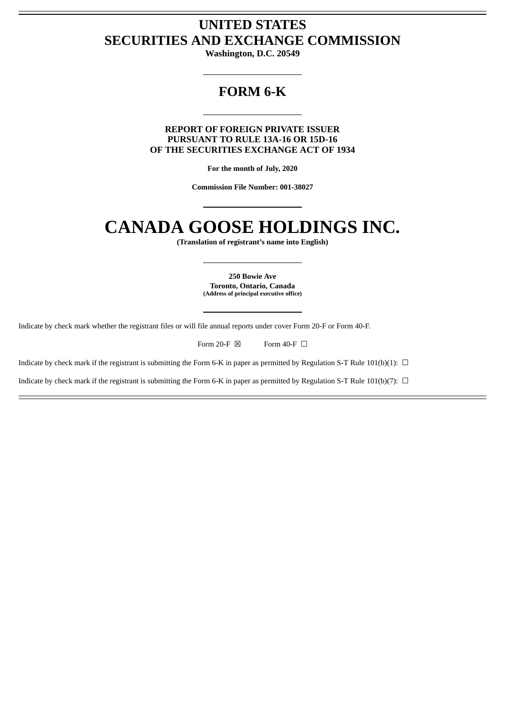# **UNITED STATES SECURITIES AND EXCHANGE COMMISSION**

**Washington, D.C. 20549**

# **FORM 6-K**

**REPORT OF FOREIGN PRIVATE ISSUER PURSUANT TO RULE 13A-16 OR 15D-16 OF THE SECURITIES EXCHANGE ACT OF 1934**

**For the month of July, 2020**

**Commission File Number: 001-38027**

# **CANADA GOOSE HOLDINGS INC.**

**(Translation of registrant's name into English)**

**250 Bowie Ave Toronto, Ontario, Canada (Address of principal executive office)**

Indicate by check mark whether the registrant files or will file annual reports under cover Form 20-F or Form 40-F.

Form 20-F  $\boxtimes$  Form 40-F  $\Box$ 

Indicate by check mark if the registrant is submitting the Form 6-K in paper as permitted by Regulation S-T Rule 101(b)(1):  $\Box$ 

Indicate by check mark if the registrant is submitting the Form 6-K in paper as permitted by Regulation S-T Rule 101(b)(7):  $\Box$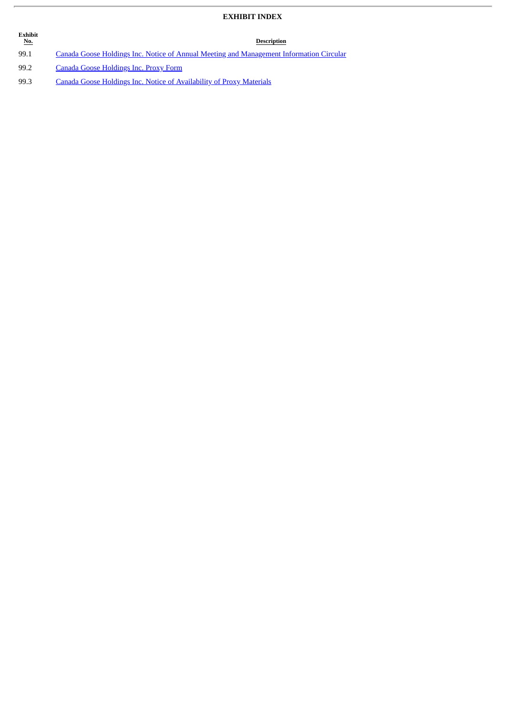# **EXHIBIT INDEX**

| <b>Exhibit</b><br><u>No.</u> | <b>Description</b>                                                                      |
|------------------------------|-----------------------------------------------------------------------------------------|
| 99.1                         | Canada Goose Holdings Inc. Notice of Annual Meeting and Management Information Circular |
| 99.2                         | Canada Goose Holdings Inc. Proxy Form                                                   |
| 99.3                         | Canada Goose Holdings Inc. Notice of Availability of Proxy Materials                    |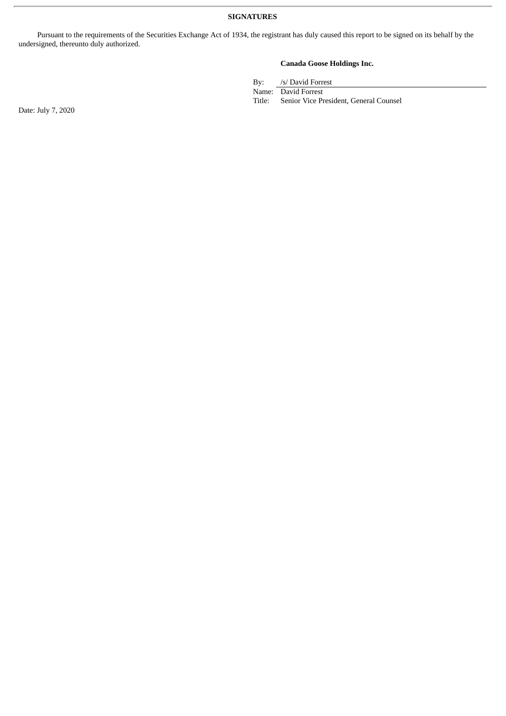Pursuant to the requirements of the Securities Exchange Act of 1934, the registrant has duly caused this report to be signed on its behalf by the undersigned, thereunto duly authorized.

# **Canada Goose Holdings Inc.**

By: /s/ David Forrest

Name: David Forrest<br>Title: Senior Vice Pr

Senior Vice President, General Counsel

Date: July 7, 2020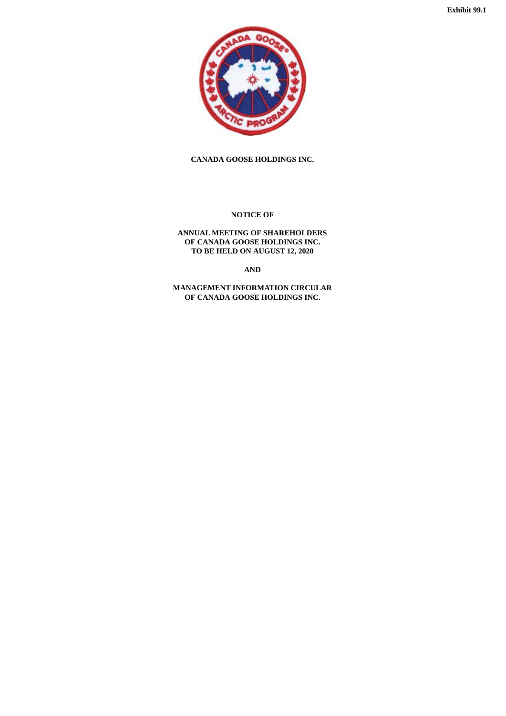<span id="page-3-0"></span>

**CANADA GOOSE HOLDINGS INC.**

**NOTICE OF**

**ANNUAL MEETING OF SHAREHOLDERS OF CANADA GOOSE HOLDINGS INC. TO BE HELD ON AUGUST 12, 2020**

**AND**

**MANAGEMENT INFORMATION CIRCULAR OF CANADA GOOSE HOLDINGS INC.**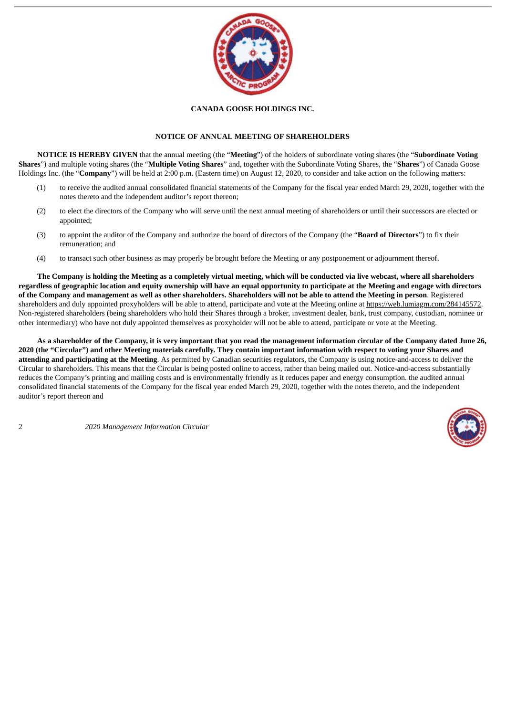

#### **CANADA GOOSE HOLDINGS INC.**

#### **NOTICE OF ANNUAL MEETING OF SHAREHOLDERS**

**NOTICE IS HEREBY GIVEN** that the annual meeting (the "**Meeting**") of the holders of subordinate voting shares (the "**Subordinate Voting Shares**") and multiple voting shares (the "**Multiple Voting Shares**" and, together with the Subordinate Voting Shares, the "**Shares**") of Canada Goose Holdings Inc. (the "**Company**") will be held at 2:00 p.m. (Eastern time) on August 12, 2020, to consider and take action on the following matters:

- (1) to receive the audited annual consolidated financial statements of the Company for the fiscal year ended March 29, 2020, together with the notes thereto and the independent auditor's report thereon;
- (2) to elect the directors of the Company who will serve until the next annual meeting of shareholders or until their successors are elected or appointed;
- (3) to appoint the auditor of the Company and authorize the board of directors of the Company (the "**Board of Directors**") to fix their remuneration; and
- (4) to transact such other business as may properly be brought before the Meeting or any postponement or adjournment thereof.

The Company is holding the Meeting as a completely virtual meeting, which will be conducted via live webcast, where all shareholders regardless of geographic location and equity ownership will have an equal opportunity to participate at the Meeting and engage with directors of the Company and management as well as other shareholders. Shareholders will not be able to attend the Meeting in person. Registered shareholders and duly appointed proxyholders will be able to attend, participate and vote at the Meeting online at https://web.lumiagm.com/284145572. Non-registered shareholders (being shareholders who hold their Shares through a broker, investment dealer, bank, trust company, custodian, nominee or other intermediary) who have not duly appointed themselves as proxyholder will not be able to attend, participate or vote at the Meeting.

As a shareholder of the Company, it is very important that you read the management information circular of the Company dated June 26, 2020 (the "Circular") and other Meeting materials carefully. They contain important information with respect to voting your Shares and **attending and participating at the Meeting**. As permitted by Canadian securities regulators, the Company is using notice-and-access to deliver the Circular to shareholders. This means that the Circular is being posted online to access, rather than being mailed out. Notice-and-access substantially reduces the Company's printing and mailing costs and is environmentally friendly as it reduces paper and energy consumption. the audited annual consolidated financial statements of the Company for the fiscal year ended March 29, 2020, together with the notes thereto, and the independent auditor's report thereon and

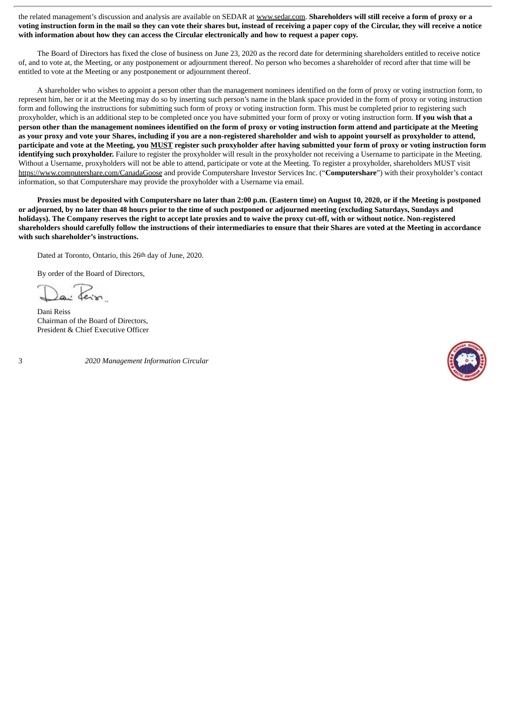the related management's discussion and analysis are available on SEDAR at www.sedar.com. **Shareholders will still receive a form of proxy or a** voting instruction form in the mail so they can vote their shares but, instead of receiving a paper copy of the Circular, they will receive a notice **with information about how they can access the Circular electronically and how to request a paper copy.**

The Board of Directors has fixed the close of business on June 23, 2020 as the record date for determining shareholders entitled to receive notice of, and to vote at, the Meeting, or any postponement or adjournment thereof. No person who becomes a shareholder of record after that time will be entitled to vote at the Meeting or any postponement or adjournment thereof.

A shareholder who wishes to appoint a person other than the management nominees identified on the form of proxy or voting instruction form, to represent him, her or it at the Meeting may do so by inserting such person's name in the blank space provided in the form of proxy or voting instruction form and following the instructions for submitting such form of proxy or voting instruction form. This must be completed prior to registering such proxyholder, which is an additional step to be completed once you have submitted your form of proxy or voting instruction form. **If you wish that a** person other than the management nominees identified on the form of proxy or voting instruction form attend and participate at the Meeting as your proxy and yote your Shares, including if you are a non-registered shareholder and wish to appoint yourself as proxyholder to attend, participate and vote at the Meeting, you MUST register such proxyholder after having submitted your form of proxy or voting instruction form **identifying such proxyholder.** Failure to register the proxyholder will result in the proxyholder not receiving a Username to participate in the Meeting. Without a Username, proxyholders will not be able to attend, participate or vote at the Meeting. To register a proxyholder, shareholders MUST visit https://www.computershare.com/CanadaGoose and provide Computershare Investor Services Inc. ("**Computershare**") with their proxyholder's contact information, so that Computershare may provide the proxyholder with a Username via email.

Proxies must be deposited with Computershare no later than 2:00 p.m. (Eastern time) on August 10, 2020, or if the Meeting is postponed or adjourned, by no later than 48 hours prior to the time of such postponed or adjourned meeting (excluding Saturdays, Sundays and holidays). The Company reserves the right to accept late proxies and to waive the proxy cut-off, with or without notice. Non-registered shareholders should carefully follow the instructions of their intermediaries to ensure that their Shares are voted at the Meeting in accordance **with such shareholder's instructions.**

Dated at Toronto, Ontario, this 26th day of June, 2020.

By order of the Board of Directors,

Dani Reiss Chairman of the Board of Directors, President & Chief Executive Officer

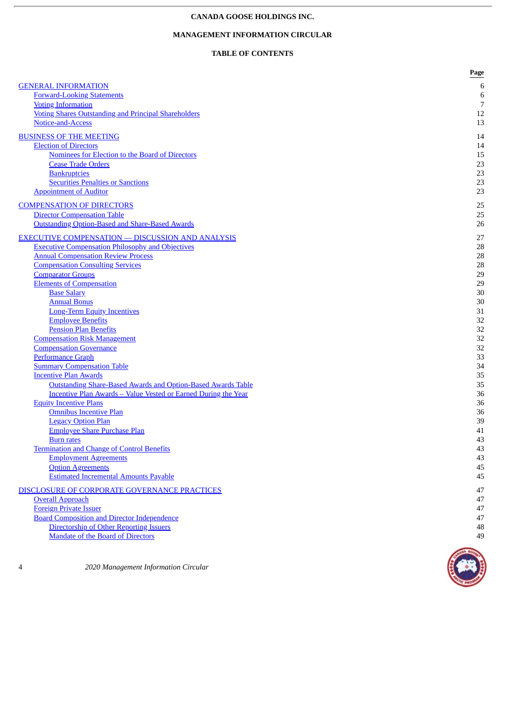## **CANADA GOOSE HOLDINGS INC.**

# **MANAGEMENT INFORMATION CIRCULAR**

# **TABLE OF CONTENTS**

|                                                                                                                    | Page           |
|--------------------------------------------------------------------------------------------------------------------|----------------|
| <b>GENERAL INFORMATION</b>                                                                                         | 6              |
| <b>Forward-Looking Statements</b>                                                                                  | $\,6$          |
| <b>Voting Information</b>                                                                                          | $\overline{7}$ |
| <b>Voting Shares Outstanding and Principal Shareholders</b>                                                        | 12             |
| Notice-and-Access                                                                                                  | 13             |
| <b>BUSINESS OF THE MEETING</b>                                                                                     | 14             |
| <b>Election of Directors</b>                                                                                       | 14             |
| Nominees for Election to the Board of Directors                                                                    | 15             |
| <b>Cease Trade Orders</b>                                                                                          | 23             |
| <b>Bankruptcies</b>                                                                                                | 23             |
| <b>Securities Penalties or Sanctions</b>                                                                           | 23             |
| <b>Appointment of Auditor</b>                                                                                      | 23             |
| <b>COMPENSATION OF DIRECTORS</b>                                                                                   | 25             |
| <b>Director Compensation Table</b>                                                                                 | 25             |
| Outstanding Option-Based and Share-Based Awards                                                                    | 26             |
|                                                                                                                    |                |
| <b>EXECUTIVE COMPENSATION - DISCUSSION AND ANALYSIS</b><br><b>Executive Compensation Philosophy and Objectives</b> | 27<br>28       |
| <b>Annual Compensation Review Process</b>                                                                          |                |
| <b>Compensation Consulting Services</b>                                                                            | 28<br>28       |
| <b>Comparator Groups</b>                                                                                           | 29             |
| <b>Elements of Compensation</b>                                                                                    | 29             |
| <b>Base Salary</b>                                                                                                 | $30\,$         |
| <b>Annual Bonus</b>                                                                                                | 30             |
| <b>Long-Term Equity Incentives</b>                                                                                 | 31             |
| <b>Employee Benefits</b>                                                                                           | 32             |
| <b>Pension Plan Benefits</b>                                                                                       | 32             |
| <b>Compensation Risk Management</b>                                                                                | 32             |
| <b>Compensation Governance</b>                                                                                     | 32             |
| <b>Performance Graph</b>                                                                                           | 33             |
| <b>Summary Compensation Table</b>                                                                                  | 34             |
| <b>Incentive Plan Awards</b>                                                                                       | 35             |
| <b>Outstanding Share-Based Awards and Option-Based Awards Table</b>                                                | 35             |
| <b>Incentive Plan Awards - Value Vested or Earned During the Year</b>                                              | 36             |
| <b>Equity Incentive Plans</b>                                                                                      | 36             |
| <b>Omnibus Incentive Plan</b>                                                                                      | 36             |
| <b>Legacy Option Plan</b>                                                                                          | 39             |
| <b>Employee Share Purchase Plan</b>                                                                                | 41             |
| <b>Burn rates</b>                                                                                                  | 43             |
| <b>Termination and Change of Control Benefits</b>                                                                  | 43             |
| <b>Employment Agreements</b>                                                                                       | 43             |
| <b>Option Agreements</b>                                                                                           | 45             |
| <b>Estimated Incremental Amounts Payable</b>                                                                       | 45             |
| DISCLOSURE OF CORPORATE GOVERNANCE PRACTICES                                                                       | 47             |
| <b>Overall Approach</b>                                                                                            | 47             |
| <b>Foreign Private Issuer</b>                                                                                      | 47             |
| <b>Board Composition and Director Independence</b>                                                                 | 47             |
| Directorship of Other Reporting Issuers                                                                            | 48             |
| <b>Mandate of the Board of Directors</b>                                                                           | 49             |

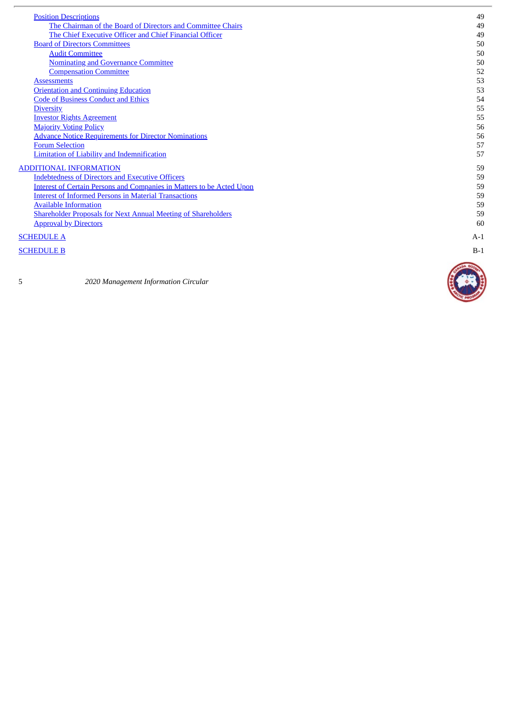| <b>Position Descriptions</b>                                                 | 49    |
|------------------------------------------------------------------------------|-------|
| The Chairman of the Board of Directors and Committee Chairs                  | 49    |
| The Chief Executive Officer and Chief Financial Officer                      | 49    |
| <b>Board of Directors Committees</b>                                         | 50    |
| <b>Audit Committee</b>                                                       | 50    |
| <b>Nominating and Governance Committee</b>                                   | 50    |
| <b>Compensation Committee</b>                                                | 52    |
| <b>Assessments</b>                                                           | 53    |
| <b>Orientation and Continuing Education</b>                                  | 53    |
| <b>Code of Business Conduct and Ethics</b>                                   | 54    |
| <b>Diversity</b>                                                             | 55    |
| <b>Investor Rights Agreement</b>                                             | 55    |
| <b>Majority Voting Policy</b>                                                | 56    |
| <b>Advance Notice Requirements for Director Nominations</b>                  | 56    |
| <b>Forum Selection</b>                                                       | 57    |
| <b>Limitation of Liability and Indemnification</b>                           | 57    |
| <b>ADDITIONAL INFORMATION</b>                                                | 59    |
| <b>Indebtedness of Directors and Executive Officers</b>                      | 59    |
| <b>Interest of Certain Persons and Companies in Matters to be Acted Upon</b> | 59    |
| <b>Interest of Informed Persons in Material Transactions</b>                 | 59    |
| <b>Available Information</b>                                                 | 59    |
| <b>Shareholder Proposals for Next Annual Meeting of Shareholders</b>         | 59    |
| <b>Approval by Directors</b>                                                 | 60    |
| <b>SCHEDULE A</b>                                                            | $A-1$ |
| <b>SCHEDULE B</b>                                                            | $B-1$ |

#### **SC[H](#page-73-0)EDULE B**

5

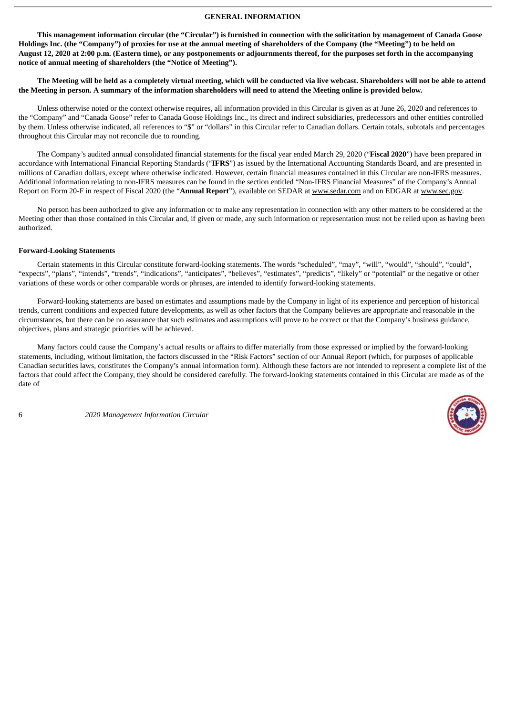#### **GENERAL INFORMATION**

<span id="page-8-0"></span>This management information circular (the "Circular") is furnished in connection with the solicitation by management of Canada Goose Holdings Inc. (the "Company") of proxies for use at the annual meeting of shareholders of the Company (the "Meeting") to be held on August 12, 2020 at 2:00 p.m. (Eastern time), or any postponements or adjournments thereof, for the purposes set forth in the accompanying **notice of annual meeting of shareholders (the "Notice of Meeting").**

The Meeting will be held as a completely virtual meeting, which will be conducted via live webcast. Shareholders will not be able to attend the Meeting in person. A summary of the information shareholders will need to attend the Meeting online is provided below.

Unless otherwise noted or the context otherwise requires, all information provided in this Circular is given as at June 26, 2020 and references to the "Company" and "Canada Goose" refer to Canada Goose Holdings Inc., its direct and indirect subsidiaries, predecessors and other entities controlled by them. Unless otherwise indicated, all references to "\$" or "dollars" in this Circular refer to Canadian dollars. Certain totals, subtotals and percentages throughout this Circular may not reconcile due to rounding.

The Company's audited annual consolidated financial statements for the fiscal year ended March 29, 2020 ("**Fiscal 2020**") have been prepared in accordance with International Financial Reporting Standards ("**IFRS**") as issued by the International Accounting Standards Board, and are presented in millions of Canadian dollars, except where otherwise indicated. However, certain financial measures contained in this Circular are non-IFRS measures. Additional information relating to non-IFRS measures can be found in the section entitled "Non-IFRS Financial Measures" of the Company's Annual Report on Form 20-F in respect of Fiscal 2020 (the "**Annual Report**"), available on SEDAR at www.sedar.com and on EDGAR at www.sec.gov.

No person has been authorized to give any information or to make any representation in connection with any other matters to be considered at the Meeting other than those contained in this Circular and, if given or made, any such information or representation must not be relied upon as having been authorized.

#### <span id="page-8-1"></span>**Forward-Looking Statements**

Certain statements in this Circular constitute forward-looking statements. The words "scheduled", "may", "will", "would", "should", "could", "expects", "plans", "intends", "trends", "indications", "anticipates", "believes", "estimates", "predicts", "likely" or "potential" or the negative or other variations of these words or other comparable words or phrases, are intended to identify forward-looking statements.

Forward-looking statements are based on estimates and assumptions made by the Company in light of its experience and perception of historical trends, current conditions and expected future developments, as well as other factors that the Company believes are appropriate and reasonable in the circumstances, but there can be no assurance that such estimates and assumptions will prove to be correct or that the Company's business guidance, objectives, plans and strategic priorities will be achieved.

Many factors could cause the Company's actual results or affairs to differ materially from those expressed or implied by the forward-looking statements, including, without limitation, the factors discussed in the "Risk Factors" section of our Annual Report (which, for purposes of applicable Canadian securities laws, constitutes the Company's annual information form). Although these factors are not intended to represent a complete list of the factors that could affect the Company, they should be considered carefully. The forward-looking statements contained in this Circular are made as of the date of

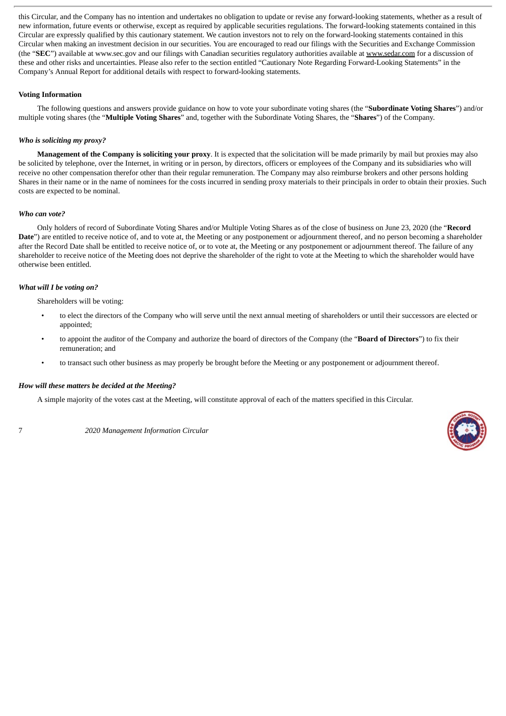this Circular, and the Company has no intention and undertakes no obligation to update or revise any forward-looking statements, whether as a result of new information, future events or otherwise, except as required by applicable securities regulations. The forward-looking statements contained in this Circular are expressly qualified by this cautionary statement. We caution investors not to rely on the forward-looking statements contained in this Circular when making an investment decision in our securities. You are encouraged to read our filings with the Securities and Exchange Commission (the "SEC") available at www.sec.gov and our filings with Canadian securities regulatory authorities available at www.sedar.com for a discussion of these and other risks and uncertainties. Please also refer to the section entitled "Cautionary Note Regarding Forward-Looking Statements" in the Company's Annual Report for additional details with respect to forward-looking statements.

#### <span id="page-9-0"></span>**Voting Information**

The following questions and answers provide guidance on how to vote your subordinate voting shares (the "**Subordinate Voting Shares**") and/or multiple voting shares (the "**Multiple Voting Shares**" and, together with the Subordinate Voting Shares, the "**Shares**") of the Company.

#### *Who is soliciting my proxy?*

**Management of the Company is soliciting your proxy**. It is expected that the solicitation will be made primarily by mail but proxies may also be solicited by telephone, over the Internet, in writing or in person, by directors, officers or employees of the Company and its subsidiaries who will receive no other compensation therefor other than their regular remuneration. The Company may also reimburse brokers and other persons holding Shares in their name or in the name of nominees for the costs incurred in sending proxy materials to their principals in order to obtain their proxies. Such costs are expected to be nominal.

#### *Who can vote?*

Only holders of record of Subordinate Voting Shares and/or Multiple Voting Shares as of the close of business on June 23, 2020 (the "**Record** Date") are entitled to receive notice of, and to vote at, the Meeting or any postponement or adjournment thereof, and no person becoming a shareholder after the Record Date shall be entitled to receive notice of, or to vote at, the Meeting or any postponement or adjournment thereof. The failure of any shareholder to receive notice of the Meeting does not deprive the shareholder of the right to vote at the Meeting to which the shareholder would have otherwise been entitled.

#### *What will I be voting on?*

Shareholders will be voting:

- to elect the directors of the Company who will serve until the next annual meeting of shareholders or until their successors are elected or appointed;
- to appoint the auditor of the Company and authorize the board of directors of the Company (the "**Board of Directors**") to fix their remuneration; and
- to transact such other business as may properly be brought before the Meeting or any postponement or adjournment thereof.

## *How will these matters be decided at the Meeting?*

A simple majority of the votes cast at the Meeting, will constitute approval of each of the matters specified in this Circular.

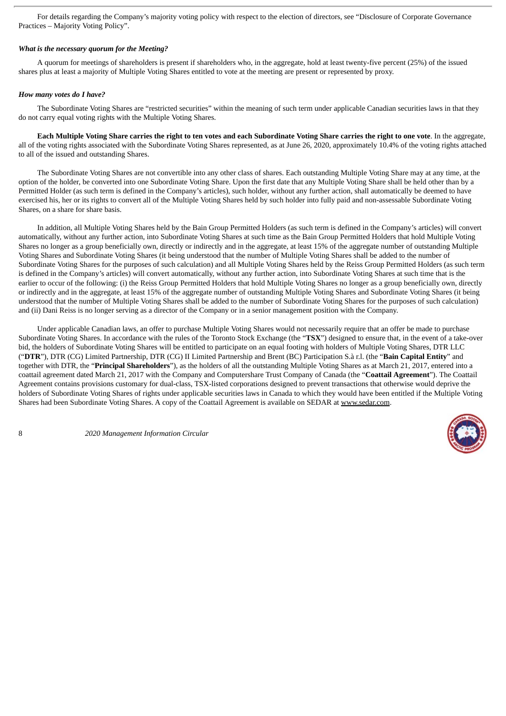For details regarding the Company's majority voting policy with respect to the election of directors, see "Disclosure of Corporate Governance Practices – Majority Voting Policy".

#### *What is the necessary quorum for the Meeting?*

A quorum for meetings of shareholders is present if shareholders who, in the aggregate, hold at least twenty-five percent (25%) of the issued shares plus at least a majority of Multiple Voting Shares entitled to vote at the meeting are present or represented by proxy.

#### *How many votes do I have?*

The Subordinate Voting Shares are "restricted securities" within the meaning of such term under applicable Canadian securities laws in that they do not carry equal voting rights with the Multiple Voting Shares.

Each Multiple Voting Share carries the right to ten votes and each Subordinate Voting Share carries the right to one vote. In the aggregate, all of the voting rights associated with the Subordinate Voting Shares represented, as at June 26, 2020, approximately 10.4% of the voting rights attached to all of the issued and outstanding Shares.

The Subordinate Voting Shares are not convertible into any other class of shares. Each outstanding Multiple Voting Share may at any time, at the option of the holder, be converted into one Subordinate Voting Share. Upon the first date that any Multiple Voting Share shall be held other than by a Permitted Holder (as such term is defined in the Company's articles), such holder, without any further action, shall automatically be deemed to have exercised his, her or its rights to convert all of the Multiple Voting Shares held by such holder into fully paid and non-assessable Subordinate Voting Shares, on a share for share basis.

In addition, all Multiple Voting Shares held by the Bain Group Permitted Holders (as such term is defined in the Company's articles) will convert automatically, without any further action, into Subordinate Voting Shares at such time as the Bain Group Permitted Holders that hold Multiple Voting Shares no longer as a group beneficially own, directly or indirectly and in the aggregate, at least 15% of the aggregate number of outstanding Multiple Voting Shares and Subordinate Voting Shares (it being understood that the number of Multiple Voting Shares shall be added to the number of Subordinate Voting Shares for the purposes of such calculation) and all Multiple Voting Shares held by the Reiss Group Permitted Holders (as such term is defined in the Company's articles) will convert automatically, without any further action, into Subordinate Voting Shares at such time that is the earlier to occur of the following: (i) the Reiss Group Permitted Holders that hold Multiple Voting Shares no longer as a group beneficially own, directly or indirectly and in the aggregate, at least 15% of the aggregate number of outstanding Multiple Voting Shares and Subordinate Voting Shares (it being understood that the number of Multiple Voting Shares shall be added to the number of Subordinate Voting Shares for the purposes of such calculation) and (ii) Dani Reiss is no longer serving as a director of the Company or in a senior management position with the Company.

Under applicable Canadian laws, an offer to purchase Multiple Voting Shares would not necessarily require that an offer be made to purchase Subordinate Voting Shares. In accordance with the rules of the Toronto Stock Exchange (the "**TSX**") designed to ensure that, in the event of a take-over bid, the holders of Subordinate Voting Shares will be entitled to participate on an equal footing with holders of Multiple Voting Shares, DTR LLC ("**DTR**"), DTR (CG) Limited Partnership, DTR (CG) II Limited Partnership and Brent (BC) Participation S.à r.l. (the "**Bain Capital Entity**" and together with DTR, the "**Principal Shareholders**"), as the holders of all the outstanding Multiple Voting Shares as at March 21, 2017, entered into a coattail agreement dated March 21, 2017 with the Company and Computershare Trust Company of Canada (the "**Coattail Agreement**"). The Coattail Agreement contains provisions customary for dual-class, TSX-listed corporations designed to prevent transactions that otherwise would deprive the holders of Subordinate Voting Shares of rights under applicable securities laws in Canada to which they would have been entitled if the Multiple Voting Shares had been Subordinate Voting Shares. A copy of the Coattail Agreement is available on SEDAR at www.sedar.com.

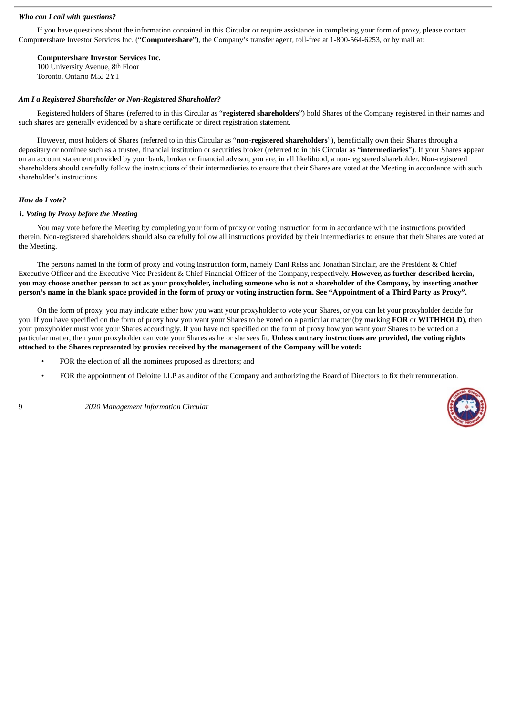#### *Who can I call with questions?*

If you have questions about the information contained in this Circular or require assistance in completing your form of proxy, please contact Computershare Investor Services Inc. ("**Computershare**"), the Company's transfer agent, toll-free at 1-800-564-6253, or by mail at:

**Computershare Investor Services Inc.**

100 University Avenue, 8th Floor Toronto, Ontario M5J 2Y1

#### *Am I a Registered Shareholder or Non-Registered Shareholder?*

Registered holders of Shares (referred to in this Circular as "**registered shareholders**") hold Shares of the Company registered in their names and such shares are generally evidenced by a share certificate or direct registration statement.

However, most holders of Shares (referred to in this Circular as "**non-registered shareholders**"), beneficially own their Shares through a depositary or nominee such as a trustee, financial institution or securities broker (referred to in this Circular as "**intermediaries**"). If your Shares appear on an account statement provided by your bank, broker or financial advisor, you are, in all likelihood, a non-registered shareholder. Non-registered shareholders should carefully follow the instructions of their intermediaries to ensure that their Shares are voted at the Meeting in accordance with such shareholder's instructions.

#### *How do I vote?*

#### *1. Voting by Proxy before the Meeting*

You may vote before the Meeting by completing your form of proxy or voting instruction form in accordance with the instructions provided therein. Non-registered shareholders should also carefully follow all instructions provided by their intermediaries to ensure that their Shares are voted at the Meeting.

The persons named in the form of proxy and voting instruction form, namely Dani Reiss and Jonathan Sinclair, are the President & Chief Executive Officer and the Executive Vice President & Chief Financial Officer of the Company, respectively. **However, as further described herein,** you may choose another person to act as your proxyholder, including someone who is not a shareholder of the Company, by inserting another person's name in the blank space provided in the form of proxy or voting instruction form. See "Appointment of a Third Party as Proxy".

On the form of proxy, you may indicate either how you want your proxyholder to vote your Shares, or you can let your proxyholder decide for you. If you have specified on the form of proxy how you want your Shares to be voted on a particular matter (by marking **FOR** or **WITHHOLD**), then your proxyholder must vote your Shares accordingly. If you have not specified on the form of proxy how you want your Shares to be voted on a particular matter, then your proxyholder can vote your Shares as he or she sees fit. **Unless contrary instructions are provided, the voting rights attached to the Shares represented by proxies received by the management of the Company will be voted:**

- FOR the election of all the nominees proposed as directors; and
- FOR the appointment of Deloitte LLP as auditor of the Company and authorizing the Board of Directors to fix their remuneration.

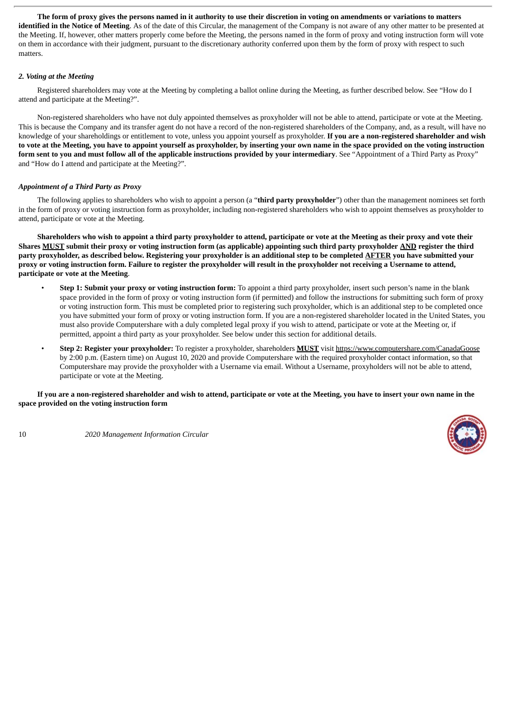The form of proxy gives the persons named in it authority to use their discretion in voting on amendments or variations to matters **identified in the Notice of Meeting**. As of the date of this Circular, the management of the Company is not aware of any other matter to be presented at the Meeting. If, however, other matters properly come before the Meeting, the persons named in the form of proxy and voting instruction form will vote on them in accordance with their judgment, pursuant to the discretionary authority conferred upon them by the form of proxy with respect to such matters.

#### *2. Voting at the Meeting*

Registered shareholders may vote at the Meeting by completing a ballot online during the Meeting, as further described below. See "How do I attend and participate at the Meeting?".

Non-registered shareholders who have not duly appointed themselves as proxyholder will not be able to attend, participate or vote at the Meeting. This is because the Company and its transfer agent do not have a record of the non-registered shareholders of the Company, and, as a result, will have no knowledge of your shareholdings or entitlement to vote, unless you appoint yourself as proxyholder. **If you are a non-registered shareholder and wish** to vote at the Meeting, you have to appoint yourself as proxyholder, by inserting your own name in the space provided on the voting instruction form sent to you and must follow all of the applicable instructions provided by your intermediary. See "Appointment of a Third Party as Proxy" and "How do I attend and participate at the Meeting?".

#### *Appointment of a Third Party as Proxy*

The following applies to shareholders who wish to appoint a person (a "**third party proxyholder**") other than the management nominees set forth in the form of proxy or voting instruction form as proxyholder, including non-registered shareholders who wish to appoint themselves as proxyholder to attend, participate or vote at the Meeting.

Shareholders who wish to appoint a third party proxyholder to attend, participate or vote at the Meeting as their proxy and vote their Shares MUST submit their proxy or voting instruction form (as applicable) appointing such third party proxyholder AND register the third party proxyholder, as described below. Registering your proxyholder is an additional step to be completed AFTER you have submitted your proxy or voting instruction form. Failure to register the proxyholder will result in the proxyholder not receiving a Username to attend, **participate or vote at the Meeting**.

- **Step 1: Submit your proxy or voting instruction form:** To appoint a third party proxyholder, insert such person's name in the blank space provided in the form of proxy or voting instruction form (if permitted) and follow the instructions for submitting such form of proxy or voting instruction form. This must be completed prior to registering such proxyholder, which is an additional step to be completed once you have submitted your form of proxy or voting instruction form. If you are a non-registered shareholder located in the United States, you must also provide Computershare with a duly completed legal proxy if you wish to attend, participate or vote at the Meeting or, if permitted, appoint a third party as your proxyholder. See below under this section for additional details.
- **Step 2: Register your proxyholder:** To register a proxyholder, shareholders **MUST** visit https://www.computershare.com/CanadaGoose by 2:00 p.m. (Eastern time) on August 10, 2020 and provide Computershare with the required proxyholder contact information, so that Computershare may provide the proxyholder with a Username via email. Without a Username, proxyholders will not be able to attend, participate or vote at the Meeting.

If you are a non-registered shareholder and wish to attend, participate or vote at the Meeting, you have to insert your own name in the **space provided on the voting instruction form**



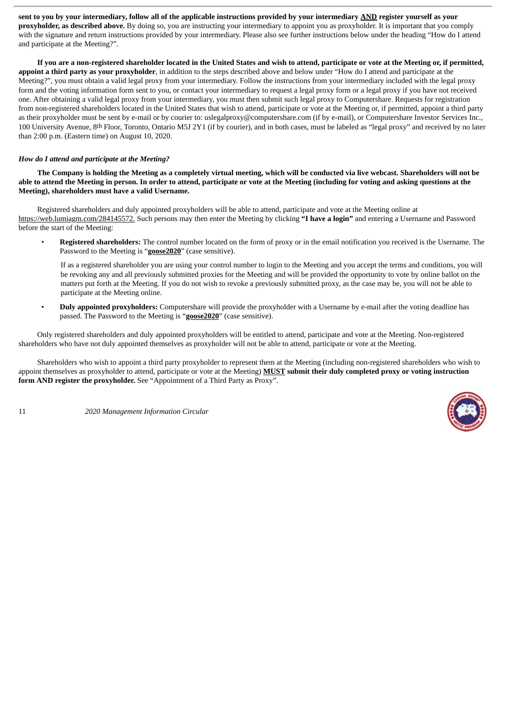sent to you by your intermediary, follow all of the applicable instructions provided by your intermediary AND register yourself as your **proxyholder, as described above.** By doing so, you are instructing your intermediary to appoint you as proxyholder. It is important that you comply with the signature and return instructions provided by your intermediary. Please also see further instructions below under the heading "How do I attend and participate at the Meeting?".

If you are a non-registered shareholder located in the United States and wish to attend, participate or yote at the Meeting or, if permitted, **appoint a third party as your proxyholder**, in addition to the steps described above and below under "How do I attend and participate at the Meeting?", you must obtain a valid legal proxy from your intermediary. Follow the instructions from your intermediary included with the legal proxy form and the voting information form sent to you, or contact your intermediary to request a legal proxy form or a legal proxy if you have not received one. After obtaining a valid legal proxy from your intermediary, you must then submit such legal proxy to Computershare. Requests for registration from non-registered shareholders located in the United States that wish to attend, participate or vote at the Meeting or, if permitted, appoint a third party as their proxyholder must be sent by e-mail or by courier to: uslegalproxy@computershare.com (if by e-mail), or Computershare Investor Services Inc., 100 University Avenue, 8th Floor, Toronto, Ontario M5J 2Y1 (if by courier), and in both cases, must be labeled as "legal proxy" and received by no later than 2:00 p.m. (Eastern time) on August 10, 2020.

#### *How do I attend and participate at the Meeting?*

The Company is holding the Meeting as a completely virtual meeting, which will be conducted via live webcast. Shareholders will not be able to attend the Meeting in person. In order to attend, participate or vote at the Meeting (including for voting and asking questions at the **Meeting), shareholders must have a valid Username.**

Registered shareholders and duly appointed proxyholders will be able to attend, participate and vote at the Meeting online at https://web.lumiagm.com/284145572. Such persons may then enter the Meeting by clicking **"I have a login"** and entering a Username and Password before the start of the Meeting:

• **Registered shareholders:** The control number located on the form of proxy or in the email notification you received is the Username. The Password to the Meeting is "**goose2020**" (case sensitive).

If as a registered shareholder you are using your control number to login to the Meeting and you accept the terms and conditions, you will be revoking any and all previously submitted proxies for the Meeting and will be provided the opportunity to vote by online ballot on the matters put forth at the Meeting. If you do not wish to revoke a previously submitted proxy, as the case may be, you will not be able to participate at the Meeting online.

• **Duly appointed proxyholders:** Computershare will provide the proxyholder with a Username by e-mail after the voting deadline has passed. The Password to the Meeting is "**goose2020**" (case sensitive).

Only registered shareholders and duly appointed proxyholders will be entitled to attend, participate and vote at the Meeting. Non-registered shareholders who have not duly appointed themselves as proxyholder will not be able to attend, participate or vote at the Meeting.

Shareholders who wish to appoint a third party proxyholder to represent them at the Meeting (including non-registered shareholders who wish to appoint themselves as proxyholder to attend, participate or vote at the Meeting) **MUST submit their duly completed proxy or voting instruction form AND register the proxyholder.** See "Appointment of a Third Party as Proxy".

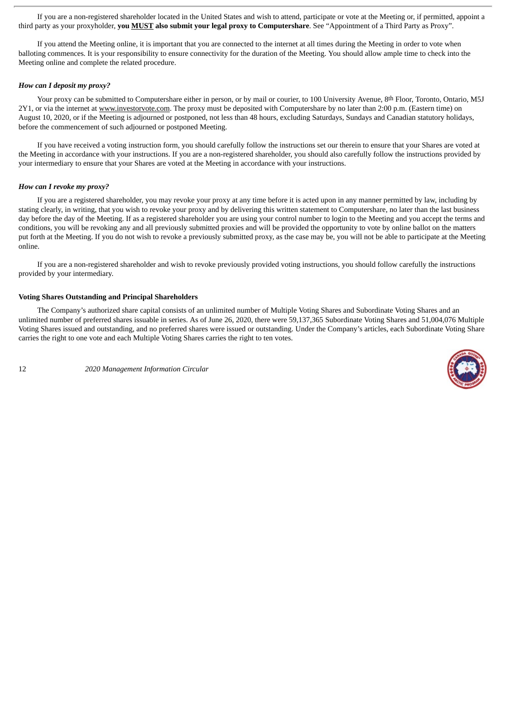If you are a non-registered shareholder located in the United States and wish to attend, participate or vote at the Meeting or, if permitted, appoint a third party as your proxyholder, **you MUST also submit your legal proxy to Computershare**. See "Appointment of a Third Party as Proxy".

If you attend the Meeting online, it is important that you are connected to the internet at all times during the Meeting in order to vote when balloting commences. It is your responsibility to ensure connectivity for the duration of the Meeting. You should allow ample time to check into the Meeting online and complete the related procedure.

#### *How can I deposit my proxy?*

Your proxy can be submitted to Computershare either in person, or by mail or courier, to 100 University Avenue, 8th Floor, Toronto, Ontario, M5J 2Y1, or via the internet at www.investorvote.com. The proxy must be deposited with Computershare by no later than 2:00 p.m. (Eastern time) on August 10, 2020, or if the Meeting is adjourned or postponed, not less than 48 hours, excluding Saturdays, Sundays and Canadian statutory holidays, before the commencement of such adjourned or postponed Meeting.

If you have received a voting instruction form, you should carefully follow the instructions set our therein to ensure that your Shares are voted at the Meeting in accordance with your instructions. If you are a non-registered shareholder, you should also carefully follow the instructions provided by your intermediary to ensure that your Shares are voted at the Meeting in accordance with your instructions.

#### *How can I revoke my proxy?*

If you are a registered shareholder, you may revoke your proxy at any time before it is acted upon in any manner permitted by law, including by stating clearly, in writing, that you wish to revoke your proxy and by delivering this written statement to Computershare, no later than the last business day before the day of the Meeting. If as a registered shareholder you are using your control number to login to the Meeting and you accept the terms and conditions, you will be revoking any and all previously submitted proxies and will be provided the opportunity to vote by online ballot on the matters put forth at the Meeting. If you do not wish to revoke a previously submitted proxy, as the case may be, you will not be able to participate at the Meeting online.

If you are a non-registered shareholder and wish to revoke previously provided voting instructions, you should follow carefully the instructions provided by your intermediary.

#### <span id="page-14-0"></span>**Voting Shares Outstanding and Principal Shareholders**

The Company's authorized share capital consists of an unlimited number of Multiple Voting Shares and Subordinate Voting Shares and an unlimited number of preferred shares issuable in series. As of June 26, 2020, there were 59,137,365 Subordinate Voting Shares and 51,004,076 Multiple Voting Shares issued and outstanding, and no preferred shares were issued or outstanding. Under the Company's articles, each Subordinate Voting Share carries the right to one vote and each Multiple Voting Shares carries the right to ten votes.

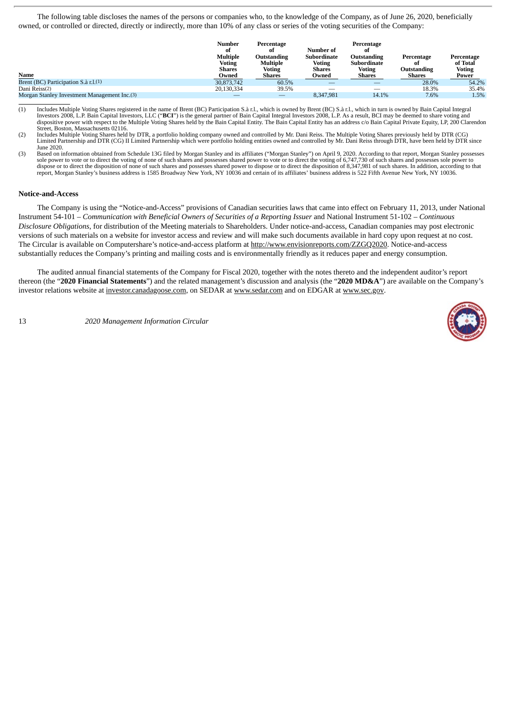The following table discloses the names of the persons or companies who, to the knowledge of the Company, as of June 26, 2020, beneficially owned, or controlled or directed, directly or indirectly, more than 10% of any class or series of the voting securities of the Company:

| Name                                         | <b>Number</b><br>ot<br><b>Multiple</b><br>Voting<br><b>Shares</b><br>Owned | Percentage<br>ot<br>Outstanding<br>Multiple<br>Voting<br><b>Shares</b> | Number of<br><b>Subordinate</b><br><b>Voting</b><br><b>Shares</b><br>Owned | Percentage<br>ot<br>Outstanding<br>Subordinate<br>Voting<br>Shares | Percentage<br>ot<br>Outstanding<br><b>Shares</b> | Percentage<br>of Total<br><b>Voting</b><br>Power |
|----------------------------------------------|----------------------------------------------------------------------------|------------------------------------------------------------------------|----------------------------------------------------------------------------|--------------------------------------------------------------------|--------------------------------------------------|--------------------------------------------------|
| Brent (BC) Participation S.à r.l.(1)         | 30.873.742                                                                 | 60.5%                                                                  |                                                                            |                                                                    | 28.0%                                            | 54.2%                                            |
| Dani Reiss(2)                                | 20,130,334                                                                 | 39.5%                                                                  |                                                                            | –                                                                  | 18.3%                                            | 35.4%                                            |
| Morgan Stanley Investment Management Inc.(3) |                                                                            | _                                                                      | 8.347.981                                                                  | 14.1%                                                              | 7.6%                                             | 1.5%                                             |

(1) Includes Multiple Voting Shares registered in the name of Brent (BC) Participation S.à r.l., which is owned by Brent (BC) S.à r.l., which in turn is owned by Bain Capital Integral Investors 2008, L.P. Bain Capital Investors, LLC ("**BCI**") is the general partner of Bain Capital Integral Investors 2008, L.P. As a result, BCI may be deemed to share voting and<br>dispositive power with respect to the Multi Street, Boston, Massachusetts 02116.

(2) Includes Multiple Voting Shares held by DTR, a portfolio holding company owned and controlled by Mr. Dani Reiss. The Multiple Voting Shares previously held by DTR (CG)<br>Limited Partnership and DTR (CG) II Limited Partne June 2020.

(3) Based on information obtained from Schedule 13G filed by Morgan Stanley and its affiliates ("Morgan Stanley") on April 9, 2020. According to that report, Morgan Stanley possesses sole power to vote or to direct the voting of none of such shares and possesses shared power to vote or to direct the voting of 6,747,730 of such shares and possesses sole power to dispose or to direct the disposition of none of such shares and possesses shared power to dispose or to direct the disposition of 8,347,981 of such shares. In addition, according to that report, Morgan Stanley's business address is 1585 Broadway New York, NY 10036 and certain of its affiliates' business address is 522 Fifth Avenue New York, NY 10036.

#### <span id="page-15-0"></span>**Notice-and-Access**

The Company is using the "Notice-and-Access" provisions of Canadian securities laws that came into effect on February 11, 2013, under National Instrument 54-101 – *Communication with Beneficial Owners of Securities of a Reporting Issuer* and National Instrument 51-102 – *Continuous Disclosure Obligations*, for distribution of the Meeting materials to Shareholders. Under notice-and-access, Canadian companies may post electronic versions of such materials on a website for investor access and review and will make such documents available in hard copy upon request at no cost. The Circular is available on Computershare's notice-and-access platform at http://www.envisionreports.com/ZZGQ2020. Notice-and-access substantially reduces the Company's printing and mailing costs and is environmentally friendly as it reduces paper and energy consumption.

The audited annual financial statements of the Company for Fiscal 2020, together with the notes thereto and the independent auditor's report thereon (the "**2020 Financial Statements**") and the related management's discussion and analysis (the "**2020 MD&A**") are available on the Company's investor relations website at investor.canadagoose.com, on SEDAR at www.sedar.com and on EDGAR at www.sec.gov.

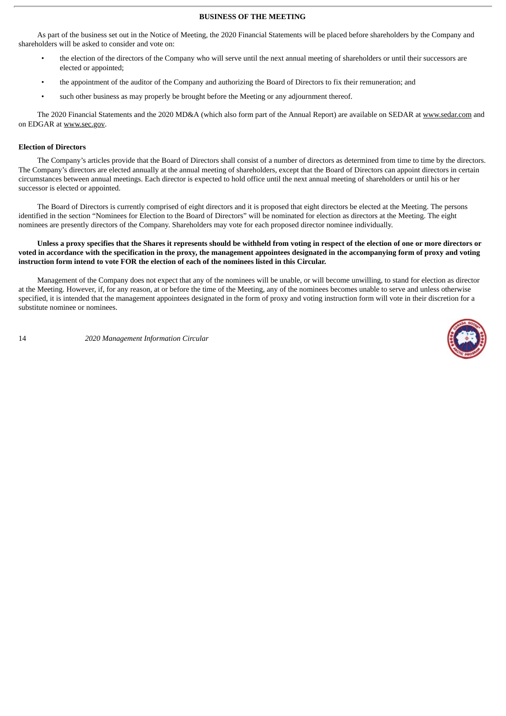#### **BUSINESS OF THE MEETING**

<span id="page-16-0"></span>As part of the business set out in the Notice of Meeting, the 2020 Financial Statements will be placed before shareholders by the Company and shareholders will be asked to consider and vote on:

- the election of the directors of the Company who will serve until the next annual meeting of shareholders or until their successors are elected or appointed;
- the appointment of the auditor of the Company and authorizing the Board of Directors to fix their remuneration; and
- such other business as may properly be brought before the Meeting or any adjournment thereof.

The 2020 Financial Statements and the 2020 MD&A (which also form part of the Annual Report) are available on SEDAR at www.sedar.com and on EDGAR at www.sec.gov.

#### <span id="page-16-1"></span>**Election of Directors**

The Company's articles provide that the Board of Directors shall consist of a number of directors as determined from time to time by the directors. The Company's directors are elected annually at the annual meeting of shareholders, except that the Board of Directors can appoint directors in certain circumstances between annual meetings. Each director is expected to hold office until the next annual meeting of shareholders or until his or her successor is elected or appointed.

The Board of Directors is currently comprised of eight directors and it is proposed that eight directors be elected at the Meeting. The persons identified in the section "Nominees for Election to the Board of Directors" will be nominated for election as directors at the Meeting. The eight nominees are presently directors of the Company. Shareholders may vote for each proposed director nominee individually.

#### Unless a proxy specifies that the Shares it represents should be withheld from voting in respect of the election of one or more directors or voted in accordance with the specification in the proxy, the management appointees designated in the accompanying form of proxy and voting **instruction form intend to vote FOR the election of each of the nominees listed in this Circular.**

Management of the Company does not expect that any of the nominees will be unable, or will become unwilling, to stand for election as director at the Meeting. However, if, for any reason, at or before the time of the Meeting, any of the nominees becomes unable to serve and unless otherwise specified, it is intended that the management appointees designated in the form of proxy and voting instruction form will vote in their discretion for a substitute nominee or nominees.

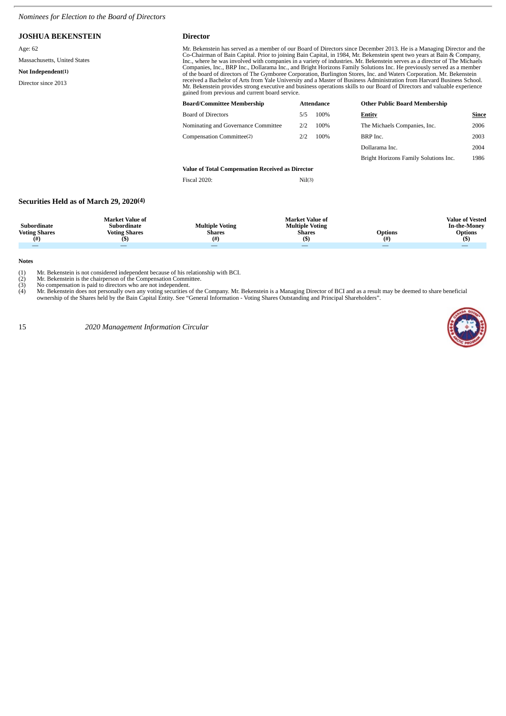#### <span id="page-17-0"></span>*Nominees for Election to the Board of Directors*

#### **JOSHUA BEKENSTEIN Director** Age: 62 Massachusetts, United States **Not Independent(1)** Director since 2013 Mr. Bekenstein has served as a member of our Board of Directors since December 2013. He is a Managing Director and the<br>Co-Chairman of Bain Capital. Prior to joining Bain Capital, in 1984, Mr. Bekenstein spent two years at Inc., where he was involved with companies in a variety of industries. Mr. Bekenstein serves as a director of The Michaels<br>Companies, Inc., BRP Inc., Dollarama Inc., and Bright Horizons Family Solutions Inc. He previously received a Bachelor of Arts from Yale University and a Master of Business Administration from Harvard Business School.<br>Mr. Bekenstein provides strong executive and business operations skills to our Board of Directors and v **Board/Committee Membership Attendance Other Public Board Membership**

| Board/Committee Membership                       |     | Attendance | <b>Other Public Board Membership</b>  |       |  |  |  |
|--------------------------------------------------|-----|------------|---------------------------------------|-------|--|--|--|
| Board of Directors                               | 5/5 | 100%       | Entity                                | Since |  |  |  |
| Nominating and Governance Committee              | 2/2 | 100%       | The Michaels Companies, Inc.          | 2006  |  |  |  |
| Compensation Committee(2)                        | 2/2 | 100%       | BRP Inc.                              | 2003  |  |  |  |
|                                                  |     |            | Dollarama Inc.                        | 2004  |  |  |  |
|                                                  |     |            | Bright Horizons Family Solutions Inc. | 1986  |  |  |  |
| Value of Total Compensation Received as Director |     |            |                                       |       |  |  |  |

Fiscal 2020: Nil(3)

#### **Securities Held as of March 29, 2020(4)**

| Subordinate<br><b>Voting Shares</b> | <b>Market Value of</b><br>Subordinate<br><b>Voting Shares</b><br>(5) | <b>Multiple Voting</b><br><b>Shares</b><br>(#) | <b>Market Value of</b><br><b>Multiple Voting</b><br>Shares | <b>Options</b><br>(# | <b>Value of Vested</b><br><b>In-the-Money</b><br><b>Options</b> |
|-------------------------------------|----------------------------------------------------------------------|------------------------------------------------|------------------------------------------------------------|----------------------|-----------------------------------------------------------------|
|                                     |                                                                      |                                                |                                                            |                      | __                                                              |

**Notes**

(1) Mr. Bekenstein is not considered independent because of his relationship with BCI.

(2) Mr. Bekenstein is the chairperson of the Compensation Committee.<br>
(3) No compensation is paid to directors who are not independent.<br>
(4) Mr. Bekenstein does not personally own any voting securities of the (3) No compensation is paid to directors who are not independent.<br>(4) Mr. Bekenstein does not personally own any voting securities of the Company. Mr. Bekenstein is a Managing Director of BCI and as a result may be deemed

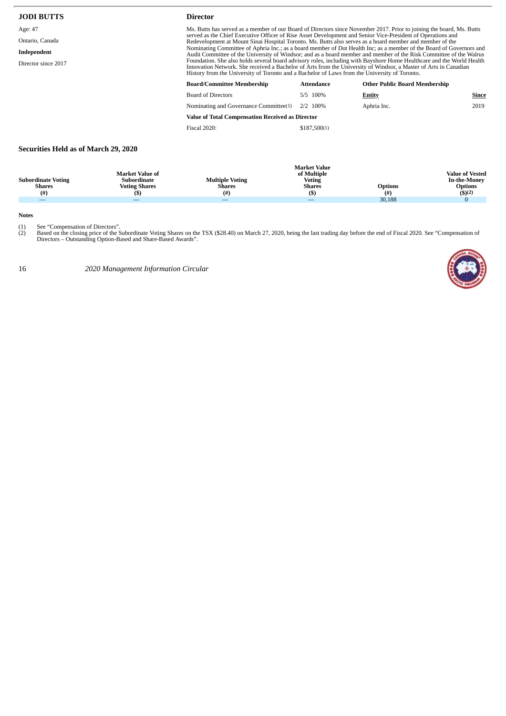| <b>JODI BUTTS</b>                  | <b>Director</b>                                                                                                                                                                                                                                                                                                                                                                                                                                                                        |            |                                      |       |  |
|------------------------------------|----------------------------------------------------------------------------------------------------------------------------------------------------------------------------------------------------------------------------------------------------------------------------------------------------------------------------------------------------------------------------------------------------------------------------------------------------------------------------------------|------------|--------------------------------------|-------|--|
| Age: 47<br>Ontario, Canada         | Ms. Butts has served as a member of our Board of Directors since November 2017. Prior to joining the board, Ms. Butts<br>served as the Chief Executive Officer of Rise Asset Development and Senior Vice-President of Operations and<br>Redevelopment at Mount Sinai Hospital Toronto. Ms. Butts also serves as a board member and member of the                                                                                                                                       |            |                                      |       |  |
| Independent<br>Director since 2017 | Nominating Committee of Aphria Inc.; as a board member of Dot Health Inc; as a member of the Board of Governors and<br>Audit Committee of the University of Windsor; and as a board member and member of the Risk Committee of the Walrus<br>Foundation. She also holds several board advisory roles, including with Bayshore Home Healthcare and the World Health<br>Innovation Network. She received a Bachelor of Arts from the University of Windsor, a Master of Arts in Canadian |            |                                      |       |  |
|                                    | History from the University of Toronto and a Bachelor of Laws from the University of Toronto.                                                                                                                                                                                                                                                                                                                                                                                          |            |                                      |       |  |
|                                    | <b>Board/Committee Membership</b>                                                                                                                                                                                                                                                                                                                                                                                                                                                      | Attendance | <b>Other Public Board Membership</b> |       |  |
|                                    | <b>Board of Directors</b>                                                                                                                                                                                                                                                                                                                                                                                                                                                              | 5/5 100%   | Entity                               | Since |  |
|                                    | Nominating and Governance Committee(1)                                                                                                                                                                                                                                                                                                                                                                                                                                                 | 2/2 100%   | Aphria Inc.                          | 2019  |  |
|                                    | <b>Value of Total Compensation Received as Director</b>                                                                                                                                                                                                                                                                                                                                                                                                                                |            |                                      |       |  |

Fiscal 2020: \$187,500(1)

# **Securities Held as of March 29, 2020**

| <b>Subordinate Voting</b><br><b>Shares</b><br>(# ) | <b>Market Value of</b><br>Subordinate<br>Voting Shares | <b>Multiple Voting</b><br><b>Shares</b><br>(# ) | <b>Market Value</b><br>of Multiple<br><b>Voting</b><br><b>Shares</b><br>(\$) | <b>Options</b><br>(#) | <b>Value of Vested</b><br><b>In-the-Money</b><br><b>Options</b><br>\$)(2) |
|----------------------------------------------------|--------------------------------------------------------|-------------------------------------------------|------------------------------------------------------------------------------|-----------------------|---------------------------------------------------------------------------|
|                                                    |                                                        |                                                 | $\overline{\phantom{m}}$                                                     | 30,188                |                                                                           |

**Notes**

(1) See "Compensation of Directors".<br>(2) Based on the closing price of the Subordinate Voting Shares on the TSX (\$28.40) on March 27, 2020, being the last trading day before the end of Fiscal 2020. See "Compensation of<br>Dir

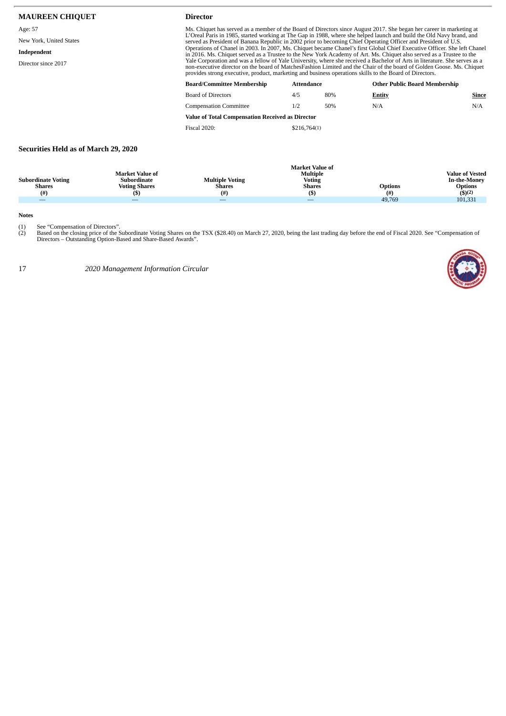| <b>MAUREEN CHIQUET</b>             | <b>Director</b>                                                                                                                                                                                                                              |                                                                                                                                                                                                                                                                                                                                                                                                                                                                                                                                                                                                                           |     |                                      |       |  |  |
|------------------------------------|----------------------------------------------------------------------------------------------------------------------------------------------------------------------------------------------------------------------------------------------|---------------------------------------------------------------------------------------------------------------------------------------------------------------------------------------------------------------------------------------------------------------------------------------------------------------------------------------------------------------------------------------------------------------------------------------------------------------------------------------------------------------------------------------------------------------------------------------------------------------------------|-----|--------------------------------------|-------|--|--|
| Age: 57<br>New York, United States | Ms. Chiquet has served as a member of the Board of Directors since August 2017. She began her career in marketing at<br>L'Oreal Paris in 1985, started working at The Gap in 1988, where she helped launch and build the Old Navy brand, and |                                                                                                                                                                                                                                                                                                                                                                                                                                                                                                                                                                                                                           |     |                                      |       |  |  |
| Independent<br>Director since 2017 |                                                                                                                                                                                                                                              | served as President of Banana Republic in 2002 prior to becoming Chief Operating Officer and President of U.S.<br>Operations of Chanel in 2003. In 2007, Ms. Chiquet became Chanel's first Global Chief Executive Officer. She left Chanel<br>in 2016. Ms. Chiquet served as a Trustee to the New York Academy of Art. Ms. Chiquet also served as a Trustee to the<br>Yale Corporation and was a fellow of Yale University, where she received a Bachelor of Arts in literature. She serves as a<br>non-executive director on the board of MatchesFashion Limited and the Chair of the board of Golden Goose. Ms. Chiquet |     |                                      |       |  |  |
|                                    |                                                                                                                                                                                                                                              | provides strong executive, product, marketing and business operations skills to the Board of Directors.                                                                                                                                                                                                                                                                                                                                                                                                                                                                                                                   |     |                                      |       |  |  |
|                                    | <b>Board/Committee Membership</b>                                                                                                                                                                                                            | Attendance                                                                                                                                                                                                                                                                                                                                                                                                                                                                                                                                                                                                                |     | <b>Other Public Board Membership</b> |       |  |  |
|                                    | <b>Board of Directors</b>                                                                                                                                                                                                                    | 4/5                                                                                                                                                                                                                                                                                                                                                                                                                                                                                                                                                                                                                       | 80% | <b>Entity</b>                        | Since |  |  |
|                                    | <b>Compensation Committee</b>                                                                                                                                                                                                                | 1/2                                                                                                                                                                                                                                                                                                                                                                                                                                                                                                                                                                                                                       | 50% | N/A                                  | N/A   |  |  |

**Value of Total Compensation Received as Director** Fiscal 2020: \$216,764(1)

# **Securities Held as of March 29, 2020**

| Subordinate Voting<br><b>Shares</b> | <b>Market Value of</b><br>Subordinate<br><b>Voting Shares</b> | <b>Multiple Voting</b><br><b>Shares</b> | <b>Market Value of</b><br>Multiple<br><b>Voting</b><br><b>Shares</b> | <b>Options</b> | <b>Value of Vested</b><br><b>In-the-Money</b><br><b>Options</b> |
|-------------------------------------|---------------------------------------------------------------|-----------------------------------------|----------------------------------------------------------------------|----------------|-----------------------------------------------------------------|
| (#)                                 |                                                               | (#                                      | (\$                                                                  | (#)            | \$)(2)                                                          |
| $\overline{\phantom{a}}$            |                                                               |                                         |                                                                      | 49.769         | 101,331                                                         |

**Notes**

(1) See "Compensation of Directors".<br>(2) Based on the closing price of the Subordinate Voting Shares on the TSX (\$28.40) on March 27, 2020, being the last trading day before the end of Fiscal 2020. See "Compensation of<br>Dir

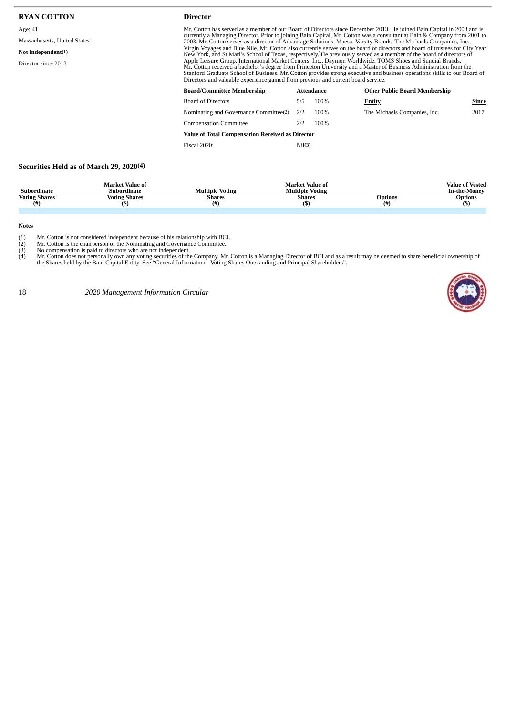| <b>RYAN COTTON</b>                                                                   | <b>Director</b>                                                                                                                                                                                                                                                                                                                                                                                                                                                                                                                                                                                                                                                                                                                                                                                                                                                                                                                                                                                                                                                                       |        |                   |                                      |       |  |
|--------------------------------------------------------------------------------------|---------------------------------------------------------------------------------------------------------------------------------------------------------------------------------------------------------------------------------------------------------------------------------------------------------------------------------------------------------------------------------------------------------------------------------------------------------------------------------------------------------------------------------------------------------------------------------------------------------------------------------------------------------------------------------------------------------------------------------------------------------------------------------------------------------------------------------------------------------------------------------------------------------------------------------------------------------------------------------------------------------------------------------------------------------------------------------------|--------|-------------------|--------------------------------------|-------|--|
| Age: 41<br>Massachusetts, United States<br>Not independent(1)<br>Director since 2013 | Mr. Cotton has served as a member of our Board of Directors since December 2013. He joined Bain Capital in 2003 and is<br>currently a Managing Director. Prior to joining Bain Capital, Mr. Cotton was a consultant at Bain & Company from 2001 to<br>2003. Mr. Cotton serves as a director of Advantage Solutions, Maesa, Varsity Brands, The Michaels Companies, Inc.,<br>Virgin Voyages and Blue Nile. Mr. Cotton also currently serves on the board of directors and board of trustees for City Year<br>New York, and St Marl's School of Texas, respectively. He previously served as a member of the board of directors of<br>Apple Leisure Group, International Market Centers, Inc., Daymon Worldwide, TOMS Shoes and Sundial Brands.<br>Mr. Cotton received a bachelor's degree from Princeton University and a Master of Business Administration from the<br>Stanford Graduate School of Business. Mr. Cotton provides strong executive and business operations skills to our Board of<br>Directors and valuable experience gained from previous and current board service. |        |                   |                                      |       |  |
|                                                                                      | <b>Board/Committee Membership</b>                                                                                                                                                                                                                                                                                                                                                                                                                                                                                                                                                                                                                                                                                                                                                                                                                                                                                                                                                                                                                                                     |        | <b>Attendance</b> | <b>Other Public Board Membership</b> |       |  |
|                                                                                      | <b>Board of Directors</b>                                                                                                                                                                                                                                                                                                                                                                                                                                                                                                                                                                                                                                                                                                                                                                                                                                                                                                                                                                                                                                                             | 5/5    | 100%              | <b>Entity</b>                        | Since |  |
|                                                                                      | Nominating and Governance Committee(2)                                                                                                                                                                                                                                                                                                                                                                                                                                                                                                                                                                                                                                                                                                                                                                                                                                                                                                                                                                                                                                                | 2/2    | 100%              | The Michaels Companies, Inc.         | 2017  |  |
|                                                                                      | <b>Compensation Committee</b>                                                                                                                                                                                                                                                                                                                                                                                                                                                                                                                                                                                                                                                                                                                                                                                                                                                                                                                                                                                                                                                         | 2/2    | 100%              |                                      |       |  |
|                                                                                      | <b>Value of Total Compensation Received as Director</b>                                                                                                                                                                                                                                                                                                                                                                                                                                                                                                                                                                                                                                                                                                                                                                                                                                                                                                                                                                                                                               |        |                   |                                      |       |  |
|                                                                                      | <b>Fiscal 2020:</b>                                                                                                                                                                                                                                                                                                                                                                                                                                                                                                                                                                                                                                                                                                                                                                                                                                                                                                                                                                                                                                                                   | Nil(3) |                   |                                      |       |  |
| Securities Held as of March 29, 2020(4)                                              |                                                                                                                                                                                                                                                                                                                                                                                                                                                                                                                                                                                                                                                                                                                                                                                                                                                                                                                                                                                                                                                                                       |        |                   |                                      |       |  |

**Notes**

**Subordinate Voting Shares (#)**

**Market Value of Subordinate Voting Shares (\$)**

Mr. Cotton is not considered independent because of his relationship with BCI.<br>(2) Mr. Cotton is the chairperson of the Nominating and Governance Committee.<br>(3) No compensation is paid to directors who are not independent.

— — — — — —

**Market Value of Multiple Voting Shares (\$)**

**Options (#)**

**Multiple Voting Shares (#)**

18 *2020 Management Information Circular*



**Value of Vested In-the-Money Options (\$)**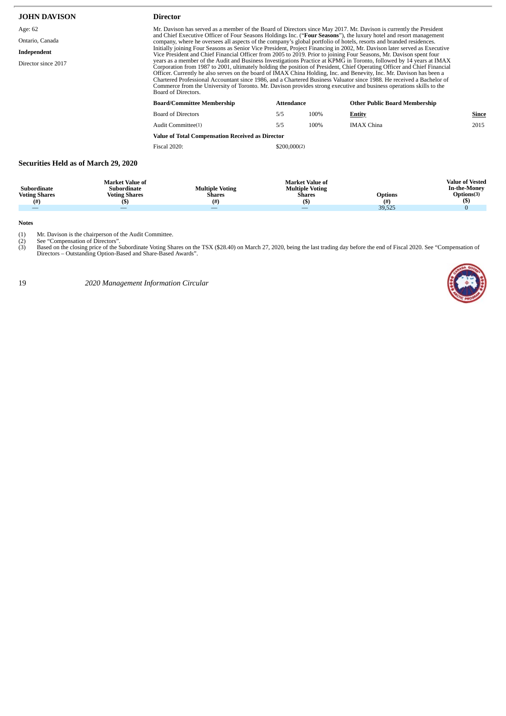| <b>JOHN DAVISON</b>                         |                                                                        | <b>Director</b>                                                                                                                                                                                                                                                                                                                                                                                                                                                                                                                                                                                                                                  |              |                                                                     |                       |                                                                                  |  |  |
|---------------------------------------------|------------------------------------------------------------------------|--------------------------------------------------------------------------------------------------------------------------------------------------------------------------------------------------------------------------------------------------------------------------------------------------------------------------------------------------------------------------------------------------------------------------------------------------------------------------------------------------------------------------------------------------------------------------------------------------------------------------------------------------|--------------|---------------------------------------------------------------------|-----------------------|----------------------------------------------------------------------------------|--|--|
| Age: 62                                     |                                                                        | Mr. Davison has served as a member of the Board of Directors since May 2017. Mr. Davison is currently the President                                                                                                                                                                                                                                                                                                                                                                                                                                                                                                                              |              |                                                                     |                       |                                                                                  |  |  |
| Ontario, Canada                             |                                                                        | and Chief Executive Officer of Four Seasons Holdings Inc. ("Four Seasons"), the luxury hotel and resort management<br>company, where he oversees all aspects of the company's global portfolio of hotels, resorts and branded residences.                                                                                                                                                                                                                                                                                                                                                                                                        |              |                                                                     |                       |                                                                                  |  |  |
| Independent                                 |                                                                        | Initially joining Four Seasons as Senior Vice President, Project Financing in 2002, Mr. Davison later served as Executive<br>Vice President and Chief Financial Officer from 2005 to 2019. Prior to joining Four Seasons, Mr. Davison spent four                                                                                                                                                                                                                                                                                                                                                                                                 |              |                                                                     |                       |                                                                                  |  |  |
| Director since 2017                         |                                                                        | years as a member of the Audit and Business Investigations Practice at KPMG in Toronto, followed by 14 years at IMAX<br>Corporation from 1987 to 2001, ultimately holding the position of President, Chief Operating Officer and Chief Financial<br>Officer. Currently he also serves on the board of IMAX China Holding, Inc. and Benevity, Inc. Mr. Davison has been a<br>Chartered Professional Accountant since 1986, and a Chartered Business Valuator since 1988. He received a Bachelor of<br>Commerce from the University of Toronto. Mr. Davison provides strong executive and business operations skills to the<br>Board of Directors. |              |                                                                     |                       |                                                                                  |  |  |
|                                             |                                                                        | <b>Board/Committee Membership</b><br><b>Attendance</b><br><b>Other Public Board Membership</b>                                                                                                                                                                                                                                                                                                                                                                                                                                                                                                                                                   |              |                                                                     |                       |                                                                                  |  |  |
|                                             |                                                                        | <b>Board of Directors</b>                                                                                                                                                                                                                                                                                                                                                                                                                                                                                                                                                                                                                        | 5/5          | 100%                                                                | Entity                | Since                                                                            |  |  |
|                                             |                                                                        | Audit Committee(1)                                                                                                                                                                                                                                                                                                                                                                                                                                                                                                                                                                                                                               | 5/5          | 100%                                                                | <b>IMAX China</b>     | 2015                                                                             |  |  |
|                                             |                                                                        | Value of Total Compensation Received as Director                                                                                                                                                                                                                                                                                                                                                                                                                                                                                                                                                                                                 |              |                                                                     |                       |                                                                                  |  |  |
|                                             |                                                                        | <b>Fiscal 2020:</b>                                                                                                                                                                                                                                                                                                                                                                                                                                                                                                                                                                                                                              | \$200,000(2) |                                                                     |                       |                                                                                  |  |  |
| <b>Securities Held as of March 29, 2020</b> |                                                                        |                                                                                                                                                                                                                                                                                                                                                                                                                                                                                                                                                                                                                                                  |              |                                                                     |                       |                                                                                  |  |  |
| Subordinate<br><b>Voting Shares</b><br>(# ) | <b>Market Value of</b><br>Subordinate<br><b>Voting Shares</b><br>$($)$ | <b>Multiple Voting</b><br><b>Shares</b><br>(#)                                                                                                                                                                                                                                                                                                                                                                                                                                                                                                                                                                                                   |              | <b>Market Value of</b><br><b>Multiple Voting</b><br>Shares<br>$($)$ | <b>Options</b><br>(#) | <b>Value of Vested</b><br><b>In-the-Money</b><br>Options <sup>(3)</sup><br>$($)$ |  |  |

**Notes**

(1) Mr. Davison is the chairperson of the Audit Committee.<br>(2) See "Compensation of Directors".<br>(3) Based on the closing price of the Subordinate Voting Shares on the TSX (\$28.40) on March 27, 2020, being the last trading

— and the contract of the contract of the contract of the contract of the contract of the contract of the contract of the contract of the contract of the contract of the contract of the contract of the contract of the con

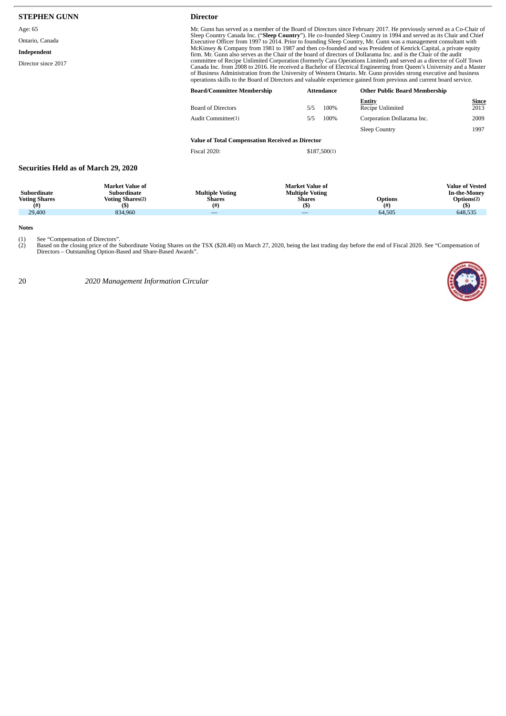| <b>STEPHEN GUNN</b>                               |                                                                                 | <b>Director</b>                                              |                                                                                                                                                                                                                                                                                                                                                                                                                                                                                                                                                                                                                                                                                                                                 |                                                                                                                                                                                                                                       |                                                                                  |  |  |  |
|---------------------------------------------------|---------------------------------------------------------------------------------|--------------------------------------------------------------|---------------------------------------------------------------------------------------------------------------------------------------------------------------------------------------------------------------------------------------------------------------------------------------------------------------------------------------------------------------------------------------------------------------------------------------------------------------------------------------------------------------------------------------------------------------------------------------------------------------------------------------------------------------------------------------------------------------------------------|---------------------------------------------------------------------------------------------------------------------------------------------------------------------------------------------------------------------------------------|----------------------------------------------------------------------------------|--|--|--|
| Age: 65                                           |                                                                                 |                                                              |                                                                                                                                                                                                                                                                                                                                                                                                                                                                                                                                                                                                                                                                                                                                 | Mr. Gunn has served as a member of the Board of Directors since February 2017. He previously served as a Co-Chair of                                                                                                                  |                                                                                  |  |  |  |
| Ontario, Canada                                   |                                                                                 |                                                              |                                                                                                                                                                                                                                                                                                                                                                                                                                                                                                                                                                                                                                                                                                                                 | Sleep Country Canada Inc. ("Sleep Country"). He co-founded Sleep Country in 1994 and served as its Chair and Chief<br>Executive Officer from 1997 to 2014. Prior to founding Sleep Country, Mr. Gunn was a management consultant with |                                                                                  |  |  |  |
| Independent                                       |                                                                                 |                                                              | McKinsey & Company from 1981 to 1987 and then co-founded and was President of Kenrick Capital, a private equity<br>firm. Mr. Gunn also serves as the Chair of the board of directors of Dollarama Inc. and is the Chair of the audit<br>committee of Recipe Unlimited Corporation (formerly Cara Operations Limited) and served as a director of Golf Town<br>Canada Inc. from 2008 to 2016. He received a Bachelor of Electrical Engineering from Queen's University and a Master<br>of Business Administration from the University of Western Ontario. Mr. Gunn provides strong executive and business<br>operations skills to the Board of Directors and valuable experience gained from previous and current board service. |                                                                                                                                                                                                                                       |                                                                                  |  |  |  |
| Director since 2017                               |                                                                                 |                                                              |                                                                                                                                                                                                                                                                                                                                                                                                                                                                                                                                                                                                                                                                                                                                 |                                                                                                                                                                                                                                       |                                                                                  |  |  |  |
|                                                   |                                                                                 | <b>Board/Committee Membership</b>                            | Attendance                                                                                                                                                                                                                                                                                                                                                                                                                                                                                                                                                                                                                                                                                                                      | <b>Other Public Board Membership</b>                                                                                                                                                                                                  |                                                                                  |  |  |  |
|                                                   |                                                                                 | <b>Board of Directors</b>                                    | 5/5                                                                                                                                                                                                                                                                                                                                                                                                                                                                                                                                                                                                                                                                                                                             | <b>Entity</b><br>Recipe Unlimited<br>100%                                                                                                                                                                                             | Since<br>2013                                                                    |  |  |  |
|                                                   |                                                                                 | Audit Committee(1)                                           | 5/5                                                                                                                                                                                                                                                                                                                                                                                                                                                                                                                                                                                                                                                                                                                             | 100%<br>Corporation Dollarama Inc.                                                                                                                                                                                                    | 2009                                                                             |  |  |  |
|                                                   |                                                                                 |                                                              |                                                                                                                                                                                                                                                                                                                                                                                                                                                                                                                                                                                                                                                                                                                                 | Sleep Country                                                                                                                                                                                                                         | 1997                                                                             |  |  |  |
|                                                   |                                                                                 | <b>Value of Total Compensation Received as Director</b>      |                                                                                                                                                                                                                                                                                                                                                                                                                                                                                                                                                                                                                                                                                                                                 |                                                                                                                                                                                                                                       |                                                                                  |  |  |  |
|                                                   |                                                                                 | <b>Fiscal 2020:</b>                                          | \$187,500(1)                                                                                                                                                                                                                                                                                                                                                                                                                                                                                                                                                                                                                                                                                                                    |                                                                                                                                                                                                                                       |                                                                                  |  |  |  |
| <b>Securities Held as of March 29, 2020</b>       |                                                                                 |                                                              |                                                                                                                                                                                                                                                                                                                                                                                                                                                                                                                                                                                                                                                                                                                                 |                                                                                                                                                                                                                                       |                                                                                  |  |  |  |
| <b>Subordinate</b><br><b>Voting Shares</b><br>(#) | <b>Market Value of</b><br><b>Subordinate</b><br><b>Voting Shares(2)</b><br>(\$) | <b>Multiple Voting</b><br><b>Shares</b><br>(# <sup>2</sup> ) | <b>Market Value of</b><br><b>Multiple Voting</b><br><b>Shares</b><br>(5)                                                                                                                                                                                                                                                                                                                                                                                                                                                                                                                                                                                                                                                        | <b>Options</b><br>$^{(#)}$                                                                                                                                                                                                            | <b>Value of Vested</b><br><b>In-the-Money</b><br>Options <sup>(2)</sup><br>$($)$ |  |  |  |

**Notes**

(1) See "Compensation of Directors".<br>(2) Based on the closing price of the Subordinate Voting Shares on the TSX (\$28.40) on March 27, 2020, being the last trading day before the end of Fiscal 2020. See "Compensation of<br>Dir

29,400 834,960 — — 64,505 648,535

**(\$)**

20 *2020 Management Information Circular*



Prions(2)<br>**(\$)**<br>648,535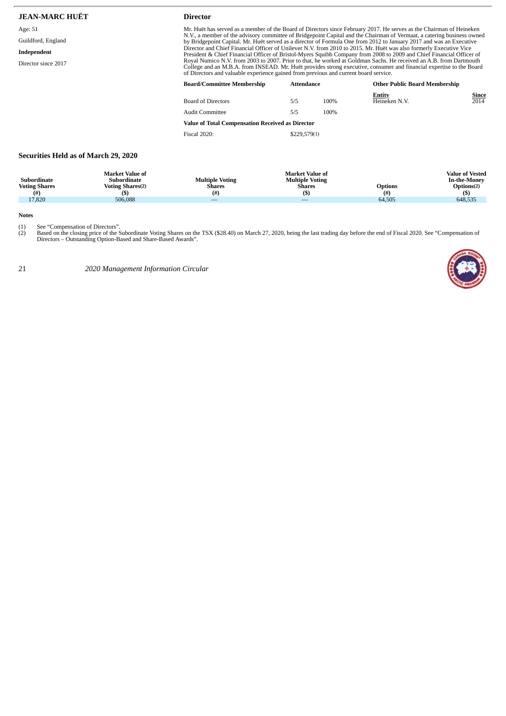| <b>JEAN-MARC HUËT</b>                       | <b>Director</b>                                                                                                                                                                                                                               |                                                                                                                                                                                                                                                                                                                                    |      |                                      |                 |  |
|---------------------------------------------|-----------------------------------------------------------------------------------------------------------------------------------------------------------------------------------------------------------------------------------------------|------------------------------------------------------------------------------------------------------------------------------------------------------------------------------------------------------------------------------------------------------------------------------------------------------------------------------------|------|--------------------------------------|-----------------|--|
| Age: 51                                     | Mr. Huët has served as a member of the Board of Directors since February 2017. He serves as the Chairman of Heineken                                                                                                                          |                                                                                                                                                                                                                                                                                                                                    |      |                                      |                 |  |
| Guildford, England                          | N.V., a member of the advisory committee of Bridgepoint Capital and the Chairman of Vermaat, a catering business owned<br>by Bridgepoint Capital. Mr. Huët served as a director of Formula One from 2012 to January 2017 and was an Executive |                                                                                                                                                                                                                                                                                                                                    |      |                                      |                 |  |
| Independent                                 |                                                                                                                                                                                                                                               | Director and Chief Financial Officer of Unilever N.V. from 2010 to 2015. Mr. Huët was also formerly Executive Vice<br>President & Chief Financial Officer of Bristol-Myers Squibb Company from 2008 to 2009 and Chief Financial Officer of                                                                                         |      |                                      |                 |  |
| Director since 2017                         |                                                                                                                                                                                                                                               | Royal Numico N.V. from 2003 to 2007. Prior to that, he worked at Goldman Sachs. He received an A.B. from Dartmouth<br>College and an M.B.A. from INSEAD. Mr. Huët provides strong executive, consumer and financial expertise to the Board<br>of Directors and valuable experience gained from previous and current board service. |      |                                      |                 |  |
|                                             | <b>Board/Committee Membership</b>                                                                                                                                                                                                             | <b>Attendance</b>                                                                                                                                                                                                                                                                                                                  |      | <b>Other Public Board Membership</b> |                 |  |
|                                             | <b>Board of Directors</b>                                                                                                                                                                                                                     | 5/5                                                                                                                                                                                                                                                                                                                                | 100% | Entity<br>Heineken N.V.              | Since<br>2014   |  |
|                                             | <b>Audit Committee</b>                                                                                                                                                                                                                        | 5/5                                                                                                                                                                                                                                                                                                                                | 100% |                                      |                 |  |
|                                             | Value of Total Compensation Received as Director                                                                                                                                                                                              |                                                                                                                                                                                                                                                                                                                                    |      |                                      |                 |  |
|                                             | <b>Fiscal 2020:</b>                                                                                                                                                                                                                           | \$229,579(1)                                                                                                                                                                                                                                                                                                                       |      |                                      |                 |  |
| <b>Securities Held as of March 29, 2020</b> |                                                                                                                                                                                                                                               |                                                                                                                                                                                                                                                                                                                                    |      |                                      |                 |  |
| Market Value of                             |                                                                                                                                                                                                                                               | Market Value of                                                                                                                                                                                                                                                                                                                    |      |                                      | Value of Vested |  |

|                      | <b>Market Value of</b>  |                        | <b>Market Value of</b> |         | <b>Value of Vested</b> |
|----------------------|-------------------------|------------------------|------------------------|---------|------------------------|
| Subordinate          | Subordinate             | <b>Multiple Voting</b> | <b>Multiple Voting</b> |         | <b>In-the-Money</b>    |
| <b>Voting Shares</b> | <b>Voting Shares(2)</b> | <b>Shares</b>          | Shares                 | Options | $\text{~Dutions}$      |
| (#`                  | (S)                     | (#)                    |                        | (#      |                        |
| 17,820               | 506.088                 | __                     | __                     | 64,505  | 648,535                |

**Notes**

(1) See "Compensation of Directors".<br>(2) Based on the closing price of the Subordinate Voting Shares on the TSX (\$28.40) on March 27, 2020, being the last trading day before the end of Fiscal 2020. See "Compensation of<br>Dir

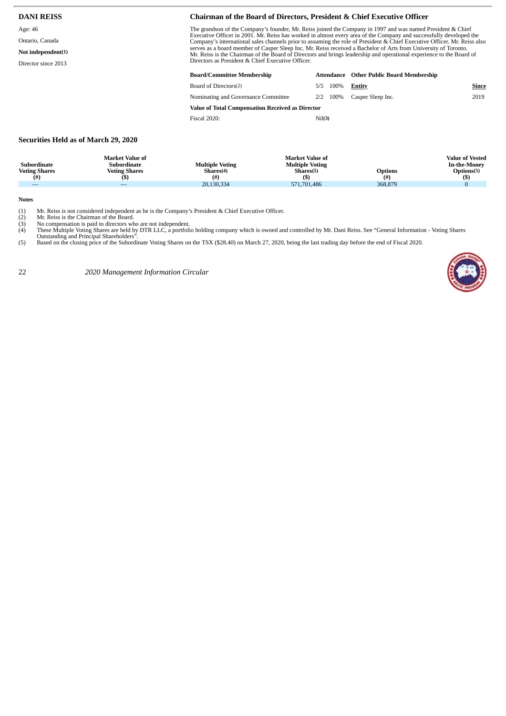| <b>DANI REISS</b>                                                       | <b>Chairman of the Board of Directors, President &amp; Chief Executive Officer</b>                                                                                                                                                                                                                                                                                                                                                                                                                                                                                                                                                                            |     |      |                   |       |  |  |
|-------------------------------------------------------------------------|---------------------------------------------------------------------------------------------------------------------------------------------------------------------------------------------------------------------------------------------------------------------------------------------------------------------------------------------------------------------------------------------------------------------------------------------------------------------------------------------------------------------------------------------------------------------------------------------------------------------------------------------------------------|-----|------|-------------------|-------|--|--|
| Age: 46<br>Ontario, Canada<br>Not independent(1)<br>Director since 2013 | The grandson of the Company's founder, Mr. Reiss joined the Company in 1997 and was named President & Chief<br>Executive Officer in 2001. Mr. Reiss has worked in almost every area of the Company and successfully developed the<br>Company's international sales channels prior to assuming the role of President & Chief Executive Officer. Mr. Reiss also<br>serves as a board member of Casper Sleep Inc. Mr. Reiss received a Bachelor of Arts from University of Toronto.<br>Mr. Reiss is the Chairman of the Board of Directors and brings leadership and operational experience to the Board of<br>Directors as President & Chief Executive Officer. |     |      |                   |       |  |  |
|                                                                         | <b>Board/Committee Membership</b><br><b>Attendance</b> Other Public Board Membership                                                                                                                                                                                                                                                                                                                                                                                                                                                                                                                                                                          |     |      |                   |       |  |  |
|                                                                         | Board of Directors(2)                                                                                                                                                                                                                                                                                                                                                                                                                                                                                                                                                                                                                                         | 5/5 | 100% | Entity            | Since |  |  |
|                                                                         | Nominating and Governance Committee                                                                                                                                                                                                                                                                                                                                                                                                                                                                                                                                                                                                                           | 2/2 | 100% | Casper Sleep Inc. | 2019  |  |  |
|                                                                         | Value of Total Compensation Received as Director                                                                                                                                                                                                                                                                                                                                                                                                                                                                                                                                                                                                              |     |      |                   |       |  |  |
|                                                                         | <b>Fiscal 2020:</b><br>Nil(3)                                                                                                                                                                                                                                                                                                                                                                                                                                                                                                                                                                                                                                 |     |      |                   |       |  |  |

#### **Securities Held as of March 29, 2020**

| Subordinate<br><b>Voting Shares</b><br>(#) | <b>Market Value of</b><br>Subordinate<br><b>Voting Shares</b><br>וסו | <b>Multiple Voting</b><br>Shares <sup>(4)</sup><br>(# <sup>2</sup> | <b>Market Value of</b><br><b>Multiple Voting</b><br>Shares <sup>(5)</sup> | <b>Options</b><br>(# | <b>Value of Vested</b><br><b>In-the-Monev</b><br>Options(5) |
|--------------------------------------------|----------------------------------------------------------------------|--------------------------------------------------------------------|---------------------------------------------------------------------------|----------------------|-------------------------------------------------------------|
|                                            |                                                                      | 20,130,334                                                         | 571.701.486                                                               | 368,879              |                                                             |

**Notes**

Mr. Reiss is not considered independent as he is the Company's President & Chief Executive Officer.<br>
(2) Mr. Reiss is the Chairman of the Board.<br>
(3) No compensation is paid to directors who are not independent.<br>
(4) These

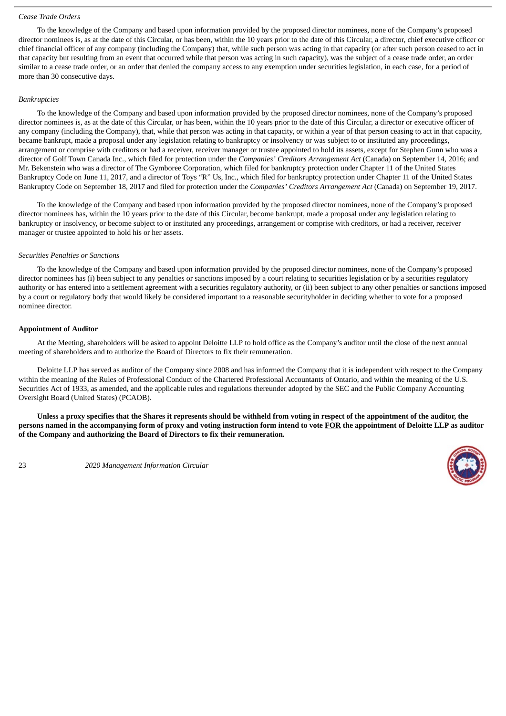#### <span id="page-25-0"></span>*Cease Trade Orders*

To the knowledge of the Company and based upon information provided by the proposed director nominees, none of the Company's proposed director nominees is, as at the date of this Circular, or has been, within the 10 years prior to the date of this Circular, a director, chief executive officer or chief financial officer of any company (including the Company) that, while such person was acting in that capacity (or after such person ceased to act in that capacity but resulting from an event that occurred while that person was acting in such capacity), was the subject of a cease trade order, an order similar to a cease trade order, or an order that denied the company access to any exemption under securities legislation, in each case, for a period of more than 30 consecutive days.

#### <span id="page-25-1"></span>*Bankruptcies*

To the knowledge of the Company and based upon information provided by the proposed director nominees, none of the Company's proposed director nominees is, as at the date of this Circular, or has been, within the 10 years prior to the date of this Circular, a director or executive officer of any company (including the Company), that, while that person was acting in that capacity, or within a year of that person ceasing to act in that capacity, became bankrupt, made a proposal under any legislation relating to bankruptcy or insolvency or was subject to or instituted any proceedings, arrangement or comprise with creditors or had a receiver, receiver manager or trustee appointed to hold its assets, except for Stephen Gunn who was a director of Golf Town Canada Inc., which filed for protection under the *Companies' Creditors Arrangement Act* (Canada) on September 14, 2016; and Mr. Bekenstein who was a director of The Gymboree Corporation, which filed for bankruptcy protection under Chapter 11 of the United States Bankruptcy Code on June 11, 2017, and a director of Toys "R" Us, Inc., which filed for bankruptcy protection under Chapter 11 of the United States Bankruptcy Code on September 18, 2017 and filed for protection under the *Companies' Creditors Arrangement Act* (Canada) on September 19, 2017.

To the knowledge of the Company and based upon information provided by the proposed director nominees, none of the Company's proposed director nominees has, within the 10 years prior to the date of this Circular, become bankrupt, made a proposal under any legislation relating to bankruptcy or insolvency, or become subject to or instituted any proceedings, arrangement or comprise with creditors, or had a receiver, receiver manager or trustee appointed to hold his or her assets.

#### <span id="page-25-2"></span>*Securities Penalties or Sanctions*

To the knowledge of the Company and based upon information provided by the proposed director nominees, none of the Company's proposed director nominees has (i) been subject to any penalties or sanctions imposed by a court relating to securities legislation or by a securities regulatory authority or has entered into a settlement agreement with a securities regulatory authority, or (ii) been subject to any other penalties or sanctions imposed by a court or regulatory body that would likely be considered important to a reasonable securityholder in deciding whether to vote for a proposed nominee director.

#### <span id="page-25-3"></span>**Appointment of Auditor**

At the Meeting, shareholders will be asked to appoint Deloitte LLP to hold office as the Company's auditor until the close of the next annual meeting of shareholders and to authorize the Board of Directors to fix their remuneration.

Deloitte LLP has served as auditor of the Company since 2008 and has informed the Company that it is independent with respect to the Company within the meaning of the Rules of Professional Conduct of the Chartered Professional Accountants of Ontario, and within the meaning of the U.S. Securities Act of 1933, as amended, and the applicable rules and regulations thereunder adopted by the SEC and the Public Company Accounting Oversight Board (United States) (PCAOB).

Unless a proxy specifies that the Shares it represents should be withheld from voting in respect of the appointment of the auditor, the persons named in the accompanying form of proxy and voting instruction form intend to vote FOR the appointment of Deloitte LLP as auditor **of the Company and authorizing the Board of Directors to fix their remuneration.**

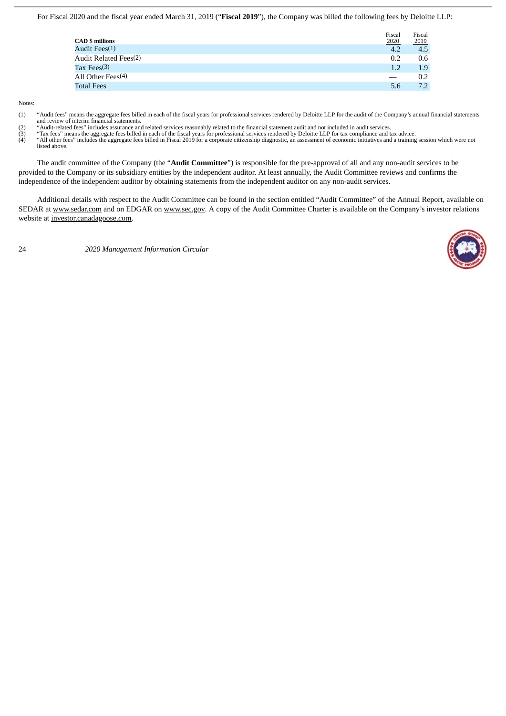For Fiscal 2020 and the fiscal year ended March 31, 2019 ("**Fiscal 2019**"), the Company was billed the following fees by Deloitte LLP:

| <b>CAD</b> \$ millions            | Fiscal<br>2020 | Fiscal<br>2019 |
|-----------------------------------|----------------|----------------|
| Audit Fees <sup>(1)</sup>         | 4.2            | 4.5            |
| Audit Related Fees <sup>(2)</sup> | 0.2            | 0.6            |
| Tax Fees $(3)$                    | 1.2            | 1.9            |
| All Other Fees <sup>(4)</sup>     |                | 0.2            |
| <b>Total Fees</b>                 | 5.6            | 7.2            |

Notes:

(1) "Audit fees" means the aggregate fees billed in each of the fiscal years for professional services rendered by Deloitte LLP for the audit of the Company's annual financial statements and review of interim financial statements. (2) "Audit-related fees" includes assurance and related services reasonably related to the financial statement audit and not included in audit services.

(3) "Tax fees" means the aggregate fees billed in each of the fiscal years for professional services rendered by Deloitte LLP for tax compliance and tax advice.<br>(4) "All other fees" includes the aggregate fees billed in Fi

listed above.

The audit committee of the Company (the "**Audit Committee**") is responsible for the pre-approval of all and any non-audit services to be provided to the Company or its subsidiary entities by the independent auditor. At least annually, the Audit Committee reviews and confirms the independence of the independent auditor by obtaining statements from the independent auditor on any non-audit services.

Additional details with respect to the Audit Committee can be found in the section entitled "Audit Committee" of the Annual Report, available on SEDAR at www.sedar.com and on EDGAR on www.sec.gov. A copy of the Audit Committee Charter is available on the Company's investor relations website at investor.canadagoose.com.

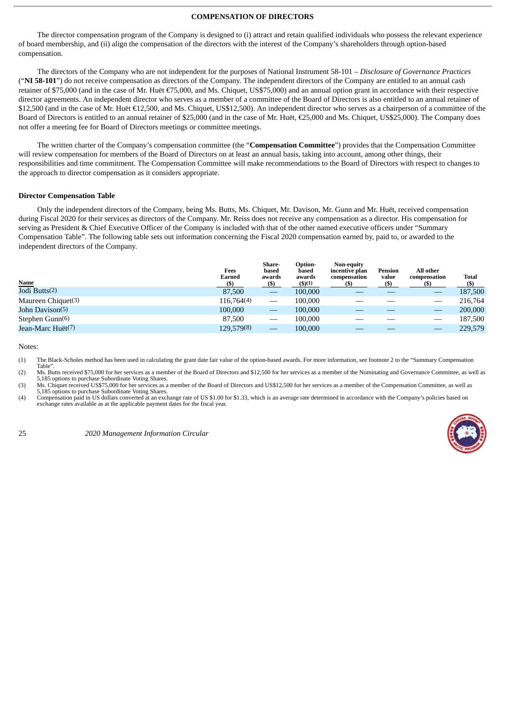#### **COMPENSATION OF DIRECTORS**

<span id="page-27-0"></span>The director compensation program of the Company is designed to (i) attract and retain qualified individuals who possess the relevant experience of board membership, and (ii) align the compensation of the directors with the interest of the Company's shareholders through option-based compensation.

The directors of the Company who are not independent for the purposes of National Instrument 58-101 – *Disclosure of Governance Practices* ("**NI 58-101**") do not receive compensation as directors of the Company. The independent directors of the Company are entitled to an annual cash retainer of \$75,000 (and in the case of Mr. Huët €75,000, and Ms. Chiquet, US\$75,000) and an annual option grant in accordance with their respective director agreements. An independent director who serves as a member of a committee of the Board of Directors is also entitled to an annual retainer of \$12,500 (and in the case of Mr. Huët €12,500, and Ms. Chiquet, US\$12,500). An independent director who serves as a chairperson of a committee of the Board of Directors is entitled to an annual retainer of \$25,000 (and in the case of Mr. Huët, €25,000 and Ms. Chiquet, US\$25,000). The Company does not offer a meeting fee for Board of Directors meetings or committee meetings.

The written charter of the Company's compensation committee (the "**Compensation Committee**") provides that the Compensation Committee will review compensation for members of the Board of Directors on at least an annual basis, taking into account, among other things, their responsibilities and time commitment. The Compensation Committee will make recommendations to the Board of Directors with respect to changes to the approach to director compensation as it considers appropriate.

#### <span id="page-27-1"></span>**Director Compensation Table**

Only the independent directors of the Company, being Ms. Butts, Ms. Chiquet, Mr. Davison, Mr. Gunn and Mr. Huët, received compensation during Fiscal 2020 for their services as directors of the Company. Mr. Reiss does not receive any compensation as a director. His compensation for serving as President & Chief Executive Officer of the Company is included with that of the other named executive officers under "Summary Compensation Table". The following table sets out information concerning the Fiscal 2020 compensation earned by, paid to, or awarded to the independent directors of the Company.

| <b>Name</b>        | Fees<br>Earned<br>(S) | Share-<br>based<br>awards<br>(s) | Option-<br>based<br>awards<br>$($ \$)(1) | <b>Non-equity</b><br>incentive plan<br>compensation | Pension<br>value | All other<br>compensation | Total<br>(S) |
|--------------------|-----------------------|----------------------------------|------------------------------------------|-----------------------------------------------------|------------------|---------------------------|--------------|
| Jodi Butts(2)      | 87,500                |                                  | 100,000                                  |                                                     |                  |                           | 187,500      |
| Maureen Chiquet(3) | 116,764(4)            | $\hspace{0.05cm}$                | 100.000                                  |                                                     |                  |                           | 216,764      |
| John Davison(5)    | 100,000               |                                  | 100,000                                  |                                                     |                  |                           | 200,000      |
| Stephen Gunn(6)    | 87,500                |                                  | 100,000                                  |                                                     |                  |                           | 187,500      |
| Jean-Marc Huët(7)  | 129,579(8)            | $\overline{\phantom{a}}$         | 100,000                                  |                                                     |                  |                           | 229,579      |

Notes:

(1) The Black-Scholes method has been used in calculating the grant date fair value of the option-based awards. For more information, see footnote 2 to the "Summary Compensation Table".

(2) Ms. Butts received \$75,000 for her services as a member of the Board of Directors and \$12,500 for her services as a member of the Nominating and Governance Committee, as well as

5,185 options to purchase Subordinate Voting Shares.<br>(3) Ms. Chiquet received US\$75,000 for her services as a member of the Board of Directors and US\$12,500 for her services as a member of the Compensation Committee, as we 5,185 options to purchase Subordinate Voting Shares.

(4) Compensation paid in US dollars converted at an exchange rate of US \$1.00 for \$1.33, which is an average rate determined in accordance with the Company's policies based on exchange rates available as at the applicable payment dates for the fiscal year.

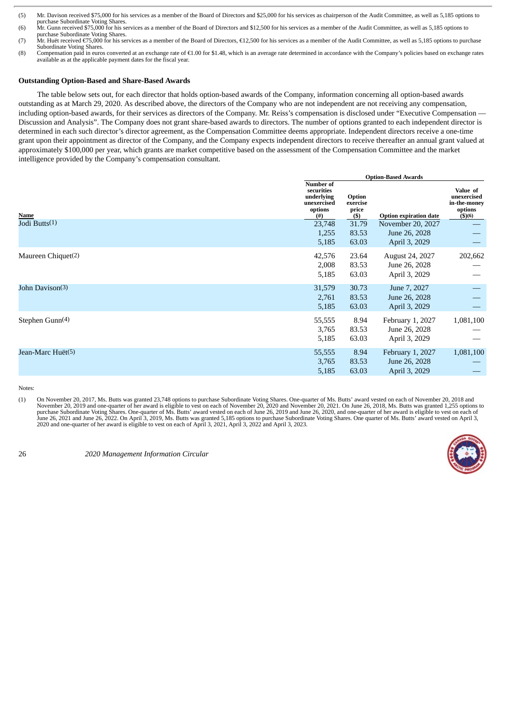Compensation paid in euros converted at an exchange rate of €1.00 for \$1.48, which is an average rate determined in accordance with the Company's policies based on exchange rates available as at the applicable payment dates for the fiscal year.

#### <span id="page-28-0"></span>**Outstanding Option-Based and Share-Based Awards**

The table below sets out, for each director that holds option-based awards of the Company, information concerning all option-based awards outstanding as at March 29, 2020. As described above, the directors of the Company who are not independent are not receiving any compensation, including option-based awards, for their services as directors of the Company. Mr. Reiss's compensation is disclosed under "Executive Compensation -Discussion and Analysis". The Company does not grant share-based awards to directors. The number of options granted to each independent director is determined in each such director's director agreement, as the Compensation Committee deems appropriate. Independent directors receive a one-time grant upon their appointment as director of the Company, and the Company expects independent directors to receive thereafter an annual grant valued at approximately \$100,000 per year, which grants are market competitive based on the assessment of the Compensation Committee and the market intelligence provided by the Company's compensation consultant.

|                             | <b>Option-Based Awards</b>                                             |                                       |                                                           |                                                                     |
|-----------------------------|------------------------------------------------------------------------|---------------------------------------|-----------------------------------------------------------|---------------------------------------------------------------------|
| Name                        | Number of<br>securities<br>underlying<br>unexercised<br>options<br>(#) | Option<br>exercise<br>price<br>$(\$)$ | <b>Option expiration date</b>                             | Value of<br>unexercised<br>in-the-money<br>options<br>$($ \$) $(6)$ |
| Jodi Butts(1)               | 23,748<br>1,255<br>5,185                                               | 31.79<br>83.53<br>63.03               | November 20, 2027<br>June 26, 2028<br>April 3, 2029       |                                                                     |
| Maureen Chiquet(2)          | 42,576<br>2,008<br>5,185                                               | 23.64<br>83.53<br>63.03               | August 24, 2027<br>June 26, 2028<br>April 3, 2029         | 202,662                                                             |
| John Davison(3)             | 31,579<br>2,761<br>5,185                                               | 30.73<br>83.53<br>63.03               | June 7, 2027<br>June 26, 2028<br>April 3, 2029            |                                                                     |
| Stephen Gunn <sup>(4)</sup> | 55,555<br>3,765<br>5,185                                               | 8.94<br>83.53<br>63.03                | February 1, 2027<br>June 26, 2028<br>April 3, 2029        | 1,081,100                                                           |
| Jean-Marc Huët(5)           | 55,555<br>3,765<br>5,185                                               | 8.94<br>83.53<br>63.03                | <b>February 1, 2027</b><br>June 26, 2028<br>April 3, 2029 | 1,081,100                                                           |

Notes:

(1) On November 20, 2017, Ms. Butts was granted 23,748 options to purchase Subordinate Voting Shares. One-quarter of Ms. Butts' award vested on each of November 20, 2018 and<br>November 20, 2019 and one-quarter of her award i 2020 and one-quarter of her award is eligible to vest on each of April 3, 2021, April 3, 2022 and April 3, 2023.



<sup>(5)</sup> Mr. Davison received \$75,000 for his services as a member of the Board of Directors and \$25,000 for his services as chairperson of the Audit Committee, as well as 5,185 options to purchase Subordinate Voting Shares.

<sup>(6)</sup> Mr. Gunn received \$75,000 for his services as a member of the Board of Directors and \$12,500 for his services as a member of the Audit Committee, as well as 5,185 options to

purchase Subordinate Voting Shares.<br>(7) Mr. Huët received €75,000 for his services as a member of the Board of Directors, €12,500 for his services as a member of the Audit Committee, as well as 5,185 options to purchase Subordinate Voting Shares.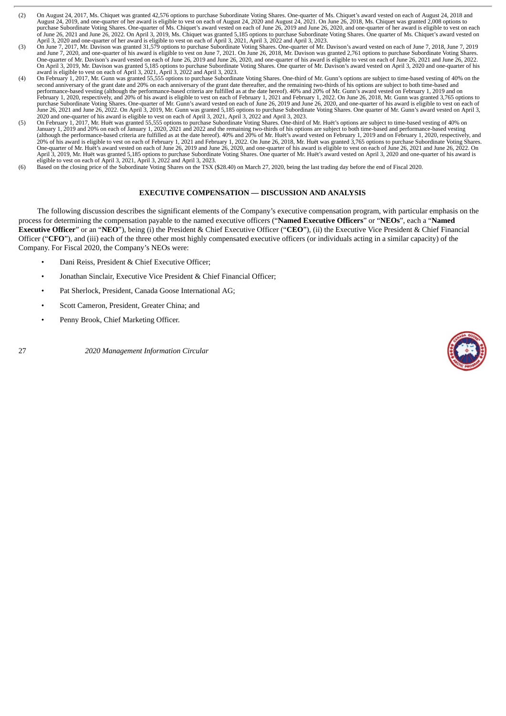- (2) On August 24, 2017, Ms. Chiquet was granted 42,576 options to purchase Subordinate Voting Shares. One-quarter of Ms. Chiquet's award vested on each of August 24, 2018 and August 24, 2019, and one-quarter of her award is eligible to vest on each of August 24, 2020 and August 24, 2021. On June 26, 2018, Ms. Chiquet was granted 2,008 options to purchase Subordinate Voting Shares. One-quarter of Ms. Chiquet's award vested on each of June 26, 2019 and June 26, 2020, and one-quarter of her award is eligible to vest on each of June 26, 2021 and June 26, 2022. On April 3, 2019, Ms. Chiquet was granted 5,185 options to purchase Subordinate Voting Shares. One quarter of Ms. Chiquet's award vested on<br>April 3, 2020 and one-quarter of her award is
- (3) On June 7, 2017, Mr. Davison was granted 31,579 options to purchase Subordinate Voting Shares. One-quarter of Mr. Davison's award vested on each of June 7, 2018, June 7, 2019 and June 7, 2020, and one-quarter of his award is eligible to vest on June 7, 2021. On June 26, 2018, Mr. Davison was granted 2,761 options to purchase Subordinate Voting Shares.<br>One-quarter of Mr. Davison's award vested o On April 3, 2019, Mr. Davison was granted 5,185 options to purchase Subordinate Voting Shares. One quarter of Mr. Davison's award vested on April 3, 2020 and one-quarter of his<br>award is eligible to vest on each of April 3,
- (4) On February 1, 2017, Mr. Gunn was granted 55,555 options to purchase Subordinate Voting Shares. One-third of Mr. Gunn's options are subject to time-based vesting of 40% on the Cunn Was granted 55,555 options to purchas second anniversary of the grant date and 20% on each anniversary of the grant date thereafter, and the remaining two-thirds of his options are subject to both time-based and<br>performance-based vesting (although the performa February 1, 2020, respectively, and 20% of his award is eligible to vest on each of February 1, 2021 and February 1, 2022. On June 26, 2018, Mr. Gunn was granted 3,765 options to purchase Subordinate Voting Shares. One-quarter of Mr. Gunn's award vested on each of June 26, 2019 and June 26, 2020, and one-quarter of his award is eligible to vest on each of<br>June 26, 2021 and June 26, 2022. On April 3 2020 and one-quarter of his award is eligible to vest on each of April 3, 2021, April 3, 2022 and April 3, 2023.
- (5) On February 1, 2017, Mr. Huët was granted 55,555 options to purchase Subordinate Voting Shares. One-third of Mr. Huët's options are subject to time-based vesting of 40% on<br>January 1, 2019 and 20% on each of January 1, (although the performance-based criteria are fulfilled as at the date hereof). 40% and 20% of Mr. Huët's award vested on February 1, 2019 and on February 1, 2020, respectively, and<br>20% of his award is eligible to vest on e April 3, 2019, Mr. Huët was granted 5,185 options to purchase Subordinate Voting Shares. One quarter of Mr. Huët's award vested on April 3, 2020 and one-quarter of his award is<br>eligible to vest on each of April 3, 2021, Ap
- (6) Based on the closing price of the Subordinate Voting Shares on the TSX (\$28.40) on March 27, 2020, being the last trading day before the end of Fiscal 2020.

#### **EXECUTIVE COMPENSATION — DISCUSSION AND ANALYSIS**

<span id="page-29-0"></span>The following discussion describes the significant elements of the Company's executive compensation program, with particular emphasis on the process for determining the compensation payable to the named executive officers ("**Named Executive Officers**" or "**NEOs**", each a "**Named Executive Officer**" or an "**NEO**"), being (i) the President & Chief Executive Officer ("**CEO**"), (ii) the Executive Vice President & Chief Financial Officer ("**CFO**"), and (iii) each of the three other most highly compensated executive officers (or individuals acting in a similar capacity) of the Company. For Fiscal 2020, the Company's NEOs were:

- Dani Reiss, President & Chief Executive Officer;
- Jonathan Sinclair, Executive Vice President & Chief Financial Officer;
- Pat Sherlock, President, Canada Goose International AG;
- Scott Cameron, President, Greater China; and
- Penny Brook, Chief Marketing Officer.

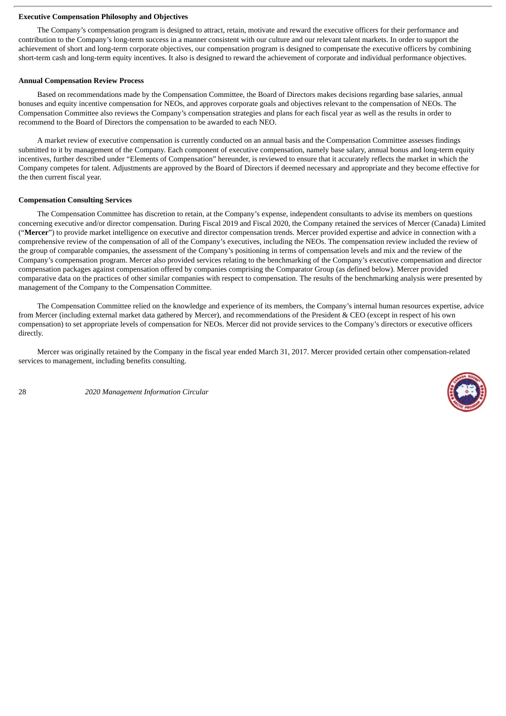#### <span id="page-30-0"></span>**Executive Compensation Philosophy and Objectives**

The Company's compensation program is designed to attract, retain, motivate and reward the executive officers for their performance and contribution to the Company's long-term success in a manner consistent with our culture and our relevant talent markets. In order to support the achievement of short and long-term corporate objectives, our compensation program is designed to compensate the executive officers by combining short-term cash and long-term equity incentives. It also is designed to reward the achievement of corporate and individual performance objectives.

#### <span id="page-30-1"></span>**Annual Compensation Review Process**

Based on recommendations made by the Compensation Committee, the Board of Directors makes decisions regarding base salaries, annual bonuses and equity incentive compensation for NEOs, and approves corporate goals and objectives relevant to the compensation of NEOs. The Compensation Committee also reviews the Company's compensation strategies and plans for each fiscal year as well as the results in order to recommend to the Board of Directors the compensation to be awarded to each NEO.

A market review of executive compensation is currently conducted on an annual basis and the Compensation Committee assesses findings submitted to it by management of the Company. Each component of executive compensation, namely base salary, annual bonus and long-term equity incentives, further described under "Elements of Compensation" hereunder, is reviewed to ensure that it accurately reflects the market in which the Company competes for talent. Adjustments are approved by the Board of Directors if deemed necessary and appropriate and they become effective for the then current fiscal year.

#### <span id="page-30-2"></span>**Compensation Consulting Services**

The Compensation Committee has discretion to retain, at the Company's expense, independent consultants to advise its members on questions concerning executive and/or director compensation. During Fiscal 2019 and Fiscal 2020, the Company retained the services of Mercer (Canada) Limited ("**Mercer**") to provide market intelligence on executive and director compensation trends. Mercer provided expertise and advice in connection with a comprehensive review of the compensation of all of the Company's executives, including the NEOs. The compensation review included the review of the group of comparable companies, the assessment of the Company's positioning in terms of compensation levels and mix and the review of the Company's compensation program. Mercer also provided services relating to the benchmarking of the Company's executive compensation and director compensation packages against compensation offered by companies comprising the Comparator Group (as defined below). Mercer provided comparative data on the practices of other similar companies with respect to compensation. The results of the benchmarking analysis were presented by management of the Company to the Compensation Committee.

The Compensation Committee relied on the knowledge and experience of its members, the Company's internal human resources expertise, advice from Mercer (including external market data gathered by Mercer), and recommendations of the President & CEO (except in respect of his own compensation) to set appropriate levels of compensation for NEOs. Mercer did not provide services to the Company's directors or executive officers directly.

Mercer was originally retained by the Company in the fiscal year ended March 31, 2017. Mercer provided certain other compensation-related services to management, including benefits consulting.

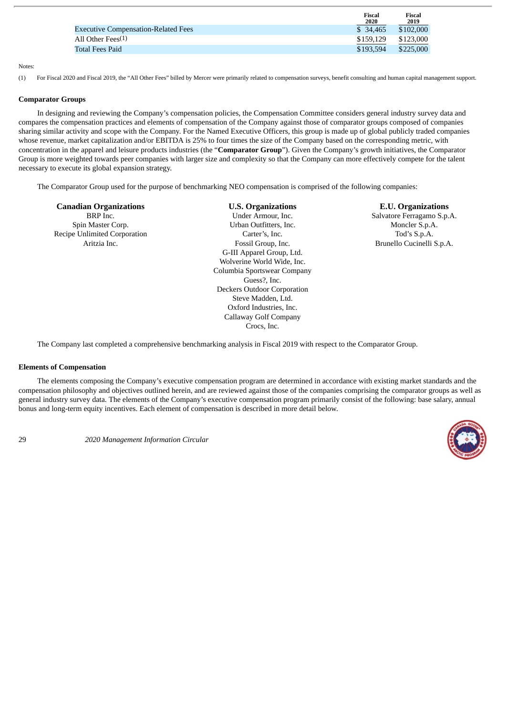|                                            | Fiscal<br>2020 | Fiscal<br>2019 |
|--------------------------------------------|----------------|----------------|
| <b>Executive Compensation-Related Fees</b> | \$ 34,465      | \$102,000      |
| All Other Fees(1)                          | \$159.129      | \$123,000      |
| Total Fees Paid                            | \$193.594      | \$225,000      |

#### Notes:

(1) For Fiscal 2020 and Fiscal 2019, the "All Other Fees" billed by Mercer were primarily related to compensation surveys, benefit consulting and human capital management support.

#### <span id="page-31-0"></span>**Comparator Groups**

In designing and reviewing the Company's compensation policies, the Compensation Committee considers general industry survey data and compares the compensation practices and elements of compensation of the Company against those of comparator groups composed of companies sharing similar activity and scope with the Company. For the Named Executive Officers, this group is made up of global publicly traded companies whose revenue, market capitalization and/or EBITDA is 25% to four times the size of the Company based on the corresponding metric, with concentration in the apparel and leisure products industries (the "**Comparator Group**"). Given the Company's growth initiatives, the Comparator Group is more weighted towards peer companies with larger size and complexity so that the Company can more effectively compete for the talent necessary to execute its global expansion strategy.

The Comparator Group used for the purpose of benchmarking NEO compensation is comprised of the following companies:

Recipe Unlimited Corporation **Carter's, Inc.** Carter's, Inc. Tod's S.p.A.

**Canadian Organizations U.S. Organizations E.U. Organizations** BRP Inc. Salvatore Ferragamo S.p.A. Spin Master Corp. Urban Outfitters, Inc. Moncler S.p.A. Aritzia Inc. Fossil Group, Inc. Brunello Cucinelli S.p.A. G-III Apparel Group, Ltd. Wolverine World Wide, Inc. Columbia Sportswear Company Guess?, Inc. Deckers Outdoor Corporation Steve Madden, Ltd. Oxford Industries, Inc. Callaway Golf Company Crocs, Inc.

The Company last completed a comprehensive benchmarking analysis in Fiscal 2019 with respect to the Comparator Group.

#### <span id="page-31-1"></span>**Elements of Compensation**

The elements composing the Company's executive compensation program are determined in accordance with existing market standards and the compensation philosophy and objectives outlined herein, and are reviewed against those of the companies comprising the comparator groups as well as general industry survey data. The elements of the Company's executive compensation program primarily consist of the following: base salary, annual bonus and long-term equity incentives. Each element of compensation is described in more detail below.

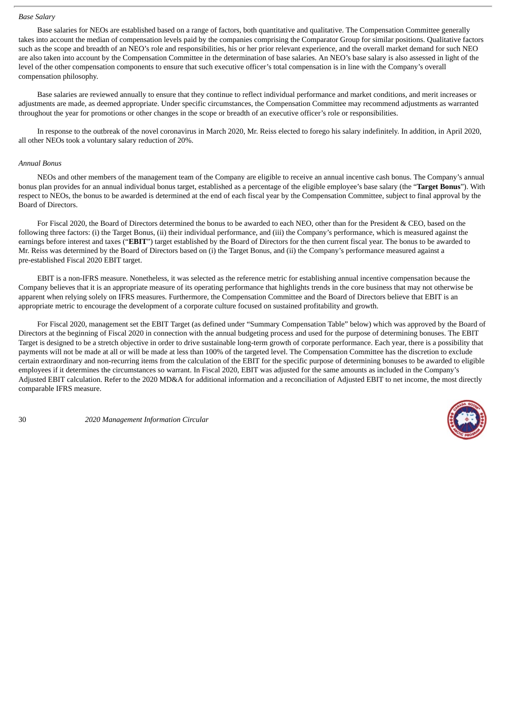#### <span id="page-32-0"></span>*Base Salary*

Base salaries for NEOs are established based on a range of factors, both quantitative and qualitative. The Compensation Committee generally takes into account the median of compensation levels paid by the companies comprising the Comparator Group for similar positions. Qualitative factors such as the scope and breadth of an NEO's role and responsibilities, his or her prior relevant experience, and the overall market demand for such NEO are also taken into account by the Compensation Committee in the determination of base salaries. An NEO's base salary is also assessed in light of the level of the other compensation components to ensure that such executive officer's total compensation is in line with the Company's overall compensation philosophy.

Base salaries are reviewed annually to ensure that they continue to reflect individual performance and market conditions, and merit increases or adjustments are made, as deemed appropriate. Under specific circumstances, the Compensation Committee may recommend adjustments as warranted throughout the year for promotions or other changes in the scope or breadth of an executive officer's role or responsibilities.

In response to the outbreak of the novel coronavirus in March 2020, Mr. Reiss elected to forego his salary indefinitely. In addition, in April 2020, all other NEOs took a voluntary salary reduction of 20%.

#### <span id="page-32-1"></span>*Annual Bonus*

NEOs and other members of the management team of the Company are eligible to receive an annual incentive cash bonus. The Company's annual bonus plan provides for an annual individual bonus target, established as a percentage of the eligible employee's base salary (the "**Target Bonus**"). With respect to NEOs, the bonus to be awarded is determined at the end of each fiscal year by the Compensation Committee, subject to final approval by the Board of Directors.

For Fiscal 2020, the Board of Directors determined the bonus to be awarded to each NEO, other than for the President & CEO, based on the following three factors: (i) the Target Bonus, (ii) their individual performance, and (iii) the Company's performance, which is measured against the earnings before interest and taxes ("**EBIT**") target established by the Board of Directors for the then current fiscal year. The bonus to be awarded to Mr. Reiss was determined by the Board of Directors based on (i) the Target Bonus, and (ii) the Company's performance measured against a pre-established Fiscal 2020 EBIT target.

EBIT is a non-IFRS measure. Nonetheless, it was selected as the reference metric for establishing annual incentive compensation because the Company believes that it is an appropriate measure of its operating performance that highlights trends in the core business that may not otherwise be apparent when relying solely on IFRS measures. Furthermore, the Compensation Committee and the Board of Directors believe that EBIT is an appropriate metric to encourage the development of a corporate culture focused on sustained profitability and growth.

For Fiscal 2020, management set the EBIT Target (as defined under "Summary Compensation Table" below) which was approved by the Board of Directors at the beginning of Fiscal 2020 in connection with the annual budgeting process and used for the purpose of determining bonuses. The EBIT Target is designed to be a stretch objective in order to drive sustainable long-term growth of corporate performance. Each year, there is a possibility that payments will not be made at all or will be made at less than 100% of the targeted level. The Compensation Committee has the discretion to exclude certain extraordinary and non-recurring items from the calculation of the EBIT for the specific purpose of determining bonuses to be awarded to eligible employees if it determines the circumstances so warrant. In Fiscal 2020, EBIT was adjusted for the same amounts as included in the Company's Adjusted EBIT calculation. Refer to the 2020 MD&A for additional information and a reconciliation of Adjusted EBIT to net income, the most directly comparable IFRS measure.

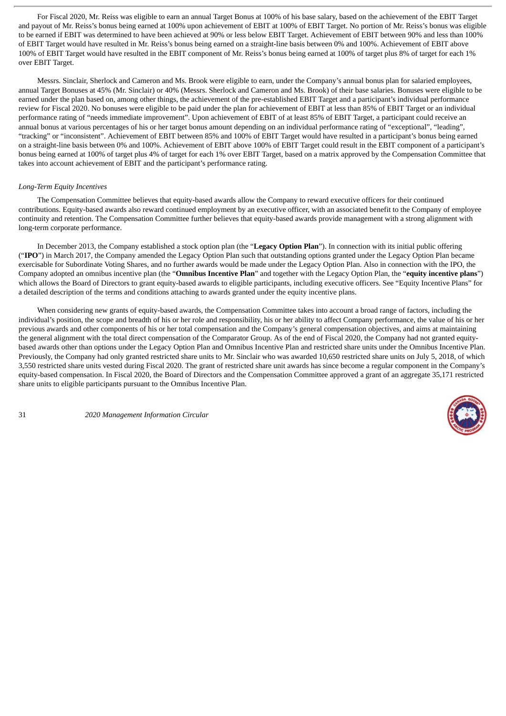For Fiscal 2020, Mr. Reiss was eligible to earn an annual Target Bonus at 100% of his base salary, based on the achievement of the EBIT Target and payout of Mr. Reiss's bonus being earned at 100% upon achievement of EBIT at 100% of EBIT Target. No portion of Mr. Reiss's bonus was eligible to be earned if EBIT was determined to have been achieved at 90% or less below EBIT Target. Achievement of EBIT between 90% and less than 100% of EBIT Target would have resulted in Mr. Reiss's bonus being earned on a straight-line basis between 0% and 100%. Achievement of EBIT above 100% of EBIT Target would have resulted in the EBIT component of Mr. Reiss's bonus being earned at 100% of target plus 8% of target for each 1% over EBIT Target.

Messrs. Sinclair, Sherlock and Cameron and Ms. Brook were eligible to earn, under the Company's annual bonus plan for salaried employees, annual Target Bonuses at 45% (Mr. Sinclair) or 40% (Messrs. Sherlock and Cameron and Ms. Brook) of their base salaries. Bonuses were eligible to be earned under the plan based on, among other things, the achievement of the pre-established EBIT Target and a participant's individual performance review for Fiscal 2020. No bonuses were eligible to be paid under the plan for achievement of EBIT at less than 85% of EBIT Target or an individual performance rating of "needs immediate improvement". Upon achievement of EBIT of at least 85% of EBIT Target, a participant could receive an annual bonus at various percentages of his or her target bonus amount depending on an individual performance rating of "exceptional", "leading", "tracking" or "inconsistent". Achievement of EBIT between 85% and 100% of EBIT Target would have resulted in a participant's bonus being earned on a straight-line basis between 0% and 100%. Achievement of EBIT above 100% of EBIT Target could result in the EBIT component of a participant's bonus being earned at 100% of target plus 4% of target for each 1% over EBIT Target, based on a matrix approved by the Compensation Committee that takes into account achievement of EBIT and the participant's performance rating.

#### <span id="page-33-0"></span>*Long-Term Equity Incentives*

The Compensation Committee believes that equity-based awards allow the Company to reward executive officers for their continued contributions. Equity-based awards also reward continued employment by an executive officer, with an associated benefit to the Company of employee continuity and retention. The Compensation Committee further believes that equity-based awards provide management with a strong alignment with long-term corporate performance.

In December 2013, the Company established a stock option plan (the "**Legacy Option Plan**"). In connection with its initial public offering ("**IPO**") in March 2017, the Company amended the Legacy Option Plan such that outstanding options granted under the Legacy Option Plan became exercisable for Subordinate Voting Shares, and no further awards would be made under the Legacy Option Plan. Also in connection with the IPO, the Company adopted an omnibus incentive plan (the "**Omnibus Incentive Plan**" and together with the Legacy Option Plan, the "**equity incentive plans**") which allows the Board of Directors to grant equity-based awards to eligible participants, including executive officers. See "Equity Incentive Plans" for a detailed description of the terms and conditions attaching to awards granted under the equity incentive plans.

When considering new grants of equity-based awards, the Compensation Committee takes into account a broad range of factors, including the individual's position, the scope and breadth of his or her role and responsibility, his or her ability to affect Company performance, the value of his or her previous awards and other components of his or her total compensation and the Company's general compensation objectives, and aims at maintaining the general alignment with the total direct compensation of the Comparator Group. As of the end of Fiscal 2020, the Company had not granted equitybased awards other than options under the Legacy Option Plan and Omnibus Incentive Plan and restricted share units under the Omnibus Incentive Plan. Previously, the Company had only granted restricted share units to Mr. Sinclair who was awarded 10,650 restricted share units on July 5, 2018, of which 3,550 restricted share units vested during Fiscal 2020. The grant of restricted share unit awards has since become a regular component in the Company's equity-based compensation. In Fiscal 2020, the Board of Directors and the Compensation Committee approved a grant of an aggregate 35,171 restricted share units to eligible participants pursuant to the Omnibus Incentive Plan.

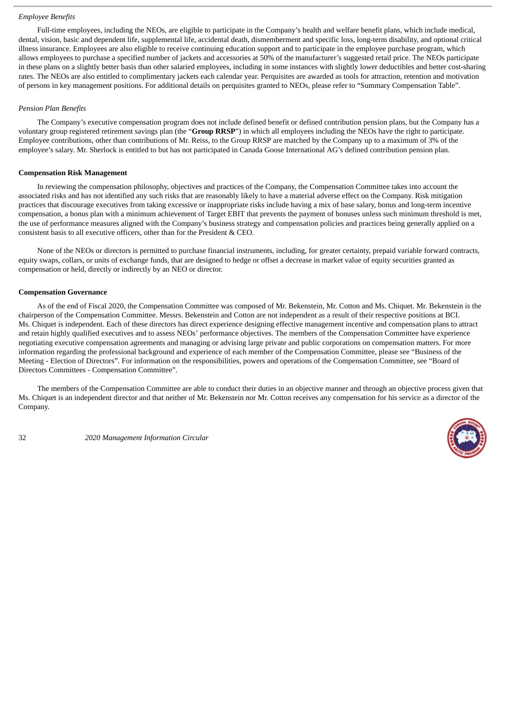#### <span id="page-34-0"></span>*Employee Benefits*

Full-time employees, including the NEOs, are eligible to participate in the Company's health and welfare benefit plans, which include medical, dental, vision, basic and dependent life, supplemental life, accidental death, dismemberment and specific loss, long-term disability, and optional critical illness insurance. Employees are also eligible to receive continuing education support and to participate in the employee purchase program, which allows employees to purchase a specified number of jackets and accessories at 50% of the manufacturer's suggested retail price. The NEOs participate in these plans on a slightly better basis than other salaried employees, including in some instances with slightly lower deductibles and better cost-sharing rates. The NEOs are also entitled to complimentary jackets each calendar year. Perquisites are awarded as tools for attraction, retention and motivation of persons in key management positions. For additional details on perquisites granted to NEOs, please refer to "Summary Compensation Table".

#### <span id="page-34-1"></span>*Pension Plan Benefits*

The Company's executive compensation program does not include defined benefit or defined contribution pension plans, but the Company has a voluntary group registered retirement savings plan (the "**Group RRSP**") in which all employees including the NEOs have the right to participate. Employee contributions, other than contributions of Mr. Reiss, to the Group RRSP are matched by the Company up to a maximum of 3% of the employee's salary. Mr. Sherlock is entitled to but has not participated in Canada Goose International AG's defined contribution pension plan.

#### <span id="page-34-2"></span>**Compensation Risk Management**

In reviewing the compensation philosophy, objectives and practices of the Company, the Compensation Committee takes into account the associated risks and has not identified any such risks that are reasonably likely to have a material adverse effect on the Company. Risk mitigation practices that discourage executives from taking excessive or inappropriate risks include having a mix of base salary, bonus and long-term incentive compensation, a bonus plan with a minimum achievement of Target EBIT that prevents the payment of bonuses unless such minimum threshold is met, the use of performance measures aligned with the Company's business strategy and compensation policies and practices being generally applied on a consistent basis to all executive officers, other than for the President & CEO.

None of the NEOs or directors is permitted to purchase financial instruments, including, for greater certainty, prepaid variable forward contracts, equity swaps, collars, or units of exchange funds, that are designed to hedge or offset a decrease in market value of equity securities granted as compensation or held, directly or indirectly by an NEO or director.

#### <span id="page-34-3"></span>**Compensation Governance**

As of the end of Fiscal 2020, the Compensation Committee was composed of Mr. Bekenstein, Mr. Cotton and Ms. Chiquet. Mr. Bekenstein is the chairperson of the Compensation Committee. Messrs. Bekenstein and Cotton are not independent as a result of their respective positions at BCI. Ms. Chiquet is independent. Each of these directors has direct experience designing effective management incentive and compensation plans to attract and retain highly qualified executives and to assess NEOs' performance objectives. The members of the Compensation Committee have experience negotiating executive compensation agreements and managing or advising large private and public corporations on compensation matters. For more information regarding the professional background and experience of each member of the Compensation Committee, please see "Business of the Meeting - Election of Directors". For information on the responsibilities, powers and operations of the Compensation Committee, see "Board of Directors Committees - Compensation Committee".

The members of the Compensation Committee are able to conduct their duties in an objective manner and through an objective process given that Ms. Chiquet is an independent director and that neither of Mr. Bekenstein nor Mr. Cotton receives any compensation for his service as a director of the Company.

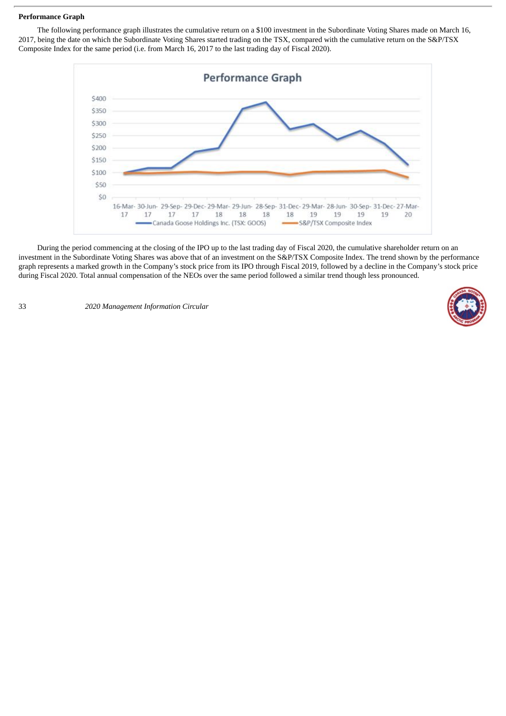#### <span id="page-35-0"></span>**Performance Graph**

The following performance graph illustrates the cumulative return on a \$100 investment in the Subordinate Voting Shares made on March 16, 2017, being the date on which the Subordinate Voting Shares started trading on the TSX, compared with the cumulative return on the S&P/TSX Composite Index for the same period (i.e. from March 16, 2017 to the last trading day of Fiscal 2020).



During the period commencing at the closing of the IPO up to the last trading day of Fiscal 2020, the cumulative shareholder return on an investment in the Subordinate Voting Shares was above that of an investment on the S&P/TSX Composite Index. The trend shown by the performance graph represents a marked growth in the Company's stock price from its IPO through Fiscal 2019, followed by a decline in the Company's stock price during Fiscal 2020. Total annual compensation of the NEOs over the same period followed a similar trend though less pronounced.

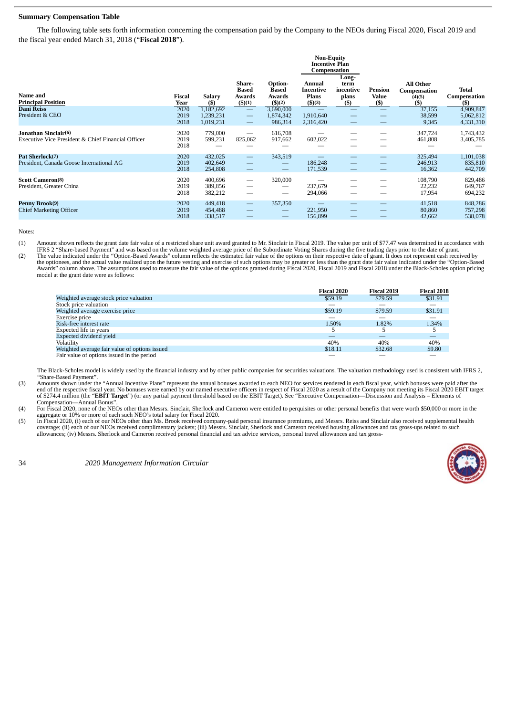## **Summary Compensation Table**

The following table sets forth information concerning the compensation paid by the Company to the NEOs during Fiscal 2020, Fiscal 2019 and the fiscal year ended March 31, 2018 ("**Fiscal 2018**").

| Name and<br><b>Principal Position</b>                                      | Fiscal<br>Year       | <b>Salary</b><br>$($ \$             | Share-<br><b>Based</b><br>Awards<br>$($ \$ $)(1)$                         | Option-<br>Based<br>Awards<br>\$)(2) | <b>Non-Equity</b><br><b>Incentive Plan</b><br>Compensation<br>Annual<br>Incentive<br><b>Plans</b><br>\$)(3) | Long-<br>term<br>incentive<br>plans<br>(\$) | Pension<br><b>Value</b><br>$(\$)$ | <b>All Other</b><br>Compensation<br>(4)(5)<br>(\$) | <b>Total</b><br>Compensation<br>$($ \$ |
|----------------------------------------------------------------------------|----------------------|-------------------------------------|---------------------------------------------------------------------------|--------------------------------------|-------------------------------------------------------------------------------------------------------------|---------------------------------------------|-----------------------------------|----------------------------------------------------|----------------------------------------|
| <b>Dani Reiss</b><br>President & CEO                                       | 2020<br>2019<br>2018 | 1,182,692<br>1,239,231<br>1,019,231 | $\overline{\phantom{m}}$<br>$\overline{\phantom{m}}$<br>$\hspace{0.05cm}$ | 3,690,000<br>1,874,342<br>986,314    | 1,910,640<br>2,316,420                                                                                      | $\overline{\phantom{0}}$                    |                                   | 37,155<br>38,599<br>9,345                          | 4,909,847<br>5,062,812<br>4,331,310    |
| Jonathan Sinclair(6)<br>Executive Vice President & Chief Financial Officer | 2020<br>2019<br>2018 | 779,000<br>599,231                  | $\overline{\phantom{0}}$<br>825,062                                       | 616,708<br>917,662                   | 602,022                                                                                                     | —                                           |                                   | 347,724<br>461,808                                 | 1,743,432<br>3,405,785                 |
| Pat Sherlock(7)<br>President, Canada Goose International AG                | 2020<br>2019<br>2018 | 432,025<br>402,649<br>254,808       | $\hspace{0.1mm}-\hspace{0.1mm}$                                           | 343,519                              | 186,248<br>171,539                                                                                          |                                             |                                   | 325,494<br>246,913<br>16,362                       | 1,101,038<br>835,810<br>442,709        |
| <b>Scott Cameron(8)</b><br>President, Greater China                        | 2020<br>2019<br>2018 | 400,696<br>389,856<br>382,212       |                                                                           | 320,000<br>—                         | 237,679<br>294,066                                                                                          |                                             |                                   | 108,790<br>22,232<br>17,954                        | 829,486<br>649,767<br>694,232          |
| Penny Brook(9)<br><b>Chief Marketing Officer</b>                           | 2020<br>2019<br>2018 | 449,418<br>454,488<br>338,517       | $\overline{\phantom{m}}$                                                  | 357,350                              | 221,950<br>156,899                                                                                          |                                             |                                   | 41,518<br>80,860<br>42,662                         | 848,286<br>757,298<br>538,078          |

Notes:

(1) Amount shown reflects the grant date fair value of a restricted share unit award granted to Mr. Sinclair in Fiscal 2019. The value per unit of \$77.47 was determined in accordance with

IFRS 2 "Share-based Payment" and was based on the volume weighted average price of the Subordinate Voting Shares during the five trading days prior to the date of grant.<br>The value indicated under the "Option-Based Awards" Awards" column above. The assumptions used to measure the fair value of the options granted during Fiscal 2020, Fiscal 2019 and Fiscal 2018 under the Black-Scholes option pricing model at the grant date were as follows:

|                                               | <b>Fiscal 2020</b> | <b>Fiscal 2019</b> | Fiscal 2018 |
|-----------------------------------------------|--------------------|--------------------|-------------|
| Weighted average stock price valuation        | \$59.19            | \$79.59            | \$31.91     |
| Stock price valuation                         |                    |                    |             |
| Weighted average exercise price               | \$59.19            | \$79.59            | \$31.91     |
| Exercise price                                |                    |                    |             |
| Risk-free interest rate                       | 1.50%              | 1.82%              | 1.34%       |
| Expected life in years                        | 5                  | b.                 |             |
| <b>Expected dividend vield</b>                |                    |                    |             |
| Volatility                                    | 40%                | 40%                | 40%         |
| Weighted average fair value of options issued | \$18.11            | \$32.68            | \$9.80      |
| Fair value of options issued in the period    |                    |                    |             |

The Black-Scholes model is widely used by the financial industry and by other public companies for securities valuations. The valuation methodology used is consistent with IFRS 2, Share-Based Payment'

(3) Amounts shown under the "Annual Incentive Plans" represent the annual bonuses awarded to each NEO for services rendered in each fiscal year, which bonuses were paid after the<br>end of the respective fiscal year. No bonus of \$274.4 million (the "**EBIT Target**") (or any partial payment threshold based on the EBIT Target). See "Executive Compensation—Discussion and Analysis – Elements of Compensation—Annual Bonus".

(4) For Fiscal 2020, none of the NEOs other than Messrs. Sinclair, Sherlock and Cameron were entitled to perquisites or other personal benefits that were worth \$50,000 or more in the aggregate or 10% or more of each such NEO's total salary for Fiscal 2020.

(5) In Fiscal 2020, (i) each of our NEOs other than Ms. Brook received company-paid personal insurance premiums, and Messrs. Reiss and Sinclair also received supplemental health<br>coverage; (ii) each of our NEOs received com

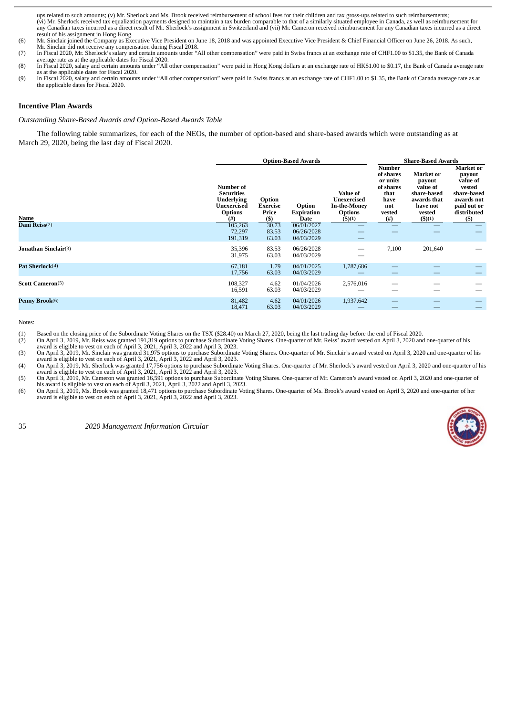ups related to such amounts; (v) Mr. Sherlock and Ms. Brook received reimbursement of school fees for their children and tax gross-ups related to such reimbursements; (vi) Mr. Sherlock received tax equalization payments designed to maintain a tax burden comparable to that of a similarly situated employee in Canada, as well as reimbursement for any Canadian taxes incurred as a direct result of Mr. Sherlock's assignment in Switzerland and (vii) Mr. Cameron received reimbursement for any Canadian taxes incurred as a direct result of his assignment in Hong Kong.

(6) Mr. Sinclair joined the Company as Executive Vice President on June 18, 2018 and was appointed Executive Vice President & Chief Financial Officer on June 26, 2018. As such,

- Mr. Sinclair did not receive any compensation during Fiscal 2018. (7) In Fiscal 2020, Mr. Sherlock's salary and certain amounts under "All other compensation" were paid in Swiss francs at an exchange rate of CHF1.00 to \$1.35, the Bank of Canada average rate as at the applicable dates for Fiscal 2020.
- (8) In Fiscal 2020, salary and certain amounts under "All other compensation" were paid in Hong Kong dollars at an exchange rate of HK\$1.00 to \$0.17, the Bank of Canada average rate<br>as at the applicable dates for Fiscal 20
- (9) In Fiscal 2020, salary and certain amounts under "All other compensation" were paid in Swiss francs at an exchange rate of CHF1.00 to \$1.35, the Bank of Canada average rate as at the applicable dates for Fiscal 2020.

#### **Incentive Plan Awards**

*Outstanding Share-Based Awards and Option-Based Awards Table*

The following table summarizes, for each of the NEOs, the number of option-based and share-based awards which were outstanding as at March 29, 2020, being the last day of Fiscal 2020.

|                             |                                                                                                                |                                             | <b>Option-Based Awards</b>             |                                                                                   |                                                                                              | <b>Share-Based Awards</b>                                                                            |                                                                                                               |
|-----------------------------|----------------------------------------------------------------------------------------------------------------|---------------------------------------------|----------------------------------------|-----------------------------------------------------------------------------------|----------------------------------------------------------------------------------------------|------------------------------------------------------------------------------------------------------|---------------------------------------------------------------------------------------------------------------|
| Name<br>Dani Reiss(2)       | <b>Number of</b><br><b>Securities</b><br><b>Underlying</b><br><b>Unexercised</b><br><b>Options</b><br>$^{(#)}$ | Option<br><b>Exercise</b><br>Price<br>$($)$ | Option<br><b>Expiration</b><br>Date    | Value of<br>Unexercised<br><b>In-the-Money</b><br><b>Options</b><br>$($ \$ $)(1)$ | <b>Number</b><br>of shares<br>or units<br>of shares<br>that<br>have<br>not<br>vested<br>(# ) | Market or<br>payout<br>value of<br>share-based<br>awards that<br>have not<br>vested<br>$($ \$ $)(1)$ | Market or<br>payout<br>value of<br>vested<br>share-based<br>awards not<br>paid out or<br>distributed<br>$($)$ |
|                             | 105,263<br>72,297<br>191,319                                                                                   | 30.73<br>83.53<br>63.03                     | 06/01/2027<br>06/26/2028<br>04/03/2029 |                                                                                   |                                                                                              |                                                                                                      |                                                                                                               |
| <b>Jonathan Sinclair(3)</b> | 35,396<br>31,975                                                                                               | 83.53<br>63.03                              | 06/26/2028<br>04/03/2029               |                                                                                   | 7,100                                                                                        | 201,640                                                                                              |                                                                                                               |
| Pat Sherlock <sup>(4)</sup> | 67,181<br>17,756                                                                                               | 1.79<br>63.03                               | 04/01/2025<br>04/03/2029               | 1,787,686                                                                         |                                                                                              |                                                                                                      |                                                                                                               |
| <b>Scott Cameron</b> (5)    | 108,327<br>16,591                                                                                              | 4.62<br>63.03                               | 01/04/2026<br>04/03/2029               | 2,576,016                                                                         |                                                                                              |                                                                                                      |                                                                                                               |
| Penny Brook(6)              | 81,482<br>18,471                                                                                               | 4.62<br>63.03                               | 04/01/2026<br>04/03/2029               | 1,937,642                                                                         |                                                                                              |                                                                                                      |                                                                                                               |

Notes:

(1) Based on the closing price of the Subordinate Voting Shares on the TSX (\$28.40) on March 27, 2020, being the last trading day before the end of Fiscal 2020.<br>(2) On April 3, 2019, Mr. Reiss was granted 191,319 options t

(2) On April 3, 2019, Mr. Reiss was granted 191,319 options to purchase Subordinate Voting Shares. One-quarter of Mr. Reiss' award vested on April 3, 2020 and one-quarter of his<br>award is eligible to vest on each of April 3

award is eligible to vest on each of April 3, 2021, April 3, 2022 and April 3, 2023.<br>
(4) On April 3, 2010, Mr. Sherlock was granted 16,591 options to purchase Subordinate Voting Shares. One-quarter of Mr. Sherlock's award



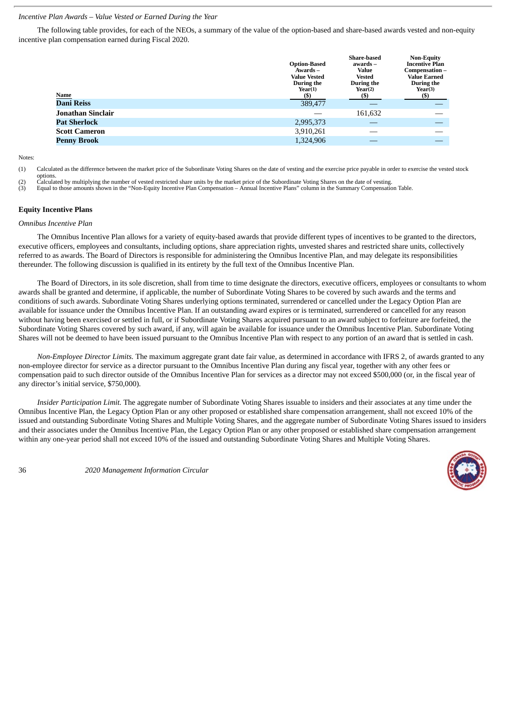# *Incentive Plan Awards – Value Vested or Earned During the Year*

The following table provides, for each of the NEOs, a summary of the value of the option-based and share-based awards vested and non-equity incentive plan compensation earned during Fiscal 2020.

|                          | <b>Option-Based</b><br>Awards –<br><b>Value Vested</b><br>During the<br>Year(1)<br>$($ \$ | <b>Share-based</b><br>awards –<br><b>Value</b><br>Vested<br>During the<br>Year(2) | <b>Non-Equity</b><br><b>Incentive Plan</b><br>Compensation-<br><b>Value Earned</b><br>During the<br>Year(3)<br>(S) |
|--------------------------|-------------------------------------------------------------------------------------------|-----------------------------------------------------------------------------------|--------------------------------------------------------------------------------------------------------------------|
| Name<br>Dani Reiss       | 389,477                                                                                   |                                                                                   |                                                                                                                    |
| <b>Jonathan Sinclair</b> |                                                                                           | 161,632                                                                           |                                                                                                                    |
| <b>Pat Sherlock</b>      | 2,995,373                                                                                 |                                                                                   |                                                                                                                    |
| <b>Scott Cameron</b>     | 3,910,261                                                                                 |                                                                                   |                                                                                                                    |
| <b>Penny Brook</b>       | 1,324,906                                                                                 |                                                                                   |                                                                                                                    |
|                          |                                                                                           |                                                                                   |                                                                                                                    |

Notes:

(1) Calculated as the difference between the market price of the Subordinate Voting Shares on the date of vesting and the exercise price payable in order to exercise the vested stock

options. (2) Calculated by multiplying the number of vested restricted share units by the market price of the Subordinate Voting Shares on the date of vesting.

(3) Equal to those amounts shown in the "Non-Equity Incentive Plan Compensation – Annual Incentive Plans" column in the Summary Compensation Table.

## **Equity Incentive Plans**

*Omnibus Incentive Plan*

The Omnibus Incentive Plan allows for a variety of equity-based awards that provide different types of incentives to be granted to the directors, executive officers, employees and consultants, including options, share appreciation rights, unvested shares and restricted share units, collectively referred to as awards. The Board of Directors is responsible for administering the Omnibus Incentive Plan, and may delegate its responsibilities thereunder. The following discussion is qualified in its entirety by the full text of the Omnibus Incentive Plan.

The Board of Directors, in its sole discretion, shall from time to time designate the directors, executive officers, employees or consultants to whom awards shall be granted and determine, if applicable, the number of Subordinate Voting Shares to be covered by such awards and the terms and conditions of such awards. Subordinate Voting Shares underlying options terminated, surrendered or cancelled under the Legacy Option Plan are available for issuance under the Omnibus Incentive Plan. If an outstanding award expires or is terminated, surrendered or cancelled for any reason without having been exercised or settled in full, or if Subordinate Voting Shares acquired pursuant to an award subject to forfeiture are forfeited, the Subordinate Voting Shares covered by such award, if any, will again be available for issuance under the Omnibus Incentive Plan. Subordinate Voting Shares will not be deemed to have been issued pursuant to the Omnibus Incentive Plan with respect to any portion of an award that is settled in cash.

*Non-Employee Director Limits.* The maximum aggregate grant date fair value, as determined in accordance with IFRS 2, of awards granted to any non-employee director for service as a director pursuant to the Omnibus Incentive Plan during any fiscal year, together with any other fees or compensation paid to such director outside of the Omnibus Incentive Plan for services as a director may not exceed \$500,000 (or, in the fiscal year of any director's initial service, \$750,000).

*Insider Participation Limit.* The aggregate number of Subordinate Voting Shares issuable to insiders and their associates at any time under the Omnibus Incentive Plan, the Legacy Option Plan or any other proposed or established share compensation arrangement, shall not exceed 10% of the issued and outstanding Subordinate Voting Shares and Multiple Voting Shares, and the aggregate number of Subordinate Voting Shares issued to insiders and their associates under the Omnibus Incentive Plan, the Legacy Option Plan or any other proposed or established share compensation arrangement within any one-year period shall not exceed 10% of the issued and outstanding Subordinate Voting Shares and Multiple Voting Shares.

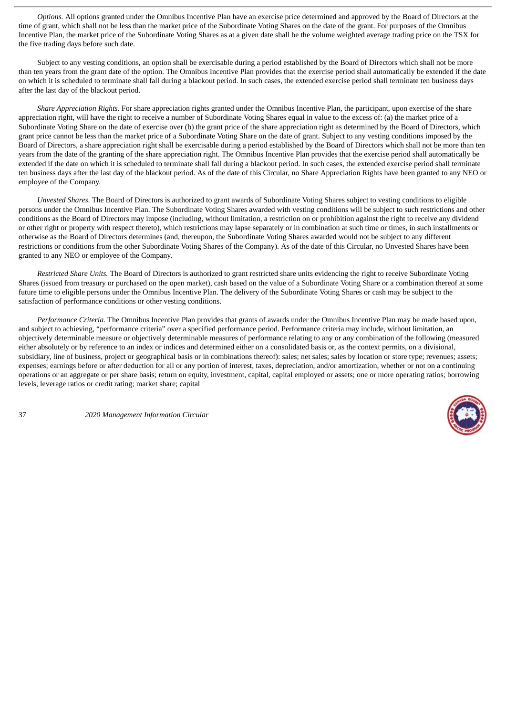*Options.* All options granted under the Omnibus Incentive Plan have an exercise price determined and approved by the Board of Directors at the time of grant, which shall not be less than the market price of the Subordinate Voting Shares on the date of the grant. For purposes of the Omnibus Incentive Plan, the market price of the Subordinate Voting Shares as at a given date shall be the volume weighted average trading price on the TSX for the five trading days before such date.

Subject to any vesting conditions, an option shall be exercisable during a period established by the Board of Directors which shall not be more than ten years from the grant date of the option. The Omnibus Incentive Plan provides that the exercise period shall automatically be extended if the date on which it is scheduled to terminate shall fall during a blackout period. In such cases, the extended exercise period shall terminate ten business days after the last day of the blackout period.

*Share Appreciation Rights*. For share appreciation rights granted under the Omnibus Incentive Plan, the participant, upon exercise of the share appreciation right, will have the right to receive a number of Subordinate Voting Shares equal in value to the excess of: (a) the market price of a Subordinate Voting Share on the date of exercise over (b) the grant price of the share appreciation right as determined by the Board of Directors, which grant price cannot be less than the market price of a Subordinate Voting Share on the date of grant. Subject to any vesting conditions imposed by the Board of Directors, a share appreciation right shall be exercisable during a period established by the Board of Directors which shall not be more than ten years from the date of the granting of the share appreciation right. The Omnibus Incentive Plan provides that the exercise period shall automatically be extended if the date on which it is scheduled to terminate shall fall during a blackout period. In such cases, the extended exercise period shall terminate ten business days after the last day of the blackout period. As of the date of this Circular, no Share Appreciation Rights have been granted to any NEO or employee of the Company.

*Unvested Shares*. The Board of Directors is authorized to grant awards of Subordinate Voting Shares subject to vesting conditions to eligible persons under the Omnibus Incentive Plan. The Subordinate Voting Shares awarded with vesting conditions will be subject to such restrictions and other conditions as the Board of Directors may impose (including, without limitation, a restriction on or prohibition against the right to receive any dividend or other right or property with respect thereto), which restrictions may lapse separately or in combination at such time or times, in such installments or otherwise as the Board of Directors determines (and, thereupon, the Subordinate Voting Shares awarded would not be subject to any different restrictions or conditions from the other Subordinate Voting Shares of the Company). As of the date of this Circular, no Unvested Shares have been granted to any NEO or employee of the Company.

*Restricted Share Units.* The Board of Directors is authorized to grant restricted share units evidencing the right to receive Subordinate Voting Shares (issued from treasury or purchased on the open market), cash based on the value of a Subordinate Voting Share or a combination thereof at some future time to eligible persons under the Omnibus Incentive Plan. The delivery of the Subordinate Voting Shares or cash may be subject to the satisfaction of performance conditions or other vesting conditions.

*Performance Criteria.* The Omnibus Incentive Plan provides that grants of awards under the Omnibus Incentive Plan may be made based upon, and subject to achieving, "performance criteria" over a specified performance period. Performance criteria may include, without limitation, an objectively determinable measure or objectively determinable measures of performance relating to any or any combination of the following (measured either absolutely or by reference to an index or indices and determined either on a consolidated basis or, as the context permits, on a divisional, subsidiary, line of business, project or geographical basis or in combinations thereof): sales; net sales; sales by location or store type; revenues; assets; expenses; earnings before or after deduction for all or any portion of interest, taxes, depreciation, and/or amortization, whether or not on a continuing operations or an aggregate or per share basis; return on equity, investment, capital, capital employed or assets; one or more operating ratios; borrowing levels, leverage ratios or credit rating; market share; capital

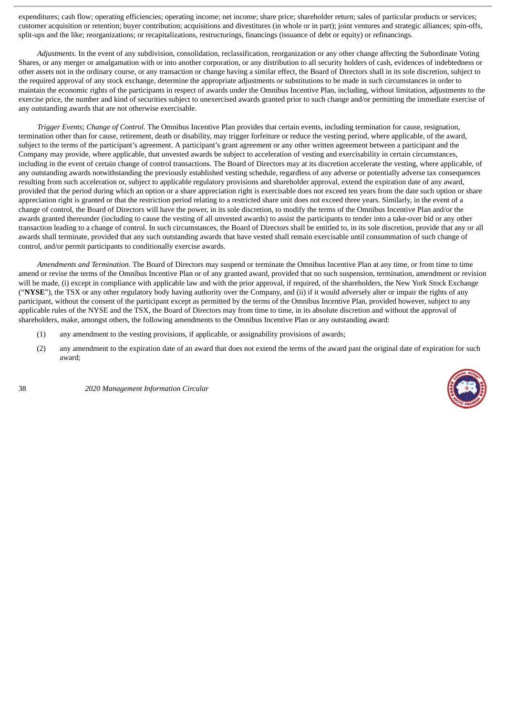expenditures; cash flow; operating efficiencies; operating income; net income; share price; shareholder return; sales of particular products or services; customer acquisition or retention; buyer contribution; acquisitions and divestitures (in whole or in part); joint ventures and strategic alliances; spin-offs, split-ups and the like; reorganizations; or recapitalizations, restructurings, financings (issuance of debt or equity) or refinancings.

*Adjustments.* In the event of any subdivision, consolidation, reclassification, reorganization or any other change affecting the Subordinate Voting Shares, or any merger or amalgamation with or into another corporation, or any distribution to all security holders of cash, evidences of indebtedness or other assets not in the ordinary course, or any transaction or change having a similar effect, the Board of Directors shall in its sole discretion, subject to the required approval of any stock exchange, determine the appropriate adjustments or substitutions to be made in such circumstances in order to maintain the economic rights of the participants in respect of awards under the Omnibus Incentive Plan, including, without limitation, adjustments to the exercise price, the number and kind of securities subject to unexercised awards granted prior to such change and/or permitting the immediate exercise of any outstanding awards that are not otherwise exercisable.

*Trigger Events*; *Change of Control*. The Omnibus Incentive Plan provides that certain events, including termination for cause, resignation, termination other than for cause, retirement, death or disability, may trigger forfeiture or reduce the vesting period, where applicable, of the award, subject to the terms of the participant's agreement. A participant's grant agreement or any other written agreement between a participant and the Company may provide, where applicable, that unvested awards be subject to acceleration of vesting and exercisability in certain circumstances, including in the event of certain change of control transactions. The Board of Directors may at its discretion accelerate the vesting, where applicable, of any outstanding awards notwithstanding the previously established vesting schedule, regardless of any adverse or potentially adverse tax consequences resulting from such acceleration or, subject to applicable regulatory provisions and shareholder approval, extend the expiration date of any award, provided that the period during which an option or a share appreciation right is exercisable does not exceed ten years from the date such option or share appreciation right is granted or that the restriction period relating to a restricted share unit does not exceed three years. Similarly, in the event of a change of control, the Board of Directors will have the power, in its sole discretion, to modify the terms of the Omnibus Incentive Plan and/or the awards granted thereunder (including to cause the vesting of all unvested awards) to assist the participants to tender into a take-over bid or any other transaction leading to a change of control. In such circumstances, the Board of Directors shall be entitled to, in its sole discretion, provide that any or all awards shall terminate, provided that any such outstanding awards that have vested shall remain exercisable until consummation of such change of control, and/or permit participants to conditionally exercise awards.

*Amendments and Termination*. The Board of Directors may suspend or terminate the Omnibus Incentive Plan at any time, or from time to time amend or revise the terms of the Omnibus Incentive Plan or of any granted award, provided that no such suspension, termination, amendment or revision will be made, (i) except in compliance with applicable law and with the prior approval, if required, of the shareholders, the New York Stock Exchange ("**NYSE**"), the TSX or any other regulatory body having authority over the Company, and (ii) if it would adversely alter or impair the rights of any participant, without the consent of the participant except as permitted by the terms of the Omnibus Incentive Plan, provided however, subject to any applicable rules of the NYSE and the TSX, the Board of Directors may from time to time, in its absolute discretion and without the approval of shareholders, make, amongst others, the following amendments to the Omnibus Incentive Plan or any outstanding award:

- (1) any amendment to the vesting provisions, if applicable, or assignability provisions of awards;
- (2) any amendment to the expiration date of an award that does not extend the terms of the award past the original date of expiration for such award;

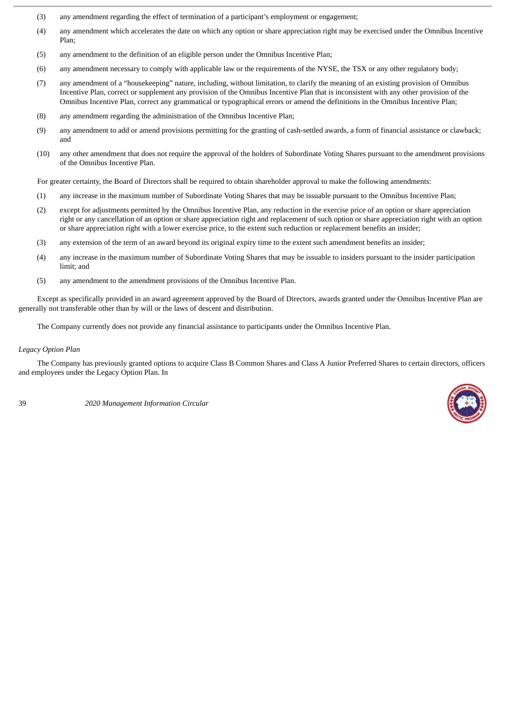- (3) any amendment regarding the effect of termination of a participant's employment or engagement;
- (4) any amendment which accelerates the date on which any option or share appreciation right may be exercised under the Omnibus Incentive Plan;
- (5) any amendment to the definition of an eligible person under the Omnibus Incentive Plan;
- (6) any amendment necessary to comply with applicable law or the requirements of the NYSE, the TSX or any other regulatory body;
- (7) any amendment of a "housekeeping" nature, including, without limitation, to clarify the meaning of an existing provision of Omnibus Incentive Plan, correct or supplement any provision of the Omnibus Incentive Plan that is inconsistent with any other provision of the Omnibus Incentive Plan, correct any grammatical or typographical errors or amend the definitions in the Omnibus Incentive Plan;
- (8) any amendment regarding the administration of the Omnibus Incentive Plan;
- (9) any amendment to add or amend provisions permitting for the granting of cash-settled awards, a form of financial assistance or clawback; and
- (10) any other amendment that does not require the approval of the holders of Subordinate Voting Shares pursuant to the amendment provisions of the Omnibus Incentive Plan.

For greater certainty, the Board of Directors shall be required to obtain shareholder approval to make the following amendments:

- (1) any increase in the maximum number of Subordinate Voting Shares that may be issuable pursuant to the Omnibus Incentive Plan;
- (2) except for adjustments permitted by the Omnibus Incentive Plan, any reduction in the exercise price of an option or share appreciation right or any cancellation of an option or share appreciation right and replacement of such option or share appreciation right with an option or share appreciation right with a lower exercise price, to the extent such reduction or replacement benefits an insider;
- (3) any extension of the term of an award beyond its original expiry time to the extent such amendment benefits an insider;
- (4) any increase in the maximum number of Subordinate Voting Shares that may be issuable to insiders pursuant to the insider participation limit; and
- (5) any amendment to the amendment provisions of the Omnibus Incentive Plan.

Except as specifically provided in an award agreement approved by the Board of Directors, awards granted under the Omnibus Incentive Plan are generally not transferable other than by will or the laws of descent and distribution.

The Company currently does not provide any financial assistance to participants under the Omnibus Incentive Plan.

## *Legacy Option Plan*

The Company has previously granted options to acquire Class B Common Shares and Class A Junior Preferred Shares to certain directors, officers and employees under the Legacy Option Plan. In

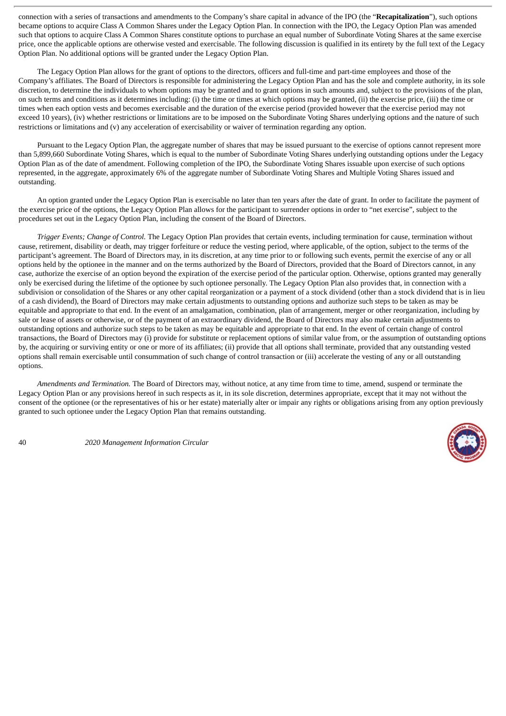connection with a series of transactions and amendments to the Company's share capital in advance of the IPO (the "**Recapitalization**"), such options became options to acquire Class A Common Shares under the Legacy Option Plan. In connection with the IPO, the Legacy Option Plan was amended such that options to acquire Class A Common Shares constitute options to purchase an equal number of Subordinate Voting Shares at the same exercise price, once the applicable options are otherwise vested and exercisable. The following discussion is qualified in its entirety by the full text of the Legacy Option Plan. No additional options will be granted under the Legacy Option Plan.

The Legacy Option Plan allows for the grant of options to the directors, officers and full-time and part-time employees and those of the Company's affiliates. The Board of Directors is responsible for administering the Legacy Option Plan and has the sole and complete authority, in its sole discretion, to determine the individuals to whom options may be granted and to grant options in such amounts and, subject to the provisions of the plan, on such terms and conditions as it determines including: (i) the time or times at which options may be granted, (ii) the exercise price, (iii) the time or times when each option vests and becomes exercisable and the duration of the exercise period (provided however that the exercise period may not exceed 10 years), (iv) whether restrictions or limitations are to be imposed on the Subordinate Voting Shares underlying options and the nature of such restrictions or limitations and (v) any acceleration of exercisability or waiver of termination regarding any option.

Pursuant to the Legacy Option Plan, the aggregate number of shares that may be issued pursuant to the exercise of options cannot represent more than 5,899,660 Subordinate Voting Shares, which is equal to the number of Subordinate Voting Shares underlying outstanding options under the Legacy Option Plan as of the date of amendment. Following completion of the IPO, the Subordinate Voting Shares issuable upon exercise of such options represented, in the aggregate, approximately 6% of the aggregate number of Subordinate Voting Shares and Multiple Voting Shares issued and outstanding.

An option granted under the Legacy Option Plan is exercisable no later than ten years after the date of grant. In order to facilitate the payment of the exercise price of the options, the Legacy Option Plan allows for the participant to surrender options in order to "net exercise", subject to the procedures set out in the Legacy Option Plan, including the consent of the Board of Directors.

*Trigger Events; Change of Control.* The Legacy Option Plan provides that certain events, including termination for cause, termination without cause, retirement, disability or death, may trigger forfeiture or reduce the vesting period, where applicable, of the option, subject to the terms of the participant's agreement. The Board of Directors may, in its discretion, at any time prior to or following such events, permit the exercise of any or all options held by the optionee in the manner and on the terms authorized by the Board of Directors, provided that the Board of Directors cannot, in any case, authorize the exercise of an option beyond the expiration of the exercise period of the particular option. Otherwise, options granted may generally only be exercised during the lifetime of the optionee by such optionee personally. The Legacy Option Plan also provides that, in connection with a subdivision or consolidation of the Shares or any other capital reorganization or a payment of a stock dividend (other than a stock dividend that is in lieu of a cash dividend), the Board of Directors may make certain adjustments to outstanding options and authorize such steps to be taken as may be equitable and appropriate to that end. In the event of an amalgamation, combination, plan of arrangement, merger or other reorganization, including by sale or lease of assets or otherwise, or of the payment of an extraordinary dividend, the Board of Directors may also make certain adjustments to outstanding options and authorize such steps to be taken as may be equitable and appropriate to that end. In the event of certain change of control transactions, the Board of Directors may (i) provide for substitute or replacement options of similar value from, or the assumption of outstanding options by, the acquiring or surviving entity or one or more of its affiliates; (ii) provide that all options shall terminate, provided that any outstanding vested options shall remain exercisable until consummation of such change of control transaction or (iii) accelerate the vesting of any or all outstanding options.

*Amendments and Termination.* The Board of Directors may, without notice, at any time from time to time, amend, suspend or terminate the Legacy Option Plan or any provisions hereof in such respects as it, in its sole discretion, determines appropriate, except that it may not without the consent of the optionee (or the representatives of his or her estate) materially alter or impair any rights or obligations arising from any option previously granted to such optionee under the Legacy Option Plan that remains outstanding.

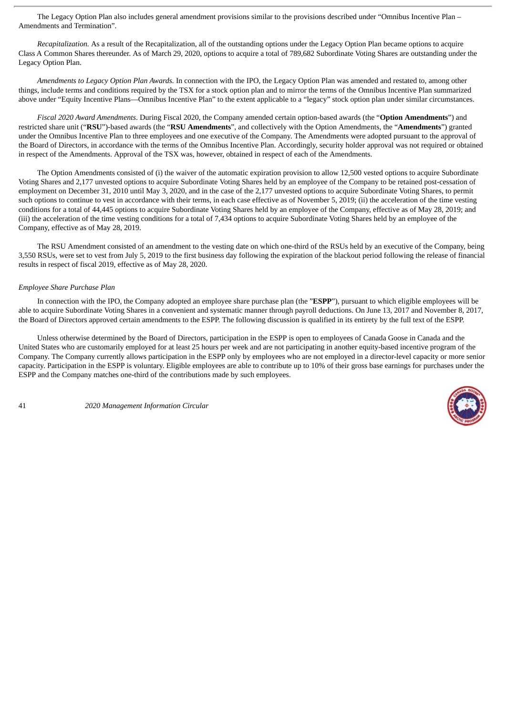The Legacy Option Plan also includes general amendment provisions similar to the provisions described under "Omnibus Incentive Plan – Amendments and Termination".

*Recapitalization.* As a result of the Recapitalization, all of the outstanding options under the Legacy Option Plan became options to acquire Class A Common Shares thereunder. As of March 29, 2020, options to acquire a total of 789,682 Subordinate Voting Shares are outstanding under the Legacy Option Plan.

*Amendments to Legacy Option Plan Awards.* In connection with the IPO, the Legacy Option Plan was amended and restated to, among other things, include terms and conditions required by the TSX for a stock option plan and to mirror the terms of the Omnibus Incentive Plan summarized above under "Equity Incentive Plans—Omnibus Incentive Plan" to the extent applicable to a "legacy" stock option plan under similar circumstances.

*Fiscal 2020 Award Amendments*. During Fiscal 2020, the Company amended certain option-based awards (the "**Option Amendments**") and restricted share unit ("**RSU**")-based awards (the "**RSU Amendments**", and collectively with the Option Amendments, the "**Amendments**") granted under the Omnibus Incentive Plan to three employees and one executive of the Company. The Amendments were adopted pursuant to the approval of the Board of Directors, in accordance with the terms of the Omnibus Incentive Plan. Accordingly, security holder approval was not required or obtained in respect of the Amendments. Approval of the TSX was, however, obtained in respect of each of the Amendments.

The Option Amendments consisted of (i) the waiver of the automatic expiration provision to allow 12,500 vested options to acquire Subordinate Voting Shares and 2,177 unvested options to acquire Subordinate Voting Shares held by an employee of the Company to be retained post-cessation of employment on December 31, 2010 until May 3, 2020, and in the case of the 2,177 unvested options to acquire Subordinate Voting Shares, to permit such options to continue to vest in accordance with their terms, in each case effective as of November 5, 2019; (ii) the acceleration of the time vesting conditions for a total of 44,445 options to acquire Subordinate Voting Shares held by an employee of the Company, effective as of May 28, 2019; and (iii) the acceleration of the time vesting conditions for a total of 7,434 options to acquire Subordinate Voting Shares held by an employee of the Company, effective as of May 28, 2019.

The RSU Amendment consisted of an amendment to the vesting date on which one-third of the RSUs held by an executive of the Company, being 3,550 RSUs, were set to vest from July 5, 2019 to the first business day following the expiration of the blackout period following the release of financial results in respect of fiscal 2019, effective as of May 28, 2020.

## *Employee Share Purchase Plan*

In connection with the IPO, the Company adopted an employee share purchase plan (the "**ESPP**"), pursuant to which eligible employees will be able to acquire Subordinate Voting Shares in a convenient and systematic manner through payroll deductions. On June 13, 2017 and November 8, 2017, the Board of Directors approved certain amendments to the ESPP. The following discussion is qualified in its entirety by the full text of the ESPP.

Unless otherwise determined by the Board of Directors, participation in the ESPP is open to employees of Canada Goose in Canada and the United States who are customarily employed for at least 25 hours per week and are not participating in another equity-based incentive program of the Company. The Company currently allows participation in the ESPP only by employees who are not employed in a director-level capacity or more senior capacity. Participation in the ESPP is voluntary. Eligible employees are able to contribute up to 10% of their gross base earnings for purchases under the ESPP and the Company matches one-third of the contributions made by such employees.

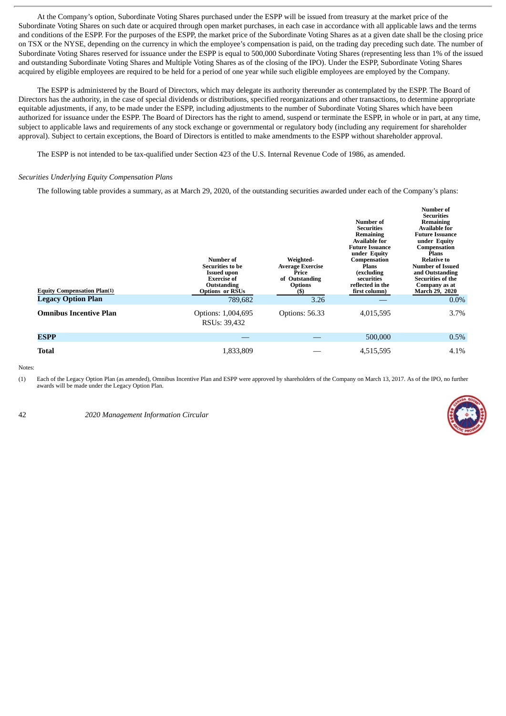At the Company's option, Subordinate Voting Shares purchased under the ESPP will be issued from treasury at the market price of the Subordinate Voting Shares on such date or acquired through open market purchases, in each case in accordance with all applicable laws and the terms and conditions of the ESPP. For the purposes of the ESPP, the market price of the Subordinate Voting Shares as at a given date shall be the closing price on TSX or the NYSE, depending on the currency in which the employee's compensation is paid, on the trading day preceding such date. The number of Subordinate Voting Shares reserved for issuance under the ESPP is equal to 500,000 Subordinate Voting Shares (representing less than 1% of the issued and outstanding Subordinate Voting Shares and Multiple Voting Shares as of the closing of the IPO). Under the ESPP, Subordinate Voting Shares acquired by eligible employees are required to be held for a period of one year while such eligible employees are employed by the Company.

The ESPP is administered by the Board of Directors, which may delegate its authority thereunder as contemplated by the ESPP. The Board of Directors has the authority, in the case of special dividends or distributions, specified reorganizations and other transactions, to determine appropriate equitable adjustments, if any, to be made under the ESPP, including adjustments to the number of Subordinate Voting Shares which have been authorized for issuance under the ESPP. The Board of Directors has the right to amend, suspend or terminate the ESPP, in whole or in part, at any time, subject to applicable laws and requirements of any stock exchange or governmental or regulatory body (including any requirement for shareholder approval). Subject to certain exceptions, the Board of Directors is entitled to make amendments to the ESPP without shareholder approval.

The ESPP is not intended to be tax-qualified under Section 423 of the U.S. Internal Revenue Code of 1986, as amended.

#### *Securities Underlying Equity Compensation Plans*

The following table provides a summary, as at March 29, 2020, of the outstanding securities awarded under each of the Company's plans:

| <b>Equity Compensation Plan(1)</b><br><b>Legacy Option Plan</b> | Number of<br><b>Securities to be</b><br><b>Issued upon</b><br><b>Exercise of</b><br>Outstanding<br><b>Options or RSUs</b><br>789,682 | Weighted-<br>Average Exercise<br>Price<br>of Outstanding<br><b>Options</b><br>$($ \$)<br>3.26 | Number of<br><b>Securities</b><br>Remaining<br><b>Available for</b><br><b>Future Issuance</b><br>under Equity<br>Compensation<br>Plans<br>(excluding<br>securities<br>reflected in the<br>first column) | <b>Number of</b><br><b>Securities</b><br>Remaining<br><b>Available for</b><br><b>Future Issuance</b><br>under Equity<br>Compensation<br>Plans<br><b>Relative to</b><br><b>Number of Issued</b><br>and Outstanding<br>Securities of the<br>Company as at<br>March 29, 2020<br>$0.0\%$ |
|-----------------------------------------------------------------|--------------------------------------------------------------------------------------------------------------------------------------|-----------------------------------------------------------------------------------------------|---------------------------------------------------------------------------------------------------------------------------------------------------------------------------------------------------------|--------------------------------------------------------------------------------------------------------------------------------------------------------------------------------------------------------------------------------------------------------------------------------------|
| <b>Omnibus Incentive Plan</b>                                   | Options: 1,004,695<br>RSU <sub>s</sub> : 39,432                                                                                      | Options: 56.33                                                                                | 4,015,595                                                                                                                                                                                               | $3.7\%$                                                                                                                                                                                                                                                                              |
| <b>ESPP</b>                                                     |                                                                                                                                      |                                                                                               | 500,000                                                                                                                                                                                                 | $0.5\%$                                                                                                                                                                                                                                                                              |
| <b>Total</b>                                                    | 1,833,809                                                                                                                            |                                                                                               | 4,515,595                                                                                                                                                                                               | 4.1%                                                                                                                                                                                                                                                                                 |

Notes:

(1) Each of the Legacy Option Plan (as amended), Omnibus Incentive Plan and ESPP were approved by shareholders of the Company on March 13, 2017. As of the IPO, no further awards will be made under the Legacy Option Plan.

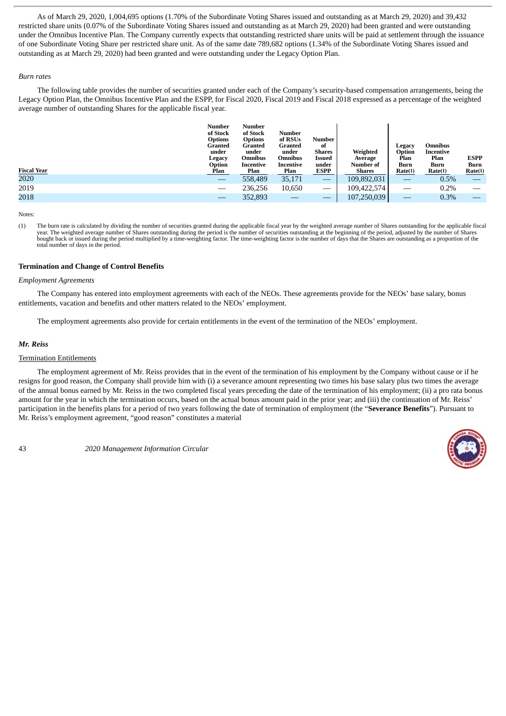As of March 29, 2020, 1,004,695 options (1.70% of the Subordinate Voting Shares issued and outstanding as at March 29, 2020) and 39,432 restricted share units (0.07% of the Subordinate Voting Shares issued and outstanding as at March 29, 2020) had been granted and were outstanding under the Omnibus Incentive Plan. The Company currently expects that outstanding restricted share units will be paid at settlement through the issuance of one Subordinate Voting Share per restricted share unit. As of the same date 789,682 options (1.34% of the Subordinate Voting Shares issued and outstanding as at March 29, 2020) had been granted and were outstanding under the Legacy Option Plan.

## *Burn rates*

The following table provides the number of securities granted under each of the Company's security-based compensation arrangements, being the Legacy Option Plan, the Omnibus Incentive Plan and the ESPP, for Fiscal 2020, Fiscal 2019 and Fiscal 2018 expressed as a percentage of the weighted average number of outstanding Shares for the applicable fiscal year.

|                    | <b>Number</b><br>of Stock<br><b>Options</b><br>Granted<br>under<br>Legacy<br>Option | <b>Number</b><br>of Stock<br><b>Options</b><br>Granted<br>under<br><b>Omnibus</b><br>Incentive | Number<br>of RSUs<br>Granted<br>under<br><b>Omnibus</b><br>Incentive | Number<br>of<br>Shares<br>Issued<br>under | Weighted<br>Average<br>Number of | Legacy<br>Option<br>Plan<br>Burn | <b>Omnibus</b><br>Incentive<br>Plan<br>Burn | <b>ESPP</b><br>Burn |
|--------------------|-------------------------------------------------------------------------------------|------------------------------------------------------------------------------------------------|----------------------------------------------------------------------|-------------------------------------------|----------------------------------|----------------------------------|---------------------------------------------|---------------------|
| <b>Fiscal Year</b> | <b>Plan</b>                                                                         | Plan                                                                                           | Plan                                                                 | <b>ESPP</b>                               | Shares                           | Rate(1)                          | Rate(1)                                     | Rate(1)             |
| 2020               |                                                                                     | 558,489                                                                                        | 35,171                                                               |                                           | 109,892,031                      | _                                | 0.5%                                        |                     |
| 2019               |                                                                                     | 236,256                                                                                        | 10,650                                                               |                                           | 109,422,574                      | __                               | 0.2%                                        |                     |
| 2018               |                                                                                     | 352,893                                                                                        |                                                                      |                                           | 107,250,039                      |                                  | 0.3%                                        |                     |

**Notes** 

(1) The burn rate is calculated by dividing the number of securities granted during the applicable fiscal year by the weighted average number of Shares outstanding for the applicable fiscal year. The weighted average number of Shares outstanding during the period is the number of securities outstanding at the beginning of the period, adjusted by the number of Shares bought back or issued during the period multiplied by a time-weighting factor. The time-weighting factor is the number of days that the Shares are outstanding as a proportion of the total number of days in the period.

# **Termination and Change of Control Benefits**

#### *Employment Agreements*

The Company has entered into employment agreements with each of the NEOs. These agreements provide for the NEOs' base salary, bonus entitlements, vacation and benefits and other matters related to the NEOs' employment.

The employment agreements also provide for certain entitlements in the event of the termination of the NEOs' employment.

## *Mr. Reiss*

## Termination Entitlements

The employment agreement of Mr. Reiss provides that in the event of the termination of his employment by the Company without cause or if he resigns for good reason, the Company shall provide him with (i) a severance amount representing two times his base salary plus two times the average of the annual bonus earned by Mr. Reiss in the two completed fiscal years preceding the date of the termination of his employment; (ii) a pro rata bonus amount for the year in which the termination occurs, based on the actual bonus amount paid in the prior year; and (iii) the continuation of Mr. Reiss' participation in the benefits plans for a period of two years following the date of termination of employment (the "**Severance Benefits**"). Pursuant to Mr. Reiss's employment agreement, "good reason" constitutes a material

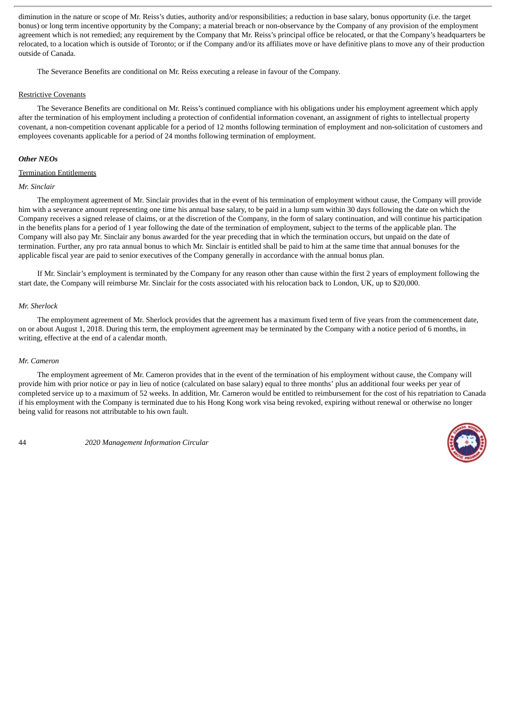diminution in the nature or scope of Mr. Reiss's duties, authority and/or responsibilities; a reduction in base salary, bonus opportunity (i.e. the target bonus) or long term incentive opportunity by the Company; a material breach or non-observance by the Company of any provision of the employment agreement which is not remedied; any requirement by the Company that Mr. Reiss's principal office be relocated, or that the Company's headquarters be relocated, to a location which is outside of Toronto; or if the Company and/or its affiliates move or have definitive plans to move any of their production outside of Canada.

The Severance Benefits are conditional on Mr. Reiss executing a release in favour of the Company.

#### Restrictive Covenants

The Severance Benefits are conditional on Mr. Reiss's continued compliance with his obligations under his employment agreement which apply after the termination of his employment including a protection of confidential information covenant, an assignment of rights to intellectual property covenant, a non-competition covenant applicable for a period of 12 months following termination of employment and non-solicitation of customers and employees covenants applicable for a period of 24 months following termination of employment.

#### *Other NEOs*

#### Termination Entitlements

### *Mr. Sinclair*

The employment agreement of Mr. Sinclair provides that in the event of his termination of employment without cause, the Company will provide him with a severance amount representing one time his annual base salary, to be paid in a lump sum within 30 days following the date on which the Company receives a signed release of claims, or at the discretion of the Company, in the form of salary continuation, and will continue his participation in the benefits plans for a period of 1 year following the date of the termination of employment, subject to the terms of the applicable plan. The Company will also pay Mr. Sinclair any bonus awarded for the year preceding that in which the termination occurs, but unpaid on the date of termination. Further, any pro rata annual bonus to which Mr. Sinclair is entitled shall be paid to him at the same time that annual bonuses for the applicable fiscal year are paid to senior executives of the Company generally in accordance with the annual bonus plan.

If Mr. Sinclair's employment is terminated by the Company for any reason other than cause within the first 2 years of employment following the start date, the Company will reimburse Mr. Sinclair for the costs associated with his relocation back to London, UK, up to \$20,000.

## *Mr. Sherlock*

The employment agreement of Mr. Sherlock provides that the agreement has a maximum fixed term of five years from the commencement date, on or about August 1, 2018. During this term, the employment agreement may be terminated by the Company with a notice period of 6 months, in writing, effective at the end of a calendar month.

## *Mr. Cameron*

The employment agreement of Mr. Cameron provides that in the event of the termination of his employment without cause, the Company will provide him with prior notice or pay in lieu of notice (calculated on base salary) equal to three months' plus an additional four weeks per year of completed service up to a maximum of 52 weeks. In addition, Mr. Cameron would be entitled to reimbursement for the cost of his repatriation to Canada if his employment with the Company is terminated due to his Hong Kong work visa being revoked, expiring without renewal or otherwise no longer being valid for reasons not attributable to his own fault.

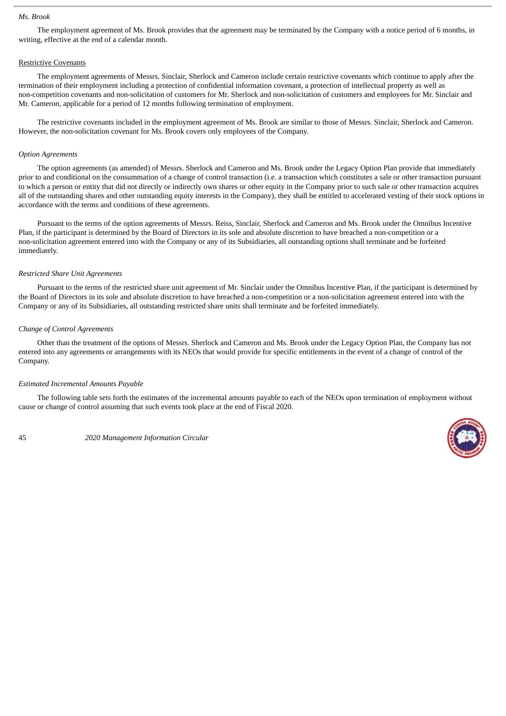#### *Ms. Brook*

The employment agreement of Ms. Brook provides that the agreement may be terminated by the Company with a notice period of 6 months, in writing, effective at the end of a calendar month.

# Restrictive Covenants

The employment agreements of Messrs. Sinclair, Sherlock and Cameron include certain restrictive covenants which continue to apply after the termination of their employment including a protection of confidential information covenant, a protection of intellectual property as well as non-competition covenants and non-solicitation of customers for Mr. Sherlock and non-solicitation of customers and employees for Mr. Sinclair and Mr. Cameron, applicable for a period of 12 months following termination of employment.

The restrictive covenants included in the employment agreement of Ms. Brook are similar to those of Messrs. Sinclair, Sherlock and Cameron. However, the non-solicitation covenant for Ms. Brook covers only employees of the Company.

#### *Option Agreements*

The option agreements (as amended) of Messrs. Sherlock and Cameron and Ms. Brook under the Legacy Option Plan provide that immediately prior to and conditional on the consummation of a change of control transaction (i.e. a transaction which constitutes a sale or other transaction pursuant to which a person or entity that did not directly or indirectly own shares or other equity in the Company prior to such sale or other transaction acquires all of the outstanding shares and other outstanding equity interests in the Company), they shall be entitled to accelerated vesting of their stock options in accordance with the terms and conditions of these agreements.

Pursuant to the terms of the option agreements of Messrs. Reiss, Sinclair, Sherlock and Cameron and Ms. Brook under the Omnibus Incentive Plan, if the participant is determined by the Board of Directors in its sole and absolute discretion to have breached a non-competition or a non-solicitation agreement entered into with the Company or any of its Subsidiaries, all outstanding options shall terminate and be forfeited immediately.

#### *Restricted Share Unit Agreements*

Pursuant to the terms of the restricted share unit agreement of Mr. Sinclair under the Omnibus Incentive Plan, if the participant is determined by the Board of Directors in its sole and absolute discretion to have breached a non-competition or a non-solicitation agreement entered into with the Company or any of its Subsidiaries, all outstanding restricted share units shall terminate and be forfeited immediately.

## *Change of Control Agreements*

Other than the treatment of the options of Messrs. Sherlock and Cameron and Ms. Brook under the Legacy Option Plan, the Company has not entered into any agreements or arrangements with its NEOs that would provide for specific entitlements in the event of a change of control of the Company.

#### *Estimated Incremental Amounts Payable*

The following table sets forth the estimates of the incremental amounts payable to each of the NEOs upon termination of employment without cause or change of control assuming that such events took place at the end of Fiscal 2020.

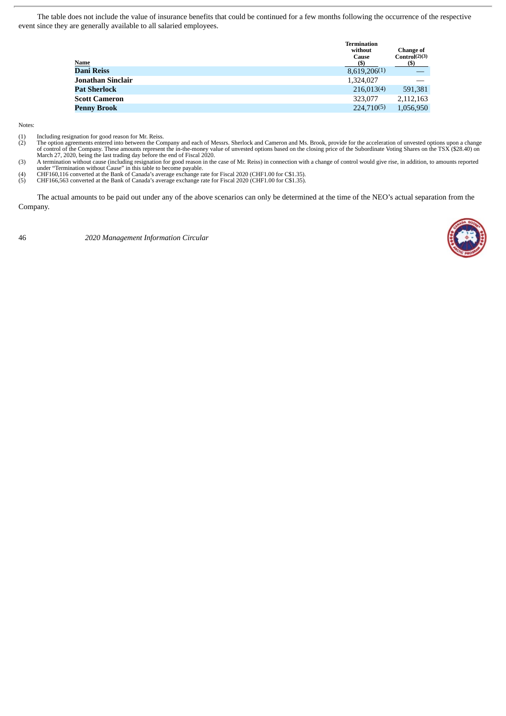The table does not include the value of insurance benefits that could be continued for a few months following the occurrence of the respective event since they are generally available to all salaried employees.

| Name              | <b>Termination</b><br>without<br>Cause<br>(\$) | <b>Change of</b><br>Control(2)(3)<br>(S) |
|-------------------|------------------------------------------------|------------------------------------------|
| Dani Reiss        | 8,619,206(1)                                   |                                          |
| Jonathan Sinclair | 1,324,027                                      |                                          |
| Pat Sherlock      | 216,013(4)                                     | 591,381                                  |
| Scott Cameron     | 323,077                                        | 2,112,163                                |
| Penny Brook       | 224,710(5)                                     | 1,056,950                                |
|                   |                                                |                                          |

Notes:

- 
- (1) Including resignation for good reason for Mr. Reiss. (2) The option agreements entered into between the Company and each of Messrs. Sherlock and Cameron and Ms. Brook, provide for the acceleration of unvested options upon a change of control of the Company. These amounts represent the in-the-money value of unvested options based on the closing price of the Subordinate Voting Shares on the TSX (\$28.40) on<br>March 27, 2020, being the last trading day be
- (3) A termination without cause (including resignation for good reason in the case of Mr. Reiss) in connection with a change of control would give rise, in addition, to amounts reported under "Termination without Cause" in this table to become payable. (4) CHF160,116 converted at the Bank of Canada's average exchange rate for Fiscal 2020 (CHF1.00 for C\$1.35).
- (4) CHF160,116 converted at the Bank of Canada's average exchange rate for Fiscal 2020 (CHF1.00 for C\$1.35).<br>
(5) CHF166,563 converted at the Bank of Canada's average exchange rate for Fiscal 2020 (CHF1.00 for C\$1.35).
- 

The actual amounts to be paid out under any of the above scenarios can only be determined at the time of the NEO's actual separation from the Company.

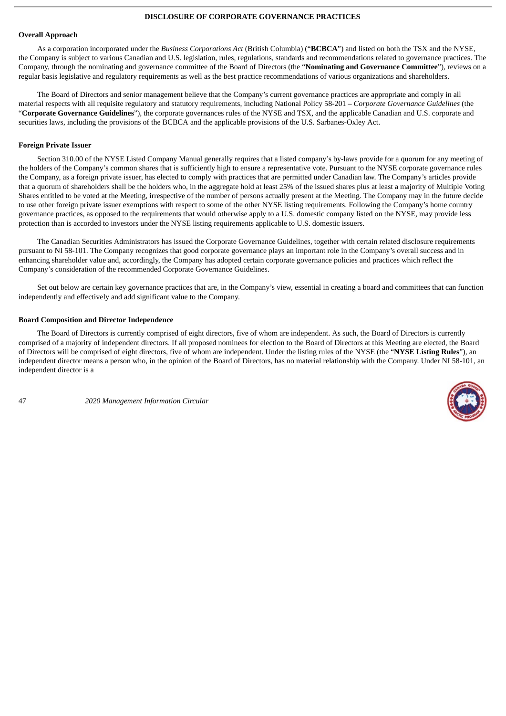## **DISCLOSURE OF CORPORATE GOVERNANCE PRACTICES**

#### **Overall Approach**

As a corporation incorporated under the *Business Corporations Act* (British Columbia) ("**BCBCA**") and listed on both the TSX and the NYSE, the Company is subject to various Canadian and U.S. legislation, rules, regulations, standards and recommendations related to governance practices. The Company, through the nominating and governance committee of the Board of Directors (the "**Nominating and Governance Committee**"), reviews on a regular basis legislative and regulatory requirements as well as the best practice recommendations of various organizations and shareholders.

The Board of Directors and senior management believe that the Company's current governance practices are appropriate and comply in all material respects with all requisite regulatory and statutory requirements, including National Policy 58-201 – *Corporate Governance Guidelines* (the "**Corporate Governance Guidelines**"), the corporate governances rules of the NYSE and TSX, and the applicable Canadian and U.S. corporate and securities laws, including the provisions of the BCBCA and the applicable provisions of the U.S. Sarbanes-Oxley Act.

## **Foreign Private Issuer**

Section 310.00 of the NYSE Listed Company Manual generally requires that a listed company's by-laws provide for a quorum for any meeting of the holders of the Company's common shares that is sufficiently high to ensure a representative vote. Pursuant to the NYSE corporate governance rules the Company, as a foreign private issuer, has elected to comply with practices that are permitted under Canadian law. The Company's articles provide that a quorum of shareholders shall be the holders who, in the aggregate hold at least 25% of the issued shares plus at least a majority of Multiple Voting Shares entitled to be voted at the Meeting, irrespective of the number of persons actually present at the Meeting. The Company may in the future decide to use other foreign private issuer exemptions with respect to some of the other NYSE listing requirements. Following the Company's home country governance practices, as opposed to the requirements that would otherwise apply to a U.S. domestic company listed on the NYSE, may provide less protection than is accorded to investors under the NYSE listing requirements applicable to U.S. domestic issuers.

The Canadian Securities Administrators has issued the Corporate Governance Guidelines, together with certain related disclosure requirements pursuant to NI 58-101. The Company recognizes that good corporate governance plays an important role in the Company's overall success and in enhancing shareholder value and, accordingly, the Company has adopted certain corporate governance policies and practices which reflect the Company's consideration of the recommended Corporate Governance Guidelines.

Set out below are certain key governance practices that are, in the Company's view, essential in creating a board and committees that can function independently and effectively and add significant value to the Company.

## **Board Composition and Director Independence**

The Board of Directors is currently comprised of eight directors, five of whom are independent. As such, the Board of Directors is currently comprised of a majority of independent directors. If all proposed nominees for election to the Board of Directors at this Meeting are elected, the Board of Directors will be comprised of eight directors, five of whom are independent. Under the listing rules of the NYSE (the "**NYSE Listing Rules**"), an independent director means a person who, in the opinion of the Board of Directors, has no material relationship with the Company. Under NI 58-101, an independent director is a

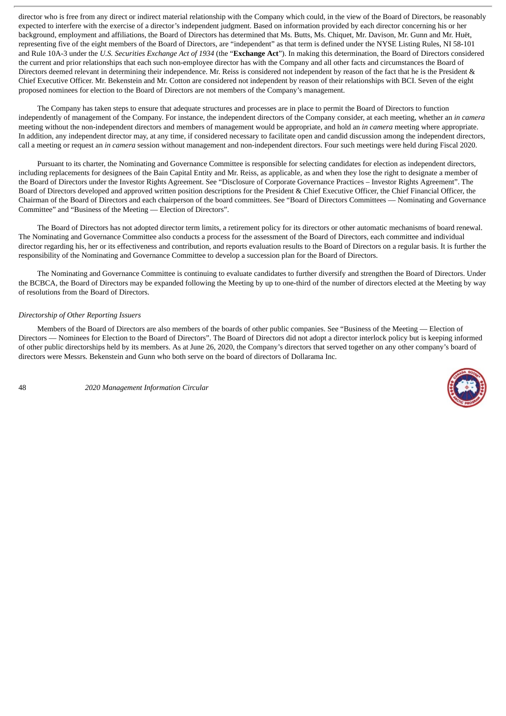director who is free from any direct or indirect material relationship with the Company which could, in the view of the Board of Directors, be reasonably expected to interfere with the exercise of a director's independent judgment. Based on information provided by each director concerning his or her background, employment and affiliations, the Board of Directors has determined that Ms. Butts, Ms. Chiquet, Mr. Davison, Mr. Gunn and Mr. Huët, representing five of the eight members of the Board of Directors, are "independent" as that term is defined under the NYSE Listing Rules, NI 58-101 and Rule 10A-3 under the *U.S. Securities Exchange Act of 1934* (the "**Exchange Act**"). In making this determination, the Board of Directors considered the current and prior relationships that each such non-employee director has with the Company and all other facts and circumstances the Board of Directors deemed relevant in determining their independence. Mr. Reiss is considered not independent by reason of the fact that he is the President & Chief Executive Officer. Mr. Bekenstein and Mr. Cotton are considered not independent by reason of their relationships with BCI. Seven of the eight proposed nominees for election to the Board of Directors are not members of the Company's management.

The Company has taken steps to ensure that adequate structures and processes are in place to permit the Board of Directors to function independently of management of the Company. For instance, the independent directors of the Company consider, at each meeting, whether an *in camera* meeting without the non-independent directors and members of management would be appropriate, and hold an *in camera* meeting where appropriate. In addition, any independent director may, at any time, if considered necessary to facilitate open and candid discussion among the independent directors, call a meeting or request an *in camera* session without management and non-independent directors. Four such meetings were held during Fiscal 2020.

Pursuant to its charter, the Nominating and Governance Committee is responsible for selecting candidates for election as independent directors, including replacements for designees of the Bain Capital Entity and Mr. Reiss, as applicable, as and when they lose the right to designate a member of the Board of Directors under the Investor Rights Agreement. See "Disclosure of Corporate Governance Practices – Investor Rights Agreement". The Board of Directors developed and approved written position descriptions for the President & Chief Executive Officer, the Chief Financial Officer, the Chairman of the Board of Directors and each chairperson of the board committees. See "Board of Directors Committees — Nominating and Governance Committee" and "Business of the Meeting — Election of Directors".

The Board of Directors has not adopted director term limits, a retirement policy for its directors or other automatic mechanisms of board renewal. The Nominating and Governance Committee also conducts a process for the assessment of the Board of Directors, each committee and individual director regarding his, her or its effectiveness and contribution, and reports evaluation results to the Board of Directors on a regular basis. It is further the responsibility of the Nominating and Governance Committee to develop a succession plan for the Board of Directors.

The Nominating and Governance Committee is continuing to evaluate candidates to further diversify and strengthen the Board of Directors. Under the BCBCA, the Board of Directors may be expanded following the Meeting by up to one-third of the number of directors elected at the Meeting by way of resolutions from the Board of Directors.

## *Directorship of Other Reporting Issuers*

Members of the Board of Directors are also members of the boards of other public companies. See "Business of the Meeting — Election of Directors — Nominees for Election to the Board of Directors". The Board of Directors did not adopt a director interlock policy but is keeping informed of other public directorships held by its members. As at June 26, 2020, the Company's directors that served together on any other company's board of directors were Messrs. Bekenstein and Gunn who both serve on the board of directors of Dollarama Inc.

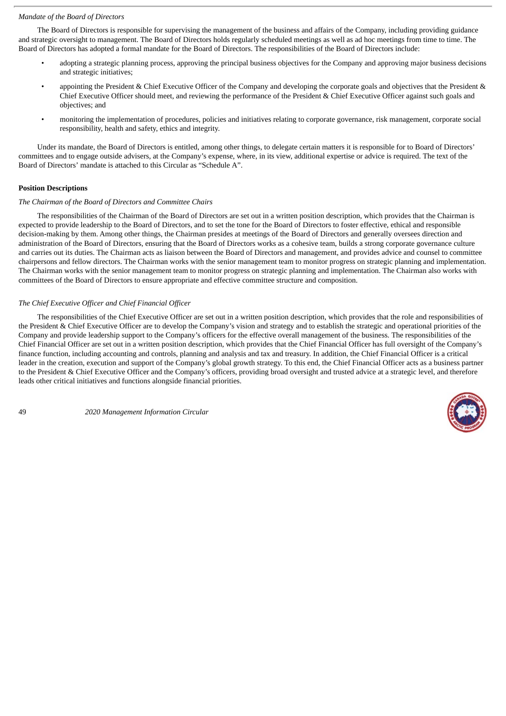## *Mandate of the Board of Directors*

The Board of Directors is responsible for supervising the management of the business and affairs of the Company, including providing guidance and strategic oversight to management. The Board of Directors holds regularly scheduled meetings as well as ad hoc meetings from time to time. The Board of Directors has adopted a formal mandate for the Board of Directors. The responsibilities of the Board of Directors include:

- adopting a strategic planning process, approving the principal business objectives for the Company and approving major business decisions and strategic initiatives;
- appointing the President & Chief Executive Officer of the Company and developing the corporate goals and objectives that the President & Chief Executive Officer should meet, and reviewing the performance of the President & Chief Executive Officer against such goals and objectives; and
- monitoring the implementation of procedures, policies and initiatives relating to corporate governance, risk management, corporate social responsibility, health and safety, ethics and integrity.

Under its mandate, the Board of Directors is entitled, among other things, to delegate certain matters it is responsible for to Board of Directors' committees and to engage outside advisers, at the Company's expense, where, in its view, additional expertise or advice is required. The text of the Board of Directors' mandate is attached to this Circular as "Schedule A".

# **Position Descriptions**

## *The Chairman of the Board of Directors and Committee Chairs*

The responsibilities of the Chairman of the Board of Directors are set out in a written position description, which provides that the Chairman is expected to provide leadership to the Board of Directors, and to set the tone for the Board of Directors to foster effective, ethical and responsible decision-making by them. Among other things, the Chairman presides at meetings of the Board of Directors and generally oversees direction and administration of the Board of Directors, ensuring that the Board of Directors works as a cohesive team, builds a strong corporate governance culture and carries out its duties. The Chairman acts as liaison between the Board of Directors and management, and provides advice and counsel to committee chairpersons and fellow directors. The Chairman works with the senior management team to monitor progress on strategic planning and implementation. The Chairman works with the senior management team to monitor progress on strategic planning and implementation. The Chairman also works with committees of the Board of Directors to ensure appropriate and effective committee structure and composition.

## *The Chief Executive Officer and Chief Financial Officer*

The responsibilities of the Chief Executive Officer are set out in a written position description, which provides that the role and responsibilities of the President & Chief Executive Officer are to develop the Company's vision and strategy and to establish the strategic and operational priorities of the Company and provide leadership support to the Company's officers for the effective overall management of the business. The responsibilities of the Chief Financial Officer are set out in a written position description, which provides that the Chief Financial Officer has full oversight of the Company's finance function, including accounting and controls, planning and analysis and tax and treasury. In addition, the Chief Financial Officer is a critical leader in the creation, execution and support of the Company's global growth strategy. To this end, the Chief Financial Officer acts as a business partner to the President & Chief Executive Officer and the Company's officers, providing broad oversight and trusted advice at a strategic level, and therefore leads other critical initiatives and functions alongside financial priorities.

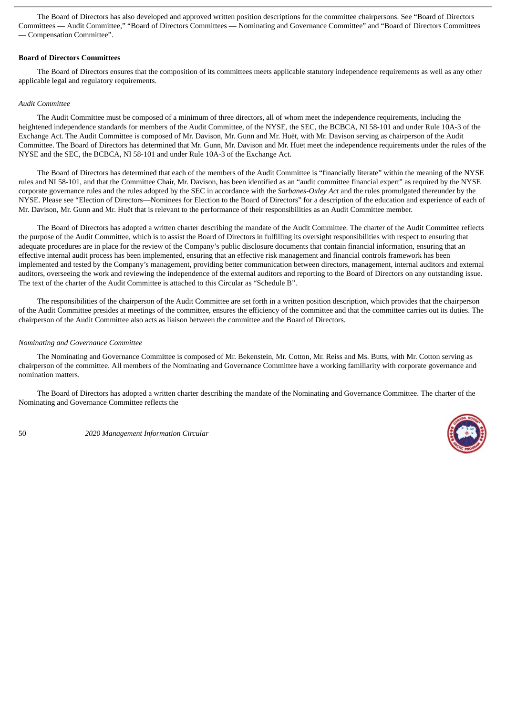The Board of Directors has also developed and approved written position descriptions for the committee chairpersons. See "Board of Directors Committees — Audit Committee," "Board of Directors Committees — Nominating and Governance Committee" and "Board of Directors Committees — Compensation Committee".

## **Board of Directors Committees**

The Board of Directors ensures that the composition of its committees meets applicable statutory independence requirements as well as any other applicable legal and regulatory requirements.

## *Audit Committee*

The Audit Committee must be composed of a minimum of three directors, all of whom meet the independence requirements, including the heightened independence standards for members of the Audit Committee, of the NYSE, the SEC, the BCBCA, NI 58-101 and under Rule 10A-3 of the Exchange Act. The Audit Committee is composed of Mr. Davison, Mr. Gunn and Mr. Huët, with Mr. Davison serving as chairperson of the Audit Committee. The Board of Directors has determined that Mr. Gunn, Mr. Davison and Mr. Huët meet the independence requirements under the rules of the NYSE and the SEC, the BCBCA, NI 58-101 and under Rule 10A-3 of the Exchange Act.

The Board of Directors has determined that each of the members of the Audit Committee is "financially literate" within the meaning of the NYSE rules and NI 58-101, and that the Committee Chair, Mr. Davison, has been identified as an "audit committee financial expert" as required by the NYSE corporate governance rules and the rules adopted by the SEC in accordance with the *Sarbanes-Oxley Act* and the rules promulgated thereunder by the NYSE. Please see "Election of Directors—Nominees for Election to the Board of Directors" for a description of the education and experience of each of Mr. Davison, Mr. Gunn and Mr. Huët that is relevant to the performance of their responsibilities as an Audit Committee member.

The Board of Directors has adopted a written charter describing the mandate of the Audit Committee. The charter of the Audit Committee reflects the purpose of the Audit Committee, which is to assist the Board of Directors in fulfilling its oversight responsibilities with respect to ensuring that adequate procedures are in place for the review of the Company's public disclosure documents that contain financial information, ensuring that an effective internal audit process has been implemented, ensuring that an effective risk management and financial controls framework has been implemented and tested by the Company's management, providing better communication between directors, management, internal auditors and external auditors, overseeing the work and reviewing the independence of the external auditors and reporting to the Board of Directors on any outstanding issue. The text of the charter of the Audit Committee is attached to this Circular as "Schedule B".

The responsibilities of the chairperson of the Audit Committee are set forth in a written position description, which provides that the chairperson of the Audit Committee presides at meetings of the committee, ensures the efficiency of the committee and that the committee carries out its duties. The chairperson of the Audit Committee also acts as liaison between the committee and the Board of Directors.

#### *Nominating and Governance Committee*

The Nominating and Governance Committee is composed of Mr. Bekenstein, Mr. Cotton, Mr. Reiss and Ms. Butts, with Mr. Cotton serving as chairperson of the committee. All members of the Nominating and Governance Committee have a working familiarity with corporate governance and nomination matters.

The Board of Directors has adopted a written charter describing the mandate of the Nominating and Governance Committee. The charter of the Nominating and Governance Committee reflects the

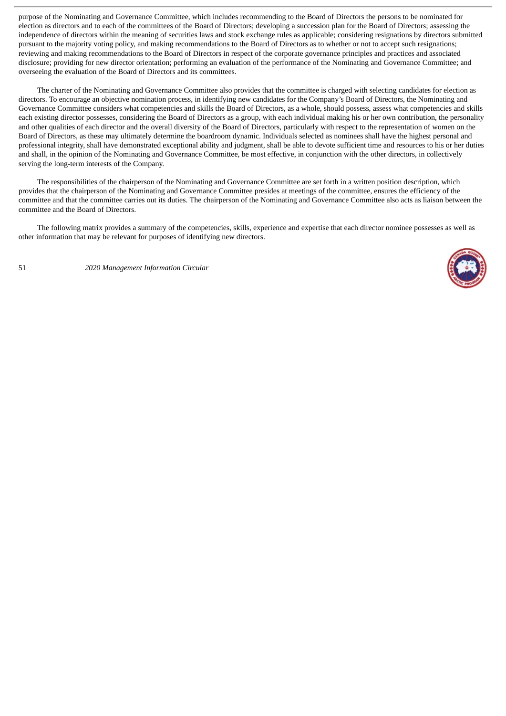purpose of the Nominating and Governance Committee, which includes recommending to the Board of Directors the persons to be nominated for election as directors and to each of the committees of the Board of Directors; developing a succession plan for the Board of Directors; assessing the independence of directors within the meaning of securities laws and stock exchange rules as applicable; considering resignations by directors submitted pursuant to the majority voting policy, and making recommendations to the Board of Directors as to whether or not to accept such resignations; reviewing and making recommendations to the Board of Directors in respect of the corporate governance principles and practices and associated disclosure; providing for new director orientation; performing an evaluation of the performance of the Nominating and Governance Committee; and overseeing the evaluation of the Board of Directors and its committees.

The charter of the Nominating and Governance Committee also provides that the committee is charged with selecting candidates for election as directors. To encourage an objective nomination process, in identifying new candidates for the Company's Board of Directors, the Nominating and Governance Committee considers what competencies and skills the Board of Directors, as a whole, should possess, assess what competencies and skills each existing director possesses, considering the Board of Directors as a group, with each individual making his or her own contribution, the personality and other qualities of each director and the overall diversity of the Board of Directors, particularly with respect to the representation of women on the Board of Directors, as these may ultimately determine the boardroom dynamic. Individuals selected as nominees shall have the highest personal and professional integrity, shall have demonstrated exceptional ability and judgment, shall be able to devote sufficient time and resources to his or her duties and shall, in the opinion of the Nominating and Governance Committee, be most effective, in conjunction with the other directors, in collectively serving the long-term interests of the Company.

The responsibilities of the chairperson of the Nominating and Governance Committee are set forth in a written position description, which provides that the chairperson of the Nominating and Governance Committee presides at meetings of the committee, ensures the efficiency of the committee and that the committee carries out its duties. The chairperson of the Nominating and Governance Committee also acts as liaison between the committee and the Board of Directors.

The following matrix provides a summary of the competencies, skills, experience and expertise that each director nominee possesses as well as other information that may be relevant for purposes of identifying new directors.

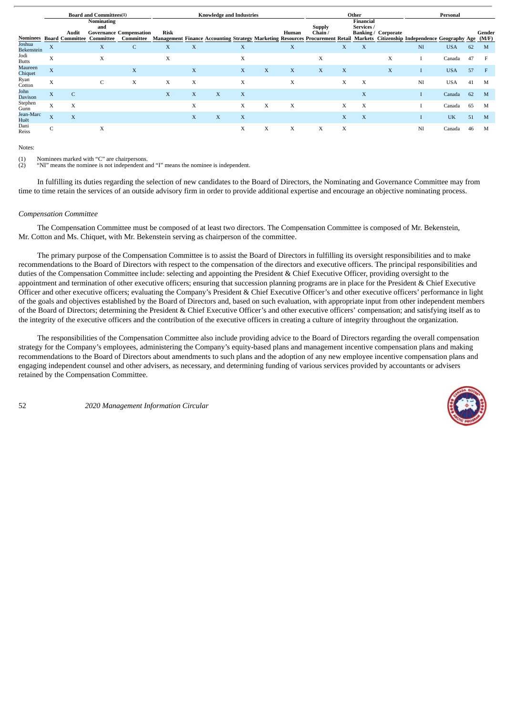|                             |                           |              | <b>Board and Committees(1)</b>                               |                                             | <b>Knowledge and Industries</b> |   |   |   |   |       | Other                    |   |                                |                            | Personal                                                                                                                     |            |    |                 |
|-----------------------------|---------------------------|--------------|--------------------------------------------------------------|---------------------------------------------|---------------------------------|---|---|---|---|-------|--------------------------|---|--------------------------------|----------------------------|------------------------------------------------------------------------------------------------------------------------------|------------|----|-----------------|
| Nominees                    |                           | Audit        | <b>Nominating</b><br>and<br><b>Board Committee Committee</b> | <b>Governance Compensation</b><br>Committee | Risk                            |   |   |   |   | Human | <b>Supply</b><br>Chain / |   | <b>Financial</b><br>Services / | <b>Banking / Corporate</b> | Management Finance Accounting Strategy Marketing Resources Procurement Retail Markets Citizenship Independence Geography Age |            |    | Gender<br>(M/F) |
| Joshua<br><b>Bekenstein</b> | $\boldsymbol{\mathrm{X}}$ |              | X                                                            | $\mathsf{C}$                                | X                               | X |   | X |   | X     |                          | X | X                              |                            | NI                                                                                                                           | <b>USA</b> | 62 | M               |
| Jodi<br><b>Butts</b>        | X                         |              | X                                                            |                                             | X                               |   |   | X |   |       | X                        |   |                                | X                          |                                                                                                                              | Canada     | 47 |                 |
| <b>Maureen</b><br>Chiquet   | X                         |              |                                                              | X                                           |                                 | X |   | X | X | X     | X                        | X |                                | X                          |                                                                                                                              | <b>USA</b> | 57 | F               |
| Ryan<br>Cotton              | X                         |              | $\mathsf{C}$                                                 | X                                           | X                               | X |   | X |   | X     |                          | X | X                              |                            | NI                                                                                                                           | <b>USA</b> | 41 | M               |
| John<br>Davison             | X                         | $\mathsf{C}$ |                                                              |                                             | X                               | X | X | X |   |       |                          |   | $\mathbf X$                    |                            |                                                                                                                              | Canada     | 62 | M               |
| Stephen<br>Gunn             | X                         | X            |                                                              |                                             |                                 | X |   | X | X | X     |                          | X | X                              |                            |                                                                                                                              | Canada     | 65 | M               |
| Jean-Marc<br>Huët           | X                         | X            |                                                              |                                             |                                 | X | X | X |   |       |                          | X | $\mathbf X$                    |                            |                                                                                                                              | UK         | 51 | M               |
| Dani<br>Reiss               | $\sqrt{2}$<br>U           |              | X                                                            |                                             |                                 |   |   | X | X | X     | X                        | X |                                |                            | NI                                                                                                                           | Canada     | 46 | M               |

Notes:

(1) Nominees marked with "C" are chairpersons.<br>(2)  $\text{``NI''}$  means the nominee is not independent a

(2) "NI" means the nominee is not independent and "I" means the nominee is independent.

In fulfilling its duties regarding the selection of new candidates to the Board of Directors, the Nominating and Governance Committee may from time to time retain the services of an outside advisory firm in order to provide additional expertise and encourage an objective nominating process.

#### *Compensation Committee*

The Compensation Committee must be composed of at least two directors. The Compensation Committee is composed of Mr. Bekenstein, Mr. Cotton and Ms. Chiquet, with Mr. Bekenstein serving as chairperson of the committee.

The primary purpose of the Compensation Committee is to assist the Board of Directors in fulfilling its oversight responsibilities and to make recommendations to the Board of Directors with respect to the compensation of the directors and executive officers. The principal responsibilities and duties of the Compensation Committee include: selecting and appointing the President & Chief Executive Officer, providing oversight to the appointment and termination of other executive officers; ensuring that succession planning programs are in place for the President & Chief Executive Officer and other executive officers; evaluating the Company's President & Chief Executive Officer's and other executive officers' performance in light of the goals and objectives established by the Board of Directors and, based on such evaluation, with appropriate input from other independent members of the Board of Directors; determining the President & Chief Executive Officer's and other executive officers' compensation; and satisfying itself as to the integrity of the executive officers and the contribution of the executive officers in creating a culture of integrity throughout the organization.

The responsibilities of the Compensation Committee also include providing advice to the Board of Directors regarding the overall compensation strategy for the Company's employees, administering the Company's equity-based plans and management incentive compensation plans and making recommendations to the Board of Directors about amendments to such plans and the adoption of any new employee incentive compensation plans and engaging independent counsel and other advisers, as necessary, and determining funding of various services provided by accountants or advisers retained by the Compensation Committee.

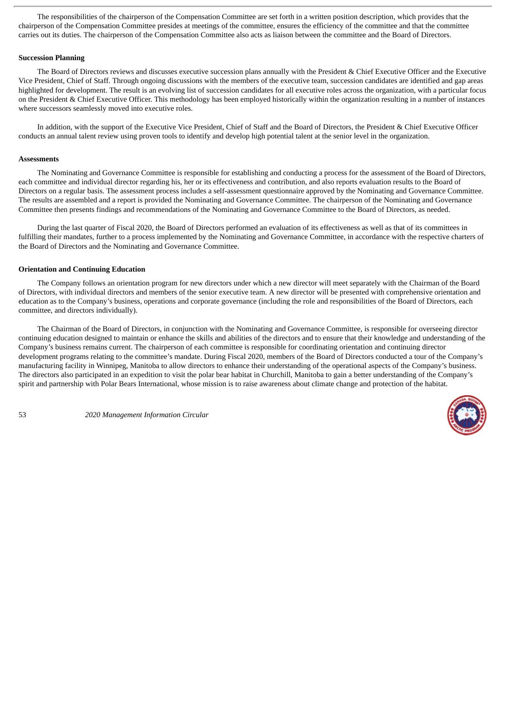The responsibilities of the chairperson of the Compensation Committee are set forth in a written position description, which provides that the chairperson of the Compensation Committee presides at meetings of the committee, ensures the efficiency of the committee and that the committee carries out its duties. The chairperson of the Compensation Committee also acts as liaison between the committee and the Board of Directors.

## **Succession Planning**

The Board of Directors reviews and discusses executive succession plans annually with the President & Chief Executive Officer and the Executive Vice President, Chief of Staff. Through ongoing discussions with the members of the executive team, succession candidates are identified and gap areas highlighted for development. The result is an evolving list of succession candidates for all executive roles across the organization, with a particular focus on the President & Chief Executive Officer. This methodology has been employed historically within the organization resulting in a number of instances where successors seamlessly moved into executive roles.

In addition, with the support of the Executive Vice President, Chief of Staff and the Board of Directors, the President & Chief Executive Officer conducts an annual talent review using proven tools to identify and develop high potential talent at the senior level in the organization.

## **Assessments**

The Nominating and Governance Committee is responsible for establishing and conducting a process for the assessment of the Board of Directors, each committee and individual director regarding his, her or its effectiveness and contribution, and also reports evaluation results to the Board of Directors on a regular basis. The assessment process includes a self-assessment questionnaire approved by the Nominating and Governance Committee. The results are assembled and a report is provided the Nominating and Governance Committee. The chairperson of the Nominating and Governance Committee then presents findings and recommendations of the Nominating and Governance Committee to the Board of Directors, as needed.

During the last quarter of Fiscal 2020, the Board of Directors performed an evaluation of its effectiveness as well as that of its committees in fulfilling their mandates, further to a process implemented by the Nominating and Governance Committee, in accordance with the respective charters of the Board of Directors and the Nominating and Governance Committee.

## **Orientation and Continuing Education**

The Company follows an orientation program for new directors under which a new director will meet separately with the Chairman of the Board of Directors, with individual directors and members of the senior executive team. A new director will be presented with comprehensive orientation and education as to the Company's business, operations and corporate governance (including the role and responsibilities of the Board of Directors, each committee, and directors individually).

The Chairman of the Board of Directors, in conjunction with the Nominating and Governance Committee, is responsible for overseeing director continuing education designed to maintain or enhance the skills and abilities of the directors and to ensure that their knowledge and understanding of the Company's business remains current. The chairperson of each committee is responsible for coordinating orientation and continuing director development programs relating to the committee's mandate. During Fiscal 2020, members of the Board of Directors conducted a tour of the Company's manufacturing facility in Winnipeg, Manitoba to allow directors to enhance their understanding of the operational aspects of the Company's business. The directors also participated in an expedition to visit the polar bear habitat in Churchill, Manitoba to gain a better understanding of the Company's spirit and partnership with Polar Bears International, whose mission is to raise awareness about climate change and protection of the habitat.

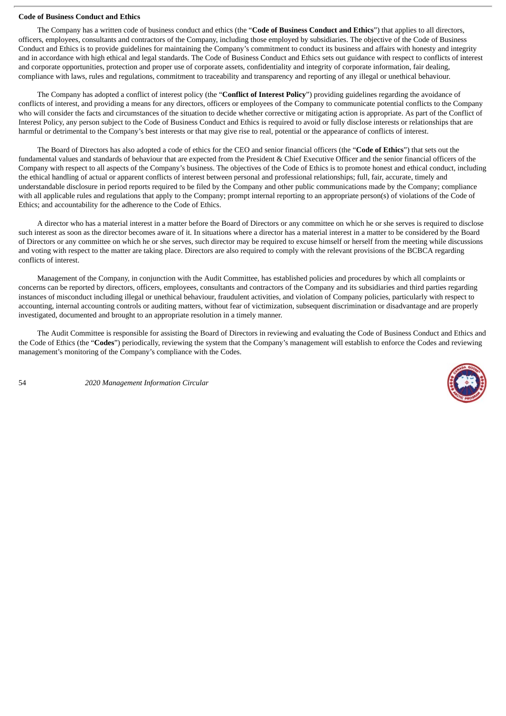## **Code of Business Conduct and Ethics**

The Company has a written code of business conduct and ethics (the "**Code of Business Conduct and Ethics**") that applies to all directors, officers, employees, consultants and contractors of the Company, including those employed by subsidiaries. The objective of the Code of Business Conduct and Ethics is to provide guidelines for maintaining the Company's commitment to conduct its business and affairs with honesty and integrity and in accordance with high ethical and legal standards. The Code of Business Conduct and Ethics sets out guidance with respect to conflicts of interest and corporate opportunities, protection and proper use of corporate assets, confidentiality and integrity of corporate information, fair dealing, compliance with laws, rules and regulations, commitment to traceability and transparency and reporting of any illegal or unethical behaviour.

The Company has adopted a conflict of interest policy (the "**Conflict of Interest Policy**") providing guidelines regarding the avoidance of conflicts of interest, and providing a means for any directors, officers or employees of the Company to communicate potential conflicts to the Company who will consider the facts and circumstances of the situation to decide whether corrective or mitigating action is appropriate. As part of the Conflict of Interest Policy, any person subject to the Code of Business Conduct and Ethics is required to avoid or fully disclose interests or relationships that are harmful or detrimental to the Company's best interests or that may give rise to real, potential or the appearance of conflicts of interest.

The Board of Directors has also adopted a code of ethics for the CEO and senior financial officers (the "**Code of Ethics**") that sets out the fundamental values and standards of behaviour that are expected from the President & Chief Executive Officer and the senior financial officers of the Company with respect to all aspects of the Company's business. The objectives of the Code of Ethics is to promote honest and ethical conduct, including the ethical handling of actual or apparent conflicts of interest between personal and professional relationships; full, fair, accurate, timely and understandable disclosure in period reports required to be filed by the Company and other public communications made by the Company; compliance with all applicable rules and regulations that apply to the Company; prompt internal reporting to an appropriate person(s) of violations of the Code of Ethics; and accountability for the adherence to the Code of Ethics.

A director who has a material interest in a matter before the Board of Directors or any committee on which he or she serves is required to disclose such interest as soon as the director becomes aware of it. In situations where a director has a material interest in a matter to be considered by the Board of Directors or any committee on which he or she serves, such director may be required to excuse himself or herself from the meeting while discussions and voting with respect to the matter are taking place. Directors are also required to comply with the relevant provisions of the BCBCA regarding conflicts of interest.

Management of the Company, in conjunction with the Audit Committee, has established policies and procedures by which all complaints or concerns can be reported by directors, officers, employees, consultants and contractors of the Company and its subsidiaries and third parties regarding instances of misconduct including illegal or unethical behaviour, fraudulent activities, and violation of Company policies, particularly with respect to accounting, internal accounting controls or auditing matters, without fear of victimization, subsequent discrimination or disadvantage and are properly investigated, documented and brought to an appropriate resolution in a timely manner.

The Audit Committee is responsible for assisting the Board of Directors in reviewing and evaluating the Code of Business Conduct and Ethics and the Code of Ethics (the "**Codes**") periodically, reviewing the system that the Company's management will establish to enforce the Codes and reviewing management's monitoring of the Company's compliance with the Codes.

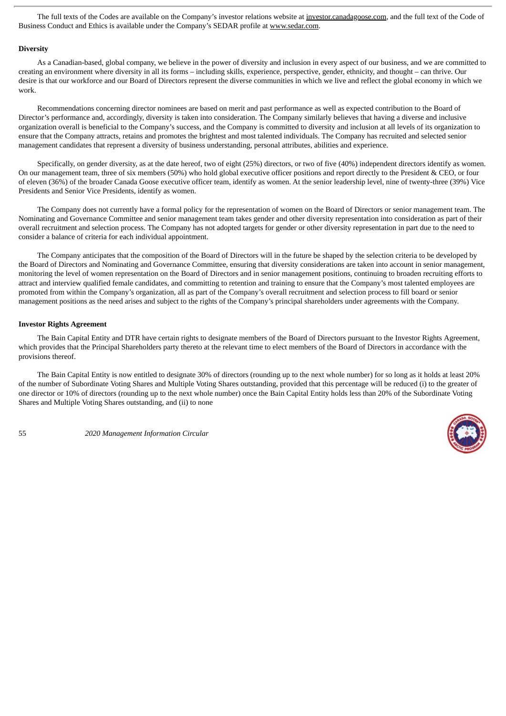The full texts of the Codes are available on the Company's investor relations website at investor.canadagoose.com, and the full text of the Code of Business Conduct and Ethics is available under the Company's SEDAR profile at www.sedar.com.

## **Diversity**

As a Canadian-based, global company, we believe in the power of diversity and inclusion in every aspect of our business, and we are committed to creating an environment where diversity in all its forms – including skills, experience, perspective, gender, ethnicity, and thought – can thrive. Our desire is that our workforce and our Board of Directors represent the diverse communities in which we live and reflect the global economy in which we work.

Recommendations concerning director nominees are based on merit and past performance as well as expected contribution to the Board of Director's performance and, accordingly, diversity is taken into consideration. The Company similarly believes that having a diverse and inclusive organization overall is beneficial to the Company's success, and the Company is committed to diversity and inclusion at all levels of its organization to ensure that the Company attracts, retains and promotes the brightest and most talented individuals. The Company has recruited and selected senior management candidates that represent a diversity of business understanding, personal attributes, abilities and experience.

Specifically, on gender diversity, as at the date hereof, two of eight (25%) directors, or two of five (40%) independent directors identify as women. On our management team, three of six members (50%) who hold global executive officer positions and report directly to the President & CEO, or four of eleven (36%) of the broader Canada Goose executive officer team, identify as women. At the senior leadership level, nine of twenty-three (39%) Vice Presidents and Senior Vice Presidents, identify as women.

The Company does not currently have a formal policy for the representation of women on the Board of Directors or senior management team. The Nominating and Governance Committee and senior management team takes gender and other diversity representation into consideration as part of their overall recruitment and selection process. The Company has not adopted targets for gender or other diversity representation in part due to the need to consider a balance of criteria for each individual appointment.

The Company anticipates that the composition of the Board of Directors will in the future be shaped by the selection criteria to be developed by the Board of Directors and Nominating and Governance Committee, ensuring that diversity considerations are taken into account in senior management, monitoring the level of women representation on the Board of Directors and in senior management positions, continuing to broaden recruiting efforts to attract and interview qualified female candidates, and committing to retention and training to ensure that the Company's most talented employees are promoted from within the Company's organization, all as part of the Company's overall recruitment and selection process to fill board or senior management positions as the need arises and subject to the rights of the Company's principal shareholders under agreements with the Company.

## **Investor Rights Agreement**

The Bain Capital Entity and DTR have certain rights to designate members of the Board of Directors pursuant to the Investor Rights Agreement, which provides that the Principal Shareholders party thereto at the relevant time to elect members of the Board of Directors in accordance with the provisions thereof.

The Bain Capital Entity is now entitled to designate 30% of directors (rounding up to the next whole number) for so long as it holds at least 20% of the number of Subordinate Voting Shares and Multiple Voting Shares outstanding, provided that this percentage will be reduced (i) to the greater of one director or 10% of directors (rounding up to the next whole number) once the Bain Capital Entity holds less than 20% of the Subordinate Voting Shares and Multiple Voting Shares outstanding, and (ii) to none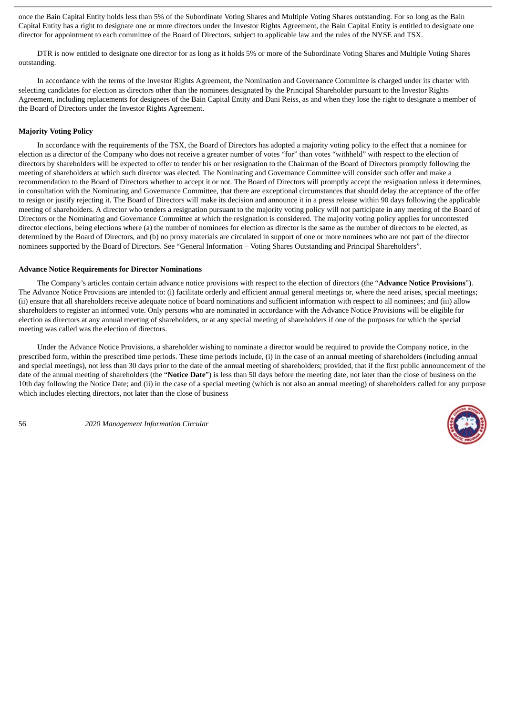once the Bain Capital Entity holds less than 5% of the Subordinate Voting Shares and Multiple Voting Shares outstanding. For so long as the Bain Capital Entity has a right to designate one or more directors under the Investor Rights Agreement, the Bain Capital Entity is entitled to designate one director for appointment to each committee of the Board of Directors, subject to applicable law and the rules of the NYSE and TSX.

DTR is now entitled to designate one director for as long as it holds 5% or more of the Subordinate Voting Shares and Multiple Voting Shares outstanding.

In accordance with the terms of the Investor Rights Agreement, the Nomination and Governance Committee is charged under its charter with selecting candidates for election as directors other than the nominees designated by the Principal Shareholder pursuant to the Investor Rights Agreement, including replacements for designees of the Bain Capital Entity and Dani Reiss, as and when they lose the right to designate a member of the Board of Directors under the Investor Rights Agreement.

## **Majority Voting Policy**

In accordance with the requirements of the TSX, the Board of Directors has adopted a majority voting policy to the effect that a nominee for election as a director of the Company who does not receive a greater number of votes "for" than votes "withheld" with respect to the election of directors by shareholders will be expected to offer to tender his or her resignation to the Chairman of the Board of Directors promptly following the meeting of shareholders at which such director was elected. The Nominating and Governance Committee will consider such offer and make a recommendation to the Board of Directors whether to accept it or not. The Board of Directors will promptly accept the resignation unless it determines, in consultation with the Nominating and Governance Committee, that there are exceptional circumstances that should delay the acceptance of the offer to resign or justify rejecting it. The Board of Directors will make its decision and announce it in a press release within 90 days following the applicable meeting of shareholders. A director who tenders a resignation pursuant to the majority voting policy will not participate in any meeting of the Board of Directors or the Nominating and Governance Committee at which the resignation is considered. The majority voting policy applies for uncontested director elections, being elections where (a) the number of nominees for election as director is the same as the number of directors to be elected, as determined by the Board of Directors, and (b) no proxy materials are circulated in support of one or more nominees who are not part of the director nominees supported by the Board of Directors. See "General Information – Voting Shares Outstanding and Principal Shareholders".

#### **Advance Notice Requirements for Director Nominations**

The Company's articles contain certain advance notice provisions with respect to the election of directors (the "**Advance Notice Provisions**"). The Advance Notice Provisions are intended to: (i) facilitate orderly and efficient annual general meetings or, where the need arises, special meetings; (ii) ensure that all shareholders receive adequate notice of board nominations and sufficient information with respect to all nominees; and (iii) allow shareholders to register an informed vote. Only persons who are nominated in accordance with the Advance Notice Provisions will be eligible for election as directors at any annual meeting of shareholders, or at any special meeting of shareholders if one of the purposes for which the special meeting was called was the election of directors.

Under the Advance Notice Provisions, a shareholder wishing to nominate a director would be required to provide the Company notice, in the prescribed form, within the prescribed time periods. These time periods include, (i) in the case of an annual meeting of shareholders (including annual and special meetings), not less than 30 days prior to the date of the annual meeting of shareholders; provided, that if the first public announcement of the date of the annual meeting of shareholders (the "**Notice Date**") is less than 50 days before the meeting date, not later than the close of business on the 10th day following the Notice Date; and (ii) in the case of a special meeting (which is not also an annual meeting) of shareholders called for any purpose which includes electing directors, not later than the close of business

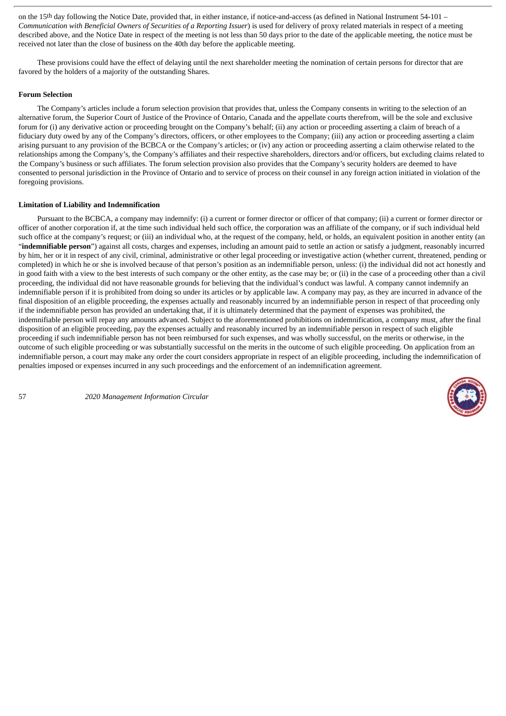on the 15th day following the Notice Date, provided that, in either instance, if notice-and-access (as defined in National Instrument 54-101 – *Communication with Beneficial Owners of Securities of a Reporting Issuer*) is used for delivery of proxy related materials in respect of a meeting described above, and the Notice Date in respect of the meeting is not less than 50 days prior to the date of the applicable meeting, the notice must be received not later than the close of business on the 40th day before the applicable meeting.

These provisions could have the effect of delaying until the next shareholder meeting the nomination of certain persons for director that are favored by the holders of a majority of the outstanding Shares.

## **Forum Selection**

The Company's articles include a forum selection provision that provides that, unless the Company consents in writing to the selection of an alternative forum, the Superior Court of Justice of the Province of Ontario, Canada and the appellate courts therefrom, will be the sole and exclusive forum for (i) any derivative action or proceeding brought on the Company's behalf; (ii) any action or proceeding asserting a claim of breach of a fiduciary duty owed by any of the Company's directors, officers, or other employees to the Company; (iii) any action or proceeding asserting a claim arising pursuant to any provision of the BCBCA or the Company's articles; or (iv) any action or proceeding asserting a claim otherwise related to the relationships among the Company's, the Company's affiliates and their respective shareholders, directors and/or officers, but excluding claims related to the Company's business or such affiliates. The forum selection provision also provides that the Company's security holders are deemed to have consented to personal jurisdiction in the Province of Ontario and to service of process on their counsel in any foreign action initiated in violation of the foregoing provisions.

## **Limitation of Liability and Indemnification**

Pursuant to the BCBCA, a company may indemnify: (i) a current or former director or officer of that company; (ii) a current or former director or officer of another corporation if, at the time such individual held such office, the corporation was an affiliate of the company, or if such individual held such office at the company's request; or (iii) an individual who, at the request of the company, held, or holds, an equivalent position in another entity (an "**indemnifiable person**") against all costs, charges and expenses, including an amount paid to settle an action or satisfy a judgment, reasonably incurred by him, her or it in respect of any civil, criminal, administrative or other legal proceeding or investigative action (whether current, threatened, pending or completed) in which he or she is involved because of that person's position as an indemnifiable person, unless: (i) the individual did not act honestly and in good faith with a view to the best interests of such company or the other entity, as the case may be; or (ii) in the case of a proceeding other than a civil proceeding, the individual did not have reasonable grounds for believing that the individual's conduct was lawful. A company cannot indemnify an indemnifiable person if it is prohibited from doing so under its articles or by applicable law. A company may pay, as they are incurred in advance of the final disposition of an eligible proceeding, the expenses actually and reasonably incurred by an indemnifiable person in respect of that proceeding only if the indemnifiable person has provided an undertaking that, if it is ultimately determined that the payment of expenses was prohibited, the indemnifiable person will repay any amounts advanced. Subject to the aforementioned prohibitions on indemnification, a company must, after the final disposition of an eligible proceeding, pay the expenses actually and reasonably incurred by an indemnifiable person in respect of such eligible proceeding if such indemnifiable person has not been reimbursed for such expenses, and was wholly successful, on the merits or otherwise, in the outcome of such eligible proceeding or was substantially successful on the merits in the outcome of such eligible proceeding. On application from an indemnifiable person, a court may make any order the court considers appropriate in respect of an eligible proceeding, including the indemnification of penalties imposed or expenses incurred in any such proceedings and the enforcement of an indemnification agreement.

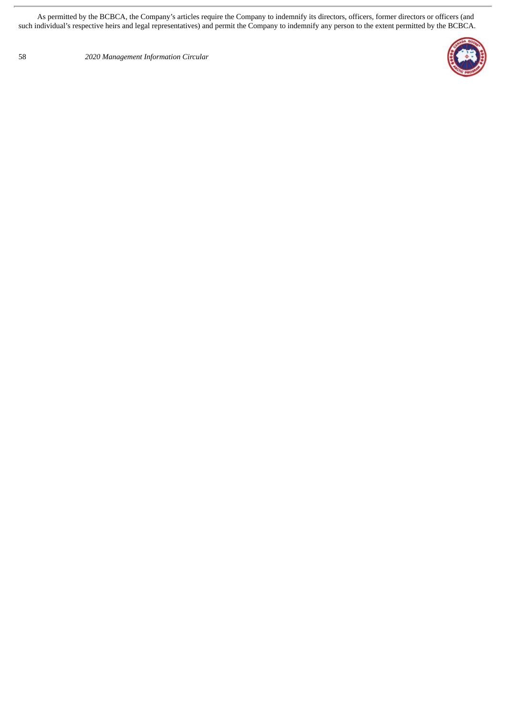As permitted by the BCBCA, the Company's articles require the Company to indemnify its directors, officers, former directors or officers (and such individual's respective heirs and legal representatives) and permit the Company to indemnify any person to the extent permitted by the BCBCA.

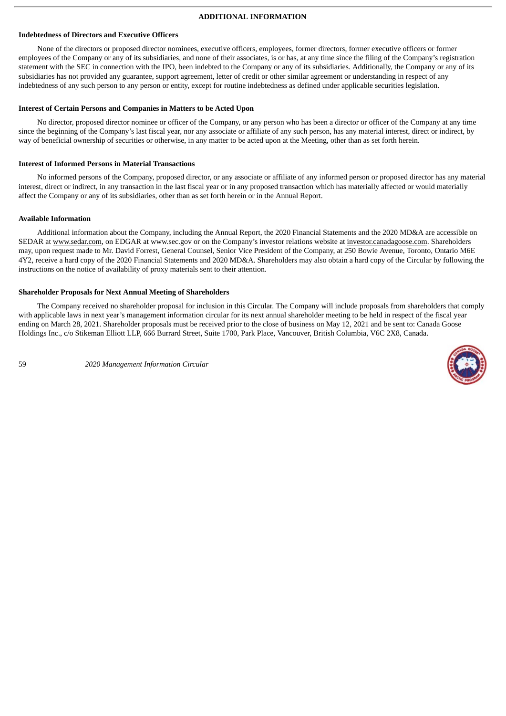## **ADDITIONAL INFORMATION**

#### **Indebtedness of Directors and Executive Officers**

None of the directors or proposed director nominees, executive officers, employees, former directors, former executive officers or former employees of the Company or any of its subsidiaries, and none of their associates, is or has, at any time since the filing of the Company's registration statement with the SEC in connection with the IPO, been indebted to the Company or any of its subsidiaries. Additionally, the Company or any of its subsidiaries has not provided any guarantee, support agreement, letter of credit or other similar agreement or understanding in respect of any indebtedness of any such person to any person or entity, except for routine indebtedness as defined under applicable securities legislation.

## **Interest of Certain Persons and Companies in Matters to be Acted Upon**

No director, proposed director nominee or officer of the Company, or any person who has been a director or officer of the Company at any time since the beginning of the Company's last fiscal year, nor any associate or affiliate of any such person, has any material interest, direct or indirect, by way of beneficial ownership of securities or otherwise, in any matter to be acted upon at the Meeting, other than as set forth herein.

# **Interest of Informed Persons in Material Transactions**

No informed persons of the Company, proposed director, or any associate or affiliate of any informed person or proposed director has any material interest, direct or indirect, in any transaction in the last fiscal year or in any proposed transaction which has materially affected or would materially affect the Company or any of its subsidiaries, other than as set forth herein or in the Annual Report.

# **Available Information**

Additional information about the Company, including the Annual Report, the 2020 Financial Statements and the 2020 MD&A are accessible on SEDAR at www.sedar.com, on EDGAR at www.sec.gov or on the Company's investor relations website at investor.canadagoose.com. Shareholders may, upon request made to Mr. David Forrest, General Counsel, Senior Vice President of the Company, at 250 Bowie Avenue, Toronto, Ontario M6E 4Y2, receive a hard copy of the 2020 Financial Statements and 2020 MD&A. Shareholders may also obtain a hard copy of the Circular by following the instructions on the notice of availability of proxy materials sent to their attention.

# **Shareholder Proposals for Next Annual Meeting of Shareholders**

The Company received no shareholder proposal for inclusion in this Circular. The Company will include proposals from shareholders that comply with applicable laws in next year's management information circular for its next annual shareholder meeting to be held in respect of the fiscal year ending on March 28, 2021. Shareholder proposals must be received prior to the close of business on May 12, 2021 and be sent to: Canada Goose Holdings Inc., c/o Stikeman Elliott LLP, 666 Burrard Street, Suite 1700, Park Place, Vancouver, British Columbia, V6C 2X8, Canada.

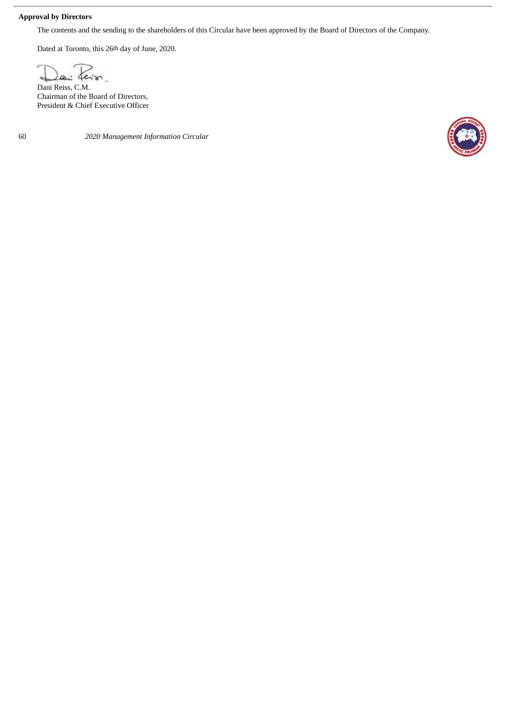# **Approval by Directors**

The contents and the sending to the shareholders of this Circular have been approved by the Board of Directors of the Company.

Dated at Toronto, this 26th day of June, 2020.

feir.  $\overline{a}$ 

Dani Reiss, C.M. Chairman of the Board of Directors, President & Chief Executive Officer

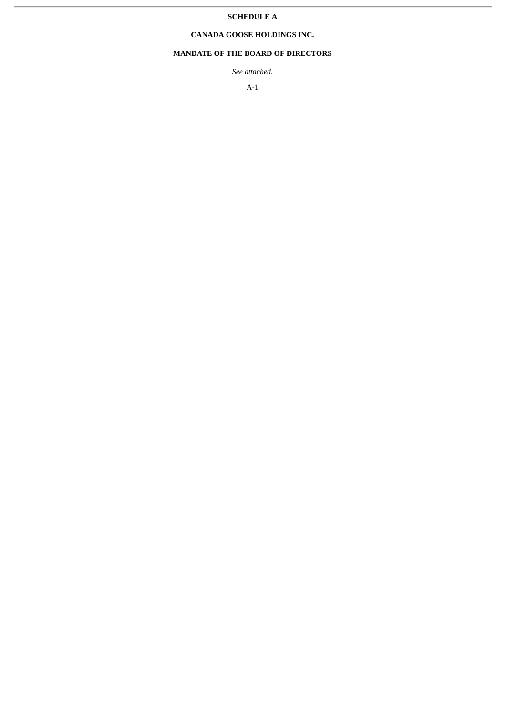# **SCHEDULE A**

# **CANADA GOOSE HOLDINGS INC.**

# **MANDATE OF THE BOARD OF DIRECTORS**

*See attached.*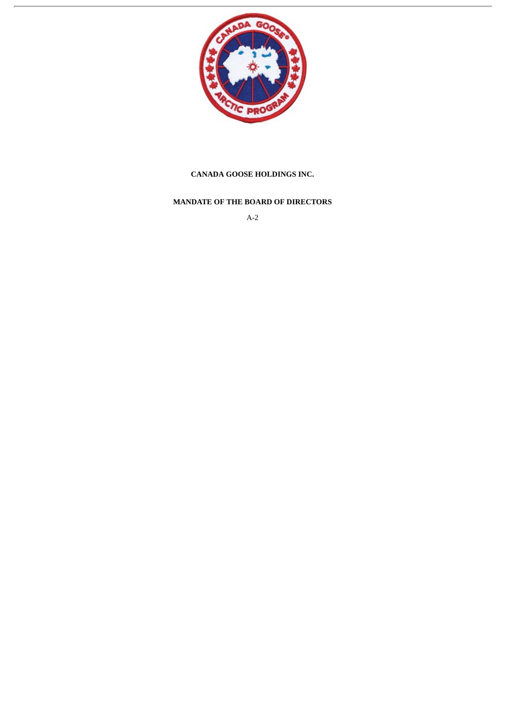

# **CANADA GOOSE HOLDINGS INC.**

# **MANDATE OF THE BOARD OF DIRECTORS**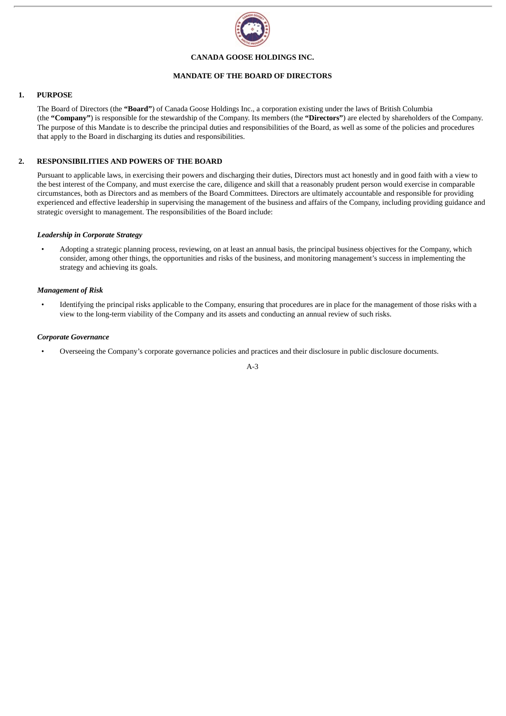

## **CANADA GOOSE HOLDINGS INC.**

## **MANDATE OF THE BOARD OF DIRECTORS**

# **1. PURPOSE**

The Board of Directors (the **"Board"**) of Canada Goose Holdings Inc., a corporation existing under the laws of British Columbia (the **"Company"**) is responsible for the stewardship of the Company. Its members (the **"Directors"**) are elected by shareholders of the Company. The purpose of this Mandate is to describe the principal duties and responsibilities of the Board, as well as some of the policies and procedures that apply to the Board in discharging its duties and responsibilities.

# **2. RESPONSIBILITIES AND POWERS OF THE BOARD**

Pursuant to applicable laws, in exercising their powers and discharging their duties, Directors must act honestly and in good faith with a view to the best interest of the Company, and must exercise the care, diligence and skill that a reasonably prudent person would exercise in comparable circumstances, both as Directors and as members of the Board Committees. Directors are ultimately accountable and responsible for providing experienced and effective leadership in supervising the management of the business and affairs of the Company, including providing guidance and strategic oversight to management. The responsibilities of the Board include:

## *Leadership in Corporate Strategy*

• Adopting a strategic planning process, reviewing, on at least an annual basis, the principal business objectives for the Company, which consider, among other things, the opportunities and risks of the business, and monitoring management's success in implementing the strategy and achieving its goals.

## *Management of Risk*

• Identifying the principal risks applicable to the Company, ensuring that procedures are in place for the management of those risks with a view to the long-term viability of the Company and its assets and conducting an annual review of such risks.

## *Corporate Governance*

• Overseeing the Company's corporate governance policies and practices and their disclosure in public disclosure documents.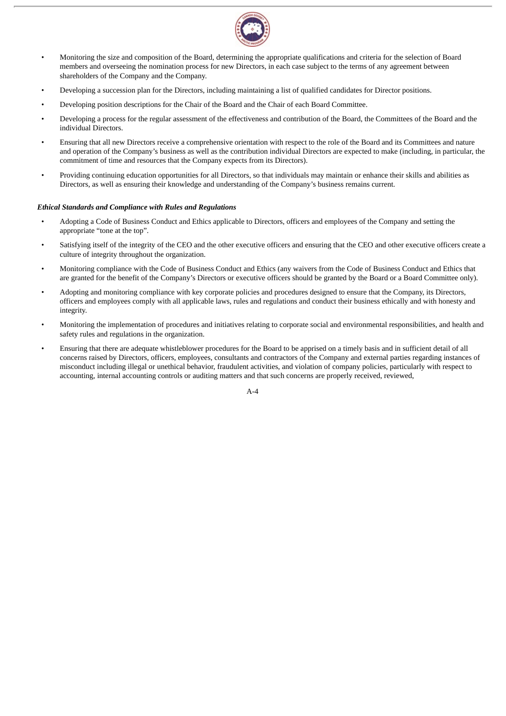

- Monitoring the size and composition of the Board, determining the appropriate qualifications and criteria for the selection of Board members and overseeing the nomination process for new Directors, in each case subject to the terms of any agreement between shareholders of the Company and the Company.
- Developing a succession plan for the Directors, including maintaining a list of qualified candidates for Director positions.
- Developing position descriptions for the Chair of the Board and the Chair of each Board Committee.
- Developing a process for the regular assessment of the effectiveness and contribution of the Board, the Committees of the Board and the individual Directors.
- Ensuring that all new Directors receive a comprehensive orientation with respect to the role of the Board and its Committees and nature and operation of the Company's business as well as the contribution individual Directors are expected to make (including, in particular, the commitment of time and resources that the Company expects from its Directors).
- Providing continuing education opportunities for all Directors, so that individuals may maintain or enhance their skills and abilities as Directors, as well as ensuring their knowledge and understanding of the Company's business remains current.

## *Ethical Standards and Compliance with Rules and Regulations*

- Adopting a Code of Business Conduct and Ethics applicable to Directors, officers and employees of the Company and setting the appropriate "tone at the top".
- Satisfying itself of the integrity of the CEO and the other executive officers and ensuring that the CEO and other executive officers create a culture of integrity throughout the organization.
- Monitoring compliance with the Code of Business Conduct and Ethics (any waivers from the Code of Business Conduct and Ethics that are granted for the benefit of the Company's Directors or executive officers should be granted by the Board or a Board Committee only).
- Adopting and monitoring compliance with key corporate policies and procedures designed to ensure that the Company, its Directors, officers and employees comply with all applicable laws, rules and regulations and conduct their business ethically and with honesty and integrity.
- Monitoring the implementation of procedures and initiatives relating to corporate social and environmental responsibilities, and health and safety rules and regulations in the organization.
- Ensuring that there are adequate whistleblower procedures for the Board to be apprised on a timely basis and in sufficient detail of all concerns raised by Directors, officers, employees, consultants and contractors of the Company and external parties regarding instances of misconduct including illegal or unethical behavior, fraudulent activities, and violation of company policies, particularly with respect to accounting, internal accounting controls or auditing matters and that such concerns are properly received, reviewed,

 $A - 4$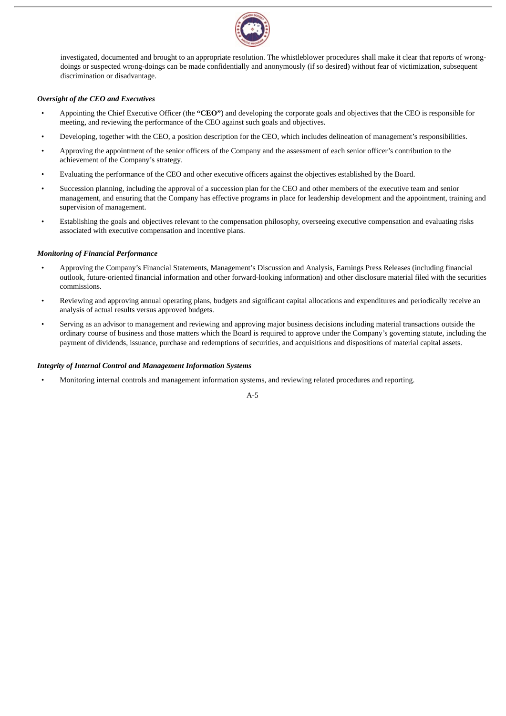

investigated, documented and brought to an appropriate resolution. The whistleblower procedures shall make it clear that reports of wrongdoings or suspected wrong-doings can be made confidentially and anonymously (if so desired) without fear of victimization, subsequent discrimination or disadvantage.

# *Oversight of the CEO and Executives*

- Appointing the Chief Executive Officer (the **"CEO"**) and developing the corporate goals and objectives that the CEO is responsible for meeting, and reviewing the performance of the CEO against such goals and objectives.
- Developing, together with the CEO, a position description for the CEO, which includes delineation of management's responsibilities.
- Approving the appointment of the senior officers of the Company and the assessment of each senior officer's contribution to the achievement of the Company's strategy.
- Evaluating the performance of the CEO and other executive officers against the objectives established by the Board.
- Succession planning, including the approval of a succession plan for the CEO and other members of the executive team and senior management, and ensuring that the Company has effective programs in place for leadership development and the appointment, training and supervision of management.
- Establishing the goals and objectives relevant to the compensation philosophy, overseeing executive compensation and evaluating risks associated with executive compensation and incentive plans.

# *Monitoring of Financial Performance*

- Approving the Company's Financial Statements, Management's Discussion and Analysis, Earnings Press Releases (including financial outlook, future-oriented financial information and other forward-looking information) and other disclosure material filed with the securities commissions.
- Reviewing and approving annual operating plans, budgets and significant capital allocations and expenditures and periodically receive an analysis of actual results versus approved budgets.
- Serving as an advisor to management and reviewing and approving major business decisions including material transactions outside the ordinary course of business and those matters which the Board is required to approve under the Company's governing statute, including the payment of dividends, issuance, purchase and redemptions of securities, and acquisitions and dispositions of material capital assets.

## *Integrity of Internal Control and Management Information Systems*

• Monitoring internal controls and management information systems, and reviewing related procedures and reporting.

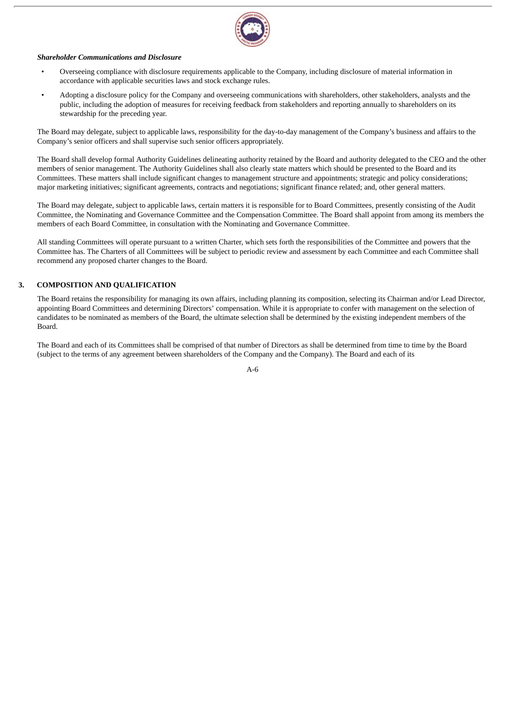

## *Shareholder Communications and Disclosure*

- Overseeing compliance with disclosure requirements applicable to the Company, including disclosure of material information in accordance with applicable securities laws and stock exchange rules.
- Adopting a disclosure policy for the Company and overseeing communications with shareholders, other stakeholders, analysts and the public, including the adoption of measures for receiving feedback from stakeholders and reporting annually to shareholders on its stewardship for the preceding year.

The Board may delegate, subject to applicable laws, responsibility for the day-to-day management of the Company's business and affairs to the Company's senior officers and shall supervise such senior officers appropriately.

The Board shall develop formal Authority Guidelines delineating authority retained by the Board and authority delegated to the CEO and the other members of senior management. The Authority Guidelines shall also clearly state matters which should be presented to the Board and its Committees. These matters shall include significant changes to management structure and appointments; strategic and policy considerations; major marketing initiatives; significant agreements, contracts and negotiations; significant finance related; and, other general matters.

The Board may delegate, subject to applicable laws, certain matters it is responsible for to Board Committees, presently consisting of the Audit Committee, the Nominating and Governance Committee and the Compensation Committee. The Board shall appoint from among its members the members of each Board Committee, in consultation with the Nominating and Governance Committee.

All standing Committees will operate pursuant to a written Charter, which sets forth the responsibilities of the Committee and powers that the Committee has. The Charters of all Committees will be subject to periodic review and assessment by each Committee and each Committee shall recommend any proposed charter changes to the Board.

# **3. COMPOSITION AND QUALIFICATION**

The Board retains the responsibility for managing its own affairs, including planning its composition, selecting its Chairman and/or Lead Director, appointing Board Committees and determining Directors' compensation. While it is appropriate to confer with management on the selection of candidates to be nominated as members of the Board, the ultimate selection shall be determined by the existing independent members of the Board.

The Board and each of its Committees shall be comprised of that number of Directors as shall be determined from time to time by the Board (subject to the terms of any agreement between shareholders of the Company and the Company). The Board and each of its

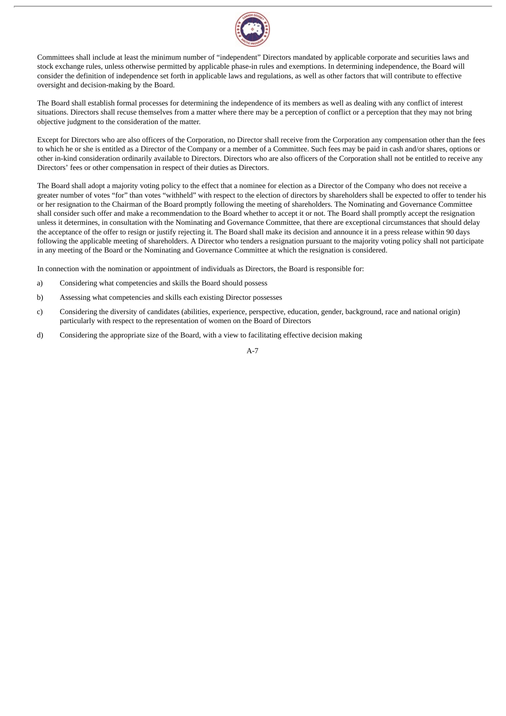

Committees shall include at least the minimum number of "independent" Directors mandated by applicable corporate and securities laws and stock exchange rules, unless otherwise permitted by applicable phase-in rules and exemptions. In determining independence, the Board will consider the definition of independence set forth in applicable laws and regulations, as well as other factors that will contribute to effective oversight and decision-making by the Board.

The Board shall establish formal processes for determining the independence of its members as well as dealing with any conflict of interest situations. Directors shall recuse themselves from a matter where there may be a perception of conflict or a perception that they may not bring objective judgment to the consideration of the matter.

Except for Directors who are also officers of the Corporation, no Director shall receive from the Corporation any compensation other than the fees to which he or she is entitled as a Director of the Company or a member of a Committee. Such fees may be paid in cash and/or shares, options or other in-kind consideration ordinarily available to Directors. Directors who are also officers of the Corporation shall not be entitled to receive any Directors' fees or other compensation in respect of their duties as Directors.

The Board shall adopt a majority voting policy to the effect that a nominee for election as a Director of the Company who does not receive a greater number of votes "for" than votes "withheld" with respect to the election of directors by shareholders shall be expected to offer to tender his or her resignation to the Chairman of the Board promptly following the meeting of shareholders. The Nominating and Governance Committee shall consider such offer and make a recommendation to the Board whether to accept it or not. The Board shall promptly accept the resignation unless it determines, in consultation with the Nominating and Governance Committee, that there are exceptional circumstances that should delay the acceptance of the offer to resign or justify rejecting it. The Board shall make its decision and announce it in a press release within 90 days following the applicable meeting of shareholders. A Director who tenders a resignation pursuant to the majority voting policy shall not participate in any meeting of the Board or the Nominating and Governance Committee at which the resignation is considered.

In connection with the nomination or appointment of individuals as Directors, the Board is responsible for:

- a) Considering what competencies and skills the Board should possess
- b) Assessing what competencies and skills each existing Director possesses
- c) Considering the diversity of candidates (abilities, experience, perspective, education, gender, background, race and national origin) particularly with respect to the representation of women on the Board of Directors
- d) Considering the appropriate size of the Board, with a view to facilitating effective decision making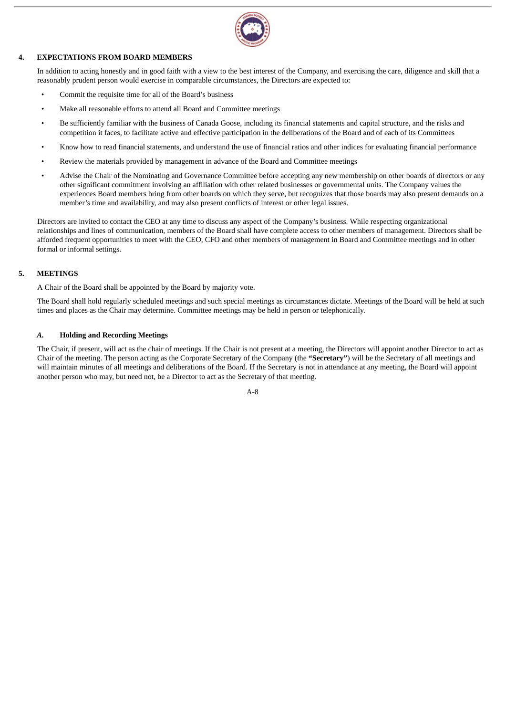

# **4. EXPECTATIONS FROM BOARD MEMBERS**

In addition to acting honestly and in good faith with a view to the best interest of the Company, and exercising the care, diligence and skill that a reasonably prudent person would exercise in comparable circumstances, the Directors are expected to:

- Commit the requisite time for all of the Board's business
- Make all reasonable efforts to attend all Board and Committee meetings
- Be sufficiently familiar with the business of Canada Goose, including its financial statements and capital structure, and the risks and competition it faces, to facilitate active and effective participation in the deliberations of the Board and of each of its Committees
- Know how to read financial statements, and understand the use of financial ratios and other indices for evaluating financial performance
- Review the materials provided by management in advance of the Board and Committee meetings
- Advise the Chair of the Nominating and Governance Committee before accepting any new membership on other boards of directors or any other significant commitment involving an affiliation with other related businesses or governmental units. The Company values the experiences Board members bring from other boards on which they serve, but recognizes that those boards may also present demands on a member's time and availability, and may also present conflicts of interest or other legal issues.

Directors are invited to contact the CEO at any time to discuss any aspect of the Company's business. While respecting organizational relationships and lines of communication, members of the Board shall have complete access to other members of management. Directors shall be afforded frequent opportunities to meet with the CEO, CFO and other members of management in Board and Committee meetings and in other formal or informal settings.

# **5. MEETINGS**

A Chair of the Board shall be appointed by the Board by majority vote.

The Board shall hold regularly scheduled meetings and such special meetings as circumstances dictate. Meetings of the Board will be held at such times and places as the Chair may determine. Committee meetings may be held in person or telephonically.

## *A.* **Holding and Recording Meetings**

The Chair, if present, will act as the chair of meetings. If the Chair is not present at a meeting, the Directors will appoint another Director to act as Chair of the meeting. The person acting as the Corporate Secretary of the Company (the **"Secretary"**) will be the Secretary of all meetings and will maintain minutes of all meetings and deliberations of the Board. If the Secretary is not in attendance at any meeting, the Board will appoint another person who may, but need not, be a Director to act as the Secretary of that meeting.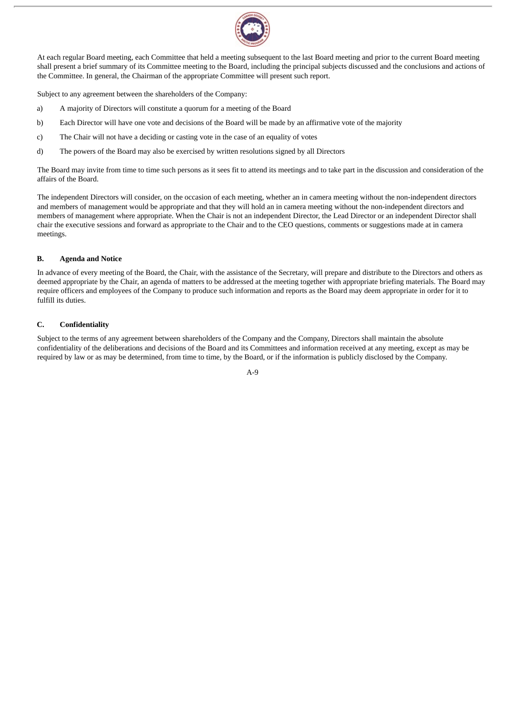

At each regular Board meeting, each Committee that held a meeting subsequent to the last Board meeting and prior to the current Board meeting shall present a brief summary of its Committee meeting to the Board, including the principal subjects discussed and the conclusions and actions of the Committee. In general, the Chairman of the appropriate Committee will present such report.

Subject to any agreement between the shareholders of the Company:

- a) A majority of Directors will constitute a quorum for a meeting of the Board
- b) Each Director will have one vote and decisions of the Board will be made by an affirmative vote of the majority
- c) The Chair will not have a deciding or casting vote in the case of an equality of votes
- d) The powers of the Board may also be exercised by written resolutions signed by all Directors

The Board may invite from time to time such persons as it sees fit to attend its meetings and to take part in the discussion and consideration of the affairs of the Board.

The independent Directors will consider, on the occasion of each meeting, whether an in camera meeting without the non-independent directors and members of management would be appropriate and that they will hold an in camera meeting without the non-independent directors and members of management where appropriate. When the Chair is not an independent Director, the Lead Director or an independent Director shall chair the executive sessions and forward as appropriate to the Chair and to the CEO questions, comments or suggestions made at in camera meetings.

# **B. Agenda and Notice**

In advance of every meeting of the Board, the Chair, with the assistance of the Secretary, will prepare and distribute to the Directors and others as deemed appropriate by the Chair, an agenda of matters to be addressed at the meeting together with appropriate briefing materials. The Board may require officers and employees of the Company to produce such information and reports as the Board may deem appropriate in order for it to fulfill its duties.

# **C. Confidentiality**

Subject to the terms of any agreement between shareholders of the Company and the Company, Directors shall maintain the absolute confidentiality of the deliberations and decisions of the Board and its Committees and information received at any meeting, except as may be required by law or as may be determined, from time to time, by the Board, or if the information is publicly disclosed by the Company.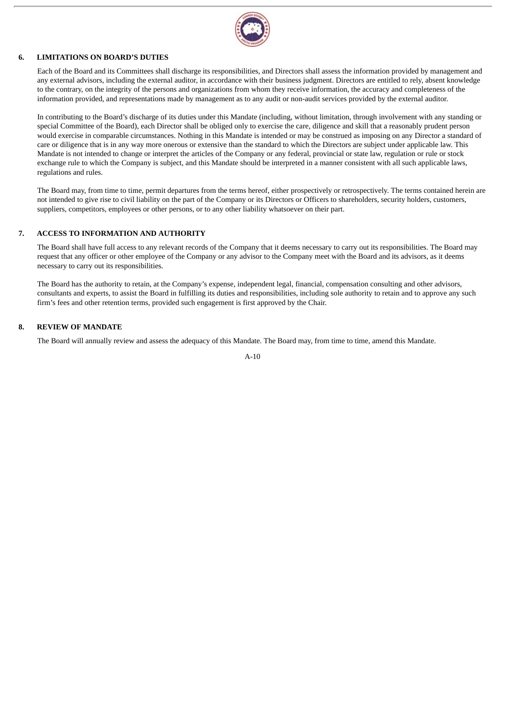

#### **6. LIMITATIONS ON BOARD'S DUTIES**

Each of the Board and its Committees shall discharge its responsibilities, and Directors shall assess the information provided by management and any external advisors, including the external auditor, in accordance with their business judgment. Directors are entitled to rely, absent knowledge to the contrary, on the integrity of the persons and organizations from whom they receive information, the accuracy and completeness of the information provided, and representations made by management as to any audit or non-audit services provided by the external auditor.

In contributing to the Board's discharge of its duties under this Mandate (including, without limitation, through involvement with any standing or special Committee of the Board), each Director shall be obliged only to exercise the care, diligence and skill that a reasonably prudent person would exercise in comparable circumstances. Nothing in this Mandate is intended or may be construed as imposing on any Director a standard of care or diligence that is in any way more onerous or extensive than the standard to which the Directors are subject under applicable law. This Mandate is not intended to change or interpret the articles of the Company or any federal, provincial or state law, regulation or rule or stock exchange rule to which the Company is subject, and this Mandate should be interpreted in a manner consistent with all such applicable laws, regulations and rules.

The Board may, from time to time, permit departures from the terms hereof, either prospectively or retrospectively. The terms contained herein are not intended to give rise to civil liability on the part of the Company or its Directors or Officers to shareholders, security holders, customers, suppliers, competitors, employees or other persons, or to any other liability whatsoever on their part.

#### **7. ACCESS TO INFORMATION AND AUTHORITY**

The Board shall have full access to any relevant records of the Company that it deems necessary to carry out its responsibilities. The Board may request that any officer or other employee of the Company or any advisor to the Company meet with the Board and its advisors, as it deems necessary to carry out its responsibilities.

The Board has the authority to retain, at the Company's expense, independent legal, financial, compensation consulting and other advisors, consultants and experts, to assist the Board in fulfilling its duties and responsibilities, including sole authority to retain and to approve any such firm's fees and other retention terms, provided such engagement is first approved by the Chair.

#### **8. REVIEW OF MANDATE**

The Board will annually review and assess the adequacy of this Mandate. The Board may, from time to time, amend this Mandate.

A-10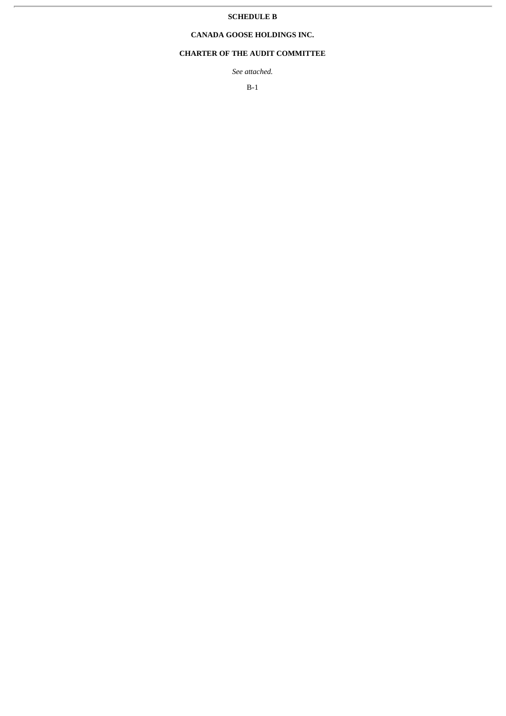#### **SCHEDULE B**

#### **CANADA GOOSE HOLDINGS INC.**

#### **CHARTER OF THE AUDIT COMMITTEE**

*See attached.*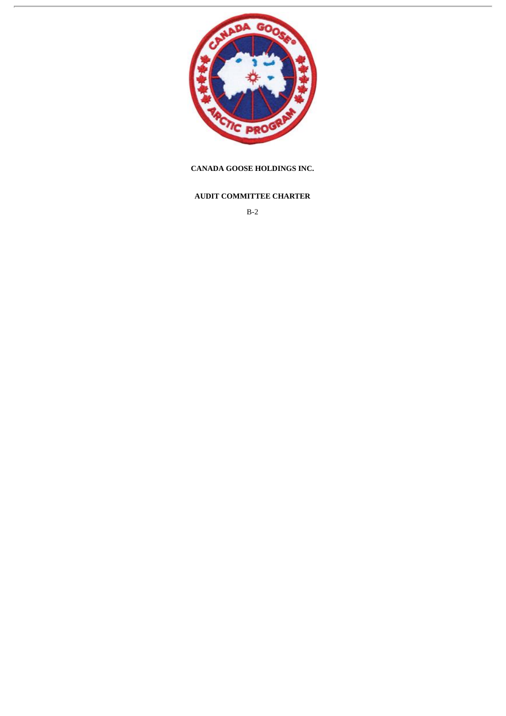

#### **CANADA GOOSE HOLDINGS INC.**

#### **AUDIT COMMITTEE CHARTER**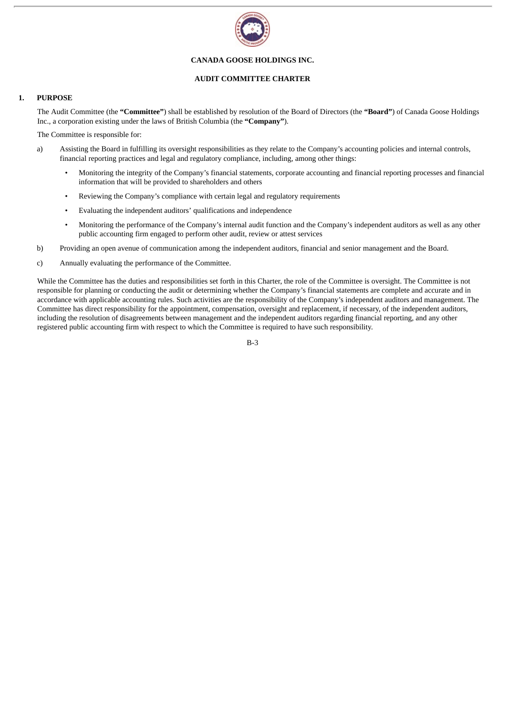

#### **CANADA GOOSE HOLDINGS INC.**

#### **AUDIT COMMITTEE CHARTER**

#### **1. PURPOSE**

The Audit Committee (the **"Committee"**) shall be established by resolution of the Board of Directors (the **"Board"**) of Canada Goose Holdings Inc., a corporation existing under the laws of British Columbia (the **"Company"**).

The Committee is responsible for:

- a) Assisting the Board in fulfilling its oversight responsibilities as they relate to the Company's accounting policies and internal controls, financial reporting practices and legal and regulatory compliance, including, among other things:
	- Monitoring the integrity of the Company's financial statements, corporate accounting and financial reporting processes and financial information that will be provided to shareholders and others
	- Reviewing the Company's compliance with certain legal and regulatory requirements
	- Evaluating the independent auditors' qualifications and independence
	- Monitoring the performance of the Company's internal audit function and the Company's independent auditors as well as any other public accounting firm engaged to perform other audit, review or attest services
- b) Providing an open avenue of communication among the independent auditors, financial and senior management and the Board.
- c) Annually evaluating the performance of the Committee.

While the Committee has the duties and responsibilities set forth in this Charter, the role of the Committee is oversight. The Committee is not responsible for planning or conducting the audit or determining whether the Company's financial statements are complete and accurate and in accordance with applicable accounting rules. Such activities are the responsibility of the Company's independent auditors and management. The Committee has direct responsibility for the appointment, compensation, oversight and replacement, if necessary, of the independent auditors, including the resolution of disagreements between management and the independent auditors regarding financial reporting, and any other registered public accounting firm with respect to which the Committee is required to have such responsibility.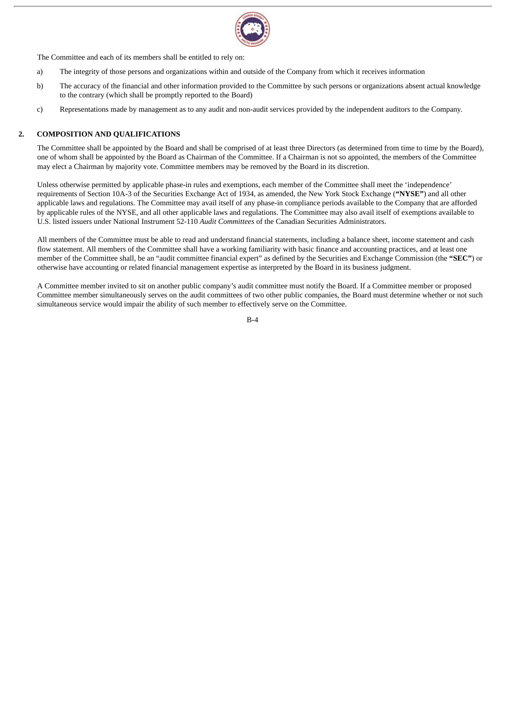

The Committee and each of its members shall be entitled to rely on:

- a) The integrity of those persons and organizations within and outside of the Company from which it receives information
- b) The accuracy of the financial and other information provided to the Committee by such persons or organizations absent actual knowledge to the contrary (which shall be promptly reported to the Board)
- c) Representations made by management as to any audit and non-audit services provided by the independent auditors to the Company.

#### **2. COMPOSITION AND QUALIFICATIONS**

The Committee shall be appointed by the Board and shall be comprised of at least three Directors (as determined from time to time by the Board), one of whom shall be appointed by the Board as Chairman of the Committee. If a Chairman is not so appointed, the members of the Committee may elect a Chairman by majority vote. Committee members may be removed by the Board in its discretion.

Unless otherwise permitted by applicable phase-in rules and exemptions, each member of the Committee shall meet the 'independence' requirements of Section 10A-3 of the Securities Exchange Act of 1934, as amended, the New York Stock Exchange (**"NYSE"**) and all other applicable laws and regulations. The Committee may avail itself of any phase-in compliance periods available to the Company that are afforded by applicable rules of the NYSE, and all other applicable laws and regulations. The Committee may also avail itself of exemptions available to U.S. listed issuers under National Instrument 52-110 *Audit Committees* of the Canadian Securities Administrators.

All members of the Committee must be able to read and understand financial statements, including a balance sheet, income statement and cash flow statement. All members of the Committee shall have a working familiarity with basic finance and accounting practices, and at least one member of the Committee shall, be an "audit committee financial expert" as defined by the Securities and Exchange Commission (the **"SEC"**) or otherwise have accounting or related financial management expertise as interpreted by the Board in its business judgment.

A Committee member invited to sit on another public company's audit committee must notify the Board. If a Committee member or proposed Committee member simultaneously serves on the audit committees of two other public companies, the Board must determine whether or not such simultaneous service would impair the ability of such member to effectively serve on the Committee.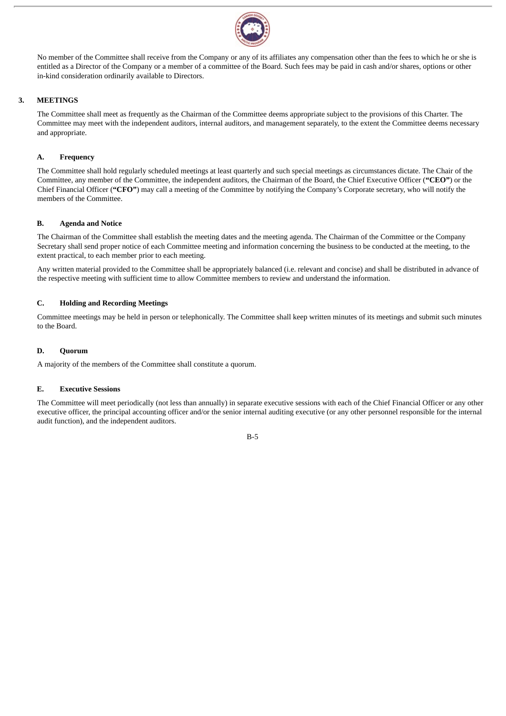

No member of the Committee shall receive from the Company or any of its affiliates any compensation other than the fees to which he or she is entitled as a Director of the Company or a member of a committee of the Board. Such fees may be paid in cash and/or shares, options or other in-kind consideration ordinarily available to Directors.

#### **3. MEETINGS**

The Committee shall meet as frequently as the Chairman of the Committee deems appropriate subject to the provisions of this Charter. The Committee may meet with the independent auditors, internal auditors, and management separately, to the extent the Committee deems necessary and appropriate.

#### **A. Frequency**

The Committee shall hold regularly scheduled meetings at least quarterly and such special meetings as circumstances dictate. The Chair of the Committee, any member of the Committee, the independent auditors, the Chairman of the Board, the Chief Executive Officer (**"CEO"**) or the Chief Financial Officer (**"CFO"**) may call a meeting of the Committee by notifying the Company's Corporate secretary, who will notify the members of the Committee.

#### **B. Agenda and Notice**

The Chairman of the Committee shall establish the meeting dates and the meeting agenda. The Chairman of the Committee or the Company Secretary shall send proper notice of each Committee meeting and information concerning the business to be conducted at the meeting, to the extent practical, to each member prior to each meeting.

Any written material provided to the Committee shall be appropriately balanced (i.e. relevant and concise) and shall be distributed in advance of the respective meeting with sufficient time to allow Committee members to review and understand the information.

#### **C. Holding and Recording Meetings**

Committee meetings may be held in person or telephonically. The Committee shall keep written minutes of its meetings and submit such minutes to the Board.

#### **D. Quorum**

A majority of the members of the Committee shall constitute a quorum.

#### **E. Executive Sessions**

The Committee will meet periodically (not less than annually) in separate executive sessions with each of the Chief Financial Officer or any other executive officer, the principal accounting officer and/or the senior internal auditing executive (or any other personnel responsible for the internal audit function), and the independent auditors.

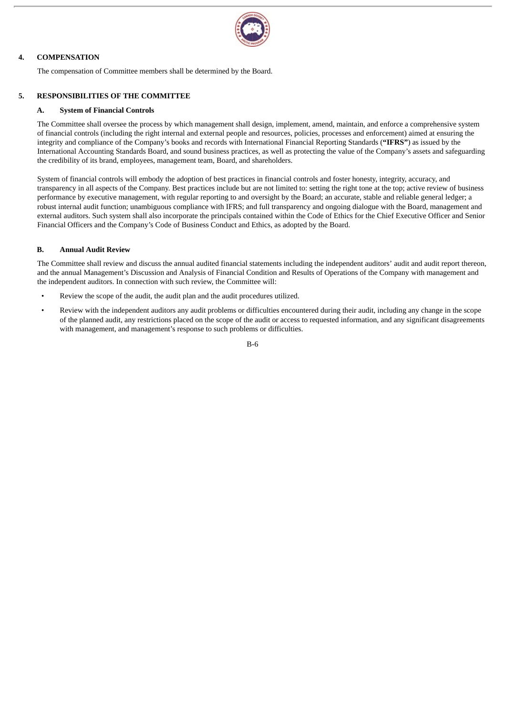

#### **4. COMPENSATION**

The compensation of Committee members shall be determined by the Board.

#### **5. RESPONSIBILITIES OF THE COMMITTEE**

#### **A. System of Financial Controls**

The Committee shall oversee the process by which management shall design, implement, amend, maintain, and enforce a comprehensive system of financial controls (including the right internal and external people and resources, policies, processes and enforcement) aimed at ensuring the integrity and compliance of the Company's books and records with International Financial Reporting Standards (**"IFRS"**) as issued by the International Accounting Standards Board, and sound business practices, as well as protecting the value of the Company's assets and safeguarding the credibility of its brand, employees, management team, Board, and shareholders.

System of financial controls will embody the adoption of best practices in financial controls and foster honesty, integrity, accuracy, and transparency in all aspects of the Company. Best practices include but are not limited to: setting the right tone at the top; active review of business performance by executive management, with regular reporting to and oversight by the Board; an accurate, stable and reliable general ledger; a robust internal audit function; unambiguous compliance with IFRS; and full transparency and ongoing dialogue with the Board, management and external auditors. Such system shall also incorporate the principals contained within the Code of Ethics for the Chief Executive Officer and Senior Financial Officers and the Company's Code of Business Conduct and Ethics, as adopted by the Board.

#### **B. Annual Audit Review**

The Committee shall review and discuss the annual audited financial statements including the independent auditors' audit and audit report thereon, and the annual Management's Discussion and Analysis of Financial Condition and Results of Operations of the Company with management and the independent auditors. In connection with such review, the Committee will:

- Review the scope of the audit, the audit plan and the audit procedures utilized.
- Review with the independent auditors any audit problems or difficulties encountered during their audit, including any change in the scope of the planned audit, any restrictions placed on the scope of the audit or access to requested information, and any significant disagreements with management, and management's response to such problems or difficulties.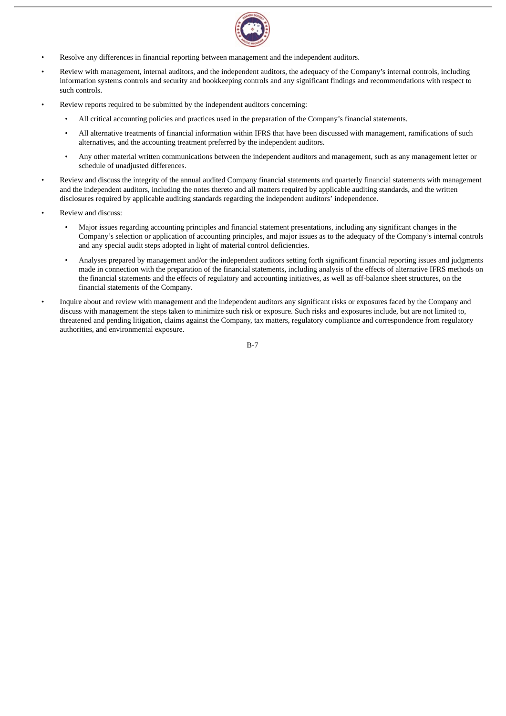

- Resolve any differences in financial reporting between management and the independent auditors.
- Review with management, internal auditors, and the independent auditors, the adequacy of the Company's internal controls, including information systems controls and security and bookkeeping controls and any significant findings and recommendations with respect to such controls.
- Review reports required to be submitted by the independent auditors concerning:
	- All critical accounting policies and practices used in the preparation of the Company's financial statements.
	- All alternative treatments of financial information within IFRS that have been discussed with management, ramifications of such alternatives, and the accounting treatment preferred by the independent auditors.
	- Any other material written communications between the independent auditors and management, such as any management letter or schedule of unadjusted differences.
- Review and discuss the integrity of the annual audited Company financial statements and quarterly financial statements with management and the independent auditors, including the notes thereto and all matters required by applicable auditing standards, and the written disclosures required by applicable auditing standards regarding the independent auditors' independence.
- Review and discuss:
	- Major issues regarding accounting principles and financial statement presentations, including any significant changes in the Company's selection or application of accounting principles, and major issues as to the adequacy of the Company's internal controls and any special audit steps adopted in light of material control deficiencies.
	- Analyses prepared by management and/or the independent auditors setting forth significant financial reporting issues and judgments made in connection with the preparation of the financial statements, including analysis of the effects of alternative IFRS methods on the financial statements and the effects of regulatory and accounting initiatives, as well as off-balance sheet structures, on the financial statements of the Company.
- Inquire about and review with management and the independent auditors any significant risks or exposures faced by the Company and discuss with management the steps taken to minimize such risk or exposure. Such risks and exposures include, but are not limited to, threatened and pending litigation, claims against the Company, tax matters, regulatory compliance and correspondence from regulatory authorities, and environmental exposure.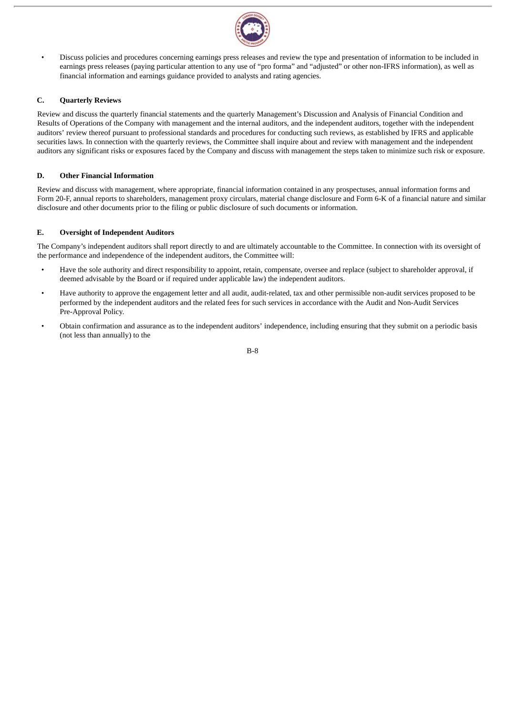

• Discuss policies and procedures concerning earnings press releases and review the type and presentation of information to be included in earnings press releases (paying particular attention to any use of "pro forma" and "adjusted" or other non-IFRS information), as well as financial information and earnings guidance provided to analysts and rating agencies.

#### **C. Quarterly Reviews**

Review and discuss the quarterly financial statements and the quarterly Management's Discussion and Analysis of Financial Condition and Results of Operations of the Company with management and the internal auditors, and the independent auditors, together with the independent auditors' review thereof pursuant to professional standards and procedures for conducting such reviews, as established by IFRS and applicable securities laws. In connection with the quarterly reviews, the Committee shall inquire about and review with management and the independent auditors any significant risks or exposures faced by the Company and discuss with management the steps taken to minimize such risk or exposure.

#### **D. Other Financial Information**

Review and discuss with management, where appropriate, financial information contained in any prospectuses, annual information forms and Form 20-F, annual reports to shareholders, management proxy circulars, material change disclosure and Form 6-K of a financial nature and similar disclosure and other documents prior to the filing or public disclosure of such documents or information.

#### **E. Oversight of Independent Auditors**

The Company's independent auditors shall report directly to and are ultimately accountable to the Committee. In connection with its oversight of the performance and independence of the independent auditors, the Committee will:

- Have the sole authority and direct responsibility to appoint, retain, compensate, oversee and replace (subject to shareholder approval, if deemed advisable by the Board or if required under applicable law) the independent auditors.
- Have authority to approve the engagement letter and all audit, audit-related, tax and other permissible non-audit services proposed to be performed by the independent auditors and the related fees for such services in accordance with the Audit and Non-Audit Services Pre-Approval Policy.
- Obtain confirmation and assurance as to the independent auditors' independence, including ensuring that they submit on a periodic basis (not less than annually) to the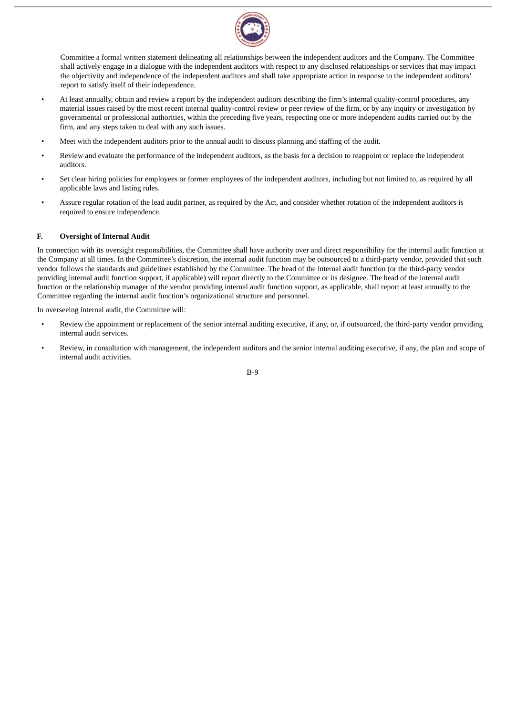

Committee a formal written statement delineating all relationships between the independent auditors and the Company. The Committee shall actively engage in a dialogue with the independent auditors with respect to any disclosed relationships or services that may impact the objectivity and independence of the independent auditors and shall take appropriate action in response to the independent auditors' report to satisfy itself of their independence.

- At least annually, obtain and review a report by the independent auditors describing the firm's internal quality-control procedures, any material issues raised by the most recent internal quality-control review or peer review of the firm, or by any inquiry or investigation by governmental or professional authorities, within the preceding five years, respecting one or more independent audits carried out by the firm, and any steps taken to deal with any such issues.
- Meet with the independent auditors prior to the annual audit to discuss planning and staffing of the audit.
- Review and evaluate the performance of the independent auditors, as the basis for a decision to reappoint or replace the independent auditors.
- Set clear hiring policies for employees or former employees of the independent auditors, including but not limited to, as required by all applicable laws and listing rules.
- Assure regular rotation of the lead audit partner, as required by the Act, and consider whether rotation of the independent auditors is required to ensure independence.

#### **F. Oversight of Internal Audit**

In connection with its oversight responsibilities, the Committee shall have authority over and direct responsibility for the internal audit function at the Company at all times. In the Committee's discretion, the internal audit function may be outsourced to a third-party vendor, provided that such vendor follows the standards and guidelines established by the Committee. The head of the internal audit function (or the third-party vendor providing internal audit function support, if applicable) will report directly to the Committee or its designee. The head of the internal audit function or the relationship manager of the vendor providing internal audit function support, as applicable, shall report at least annually to the Committee regarding the internal audit function's organizational structure and personnel.

In overseeing internal audit, the Committee will:

- Review the appointment or replacement of the senior internal auditing executive, if any, or, if outsourced, the third-party vendor providing internal audit services.
- Review, in consultation with management, the independent auditors and the senior internal auditing executive, if any, the plan and scope of internal audit activities.

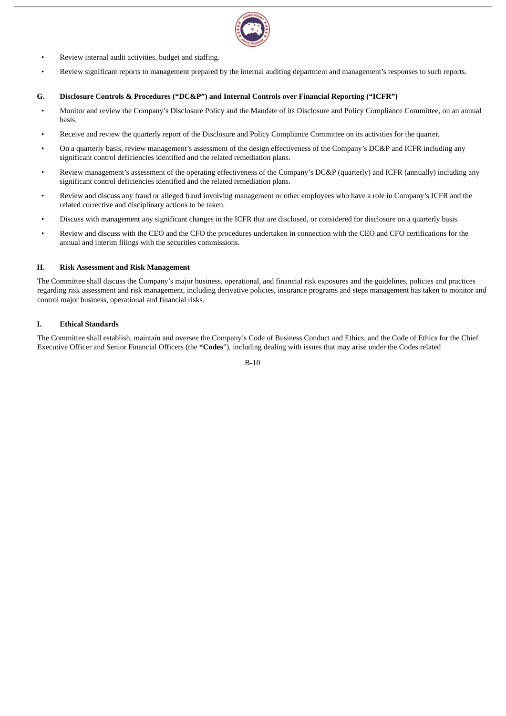

- Review internal audit activities, budget and staffing.
- Review significant reports to management prepared by the internal auditing department and management's responses to such reports.

#### **G. Disclosure Controls & Procedures ("DC&P") and Internal Controls over Financial Reporting ("ICFR")**

- Monitor and review the Company's Disclosure Policy and the Mandate of its Disclosure and Policy Compliance Committee, on an annual basis.
- Receive and review the quarterly report of the Disclosure and Policy Compliance Committee on its activities for the quarter.
- On a quarterly basis, review management's assessment of the design effectiveness of the Company's DC&P and ICFR including any significant control deficiencies identified and the related remediation plans.
- Review management's assessment of the operating effectiveness of the Company's DC&P (quarterly) and ICFR (annually) including any significant control deficiencies identified and the related remediation plans.
- Review and discuss any fraud or alleged fraud involving management or other employees who have a role in Company's ICFR and the related corrective and disciplinary actions to be taken.
- Discuss with management any significant changes in the ICFR that are disclosed, or considered for disclosure on a quarterly basis.
- Review and discuss with the CEO and the CFO the procedures undertaken in connection with the CEO and CFO certifications for the annual and interim filings with the securities commissions.

#### **H. Risk Assessment and Risk Management**

The Committee shall discuss the Company's major business, operational, and financial risk exposures and the guidelines, policies and practices regarding risk assessment and risk management, including derivative policies, insurance programs and steps management has taken to monitor and control major business, operational and financial risks.

#### **I. Ethical Standards**

The Committee shall establish, maintain and oversee the Company's Code of Business Conduct and Ethics, and the Code of Ethics for the Chief Executive Officer and Senior Financial Officers (the **"Codes**"), including dealing with issues that may arise under the Codes related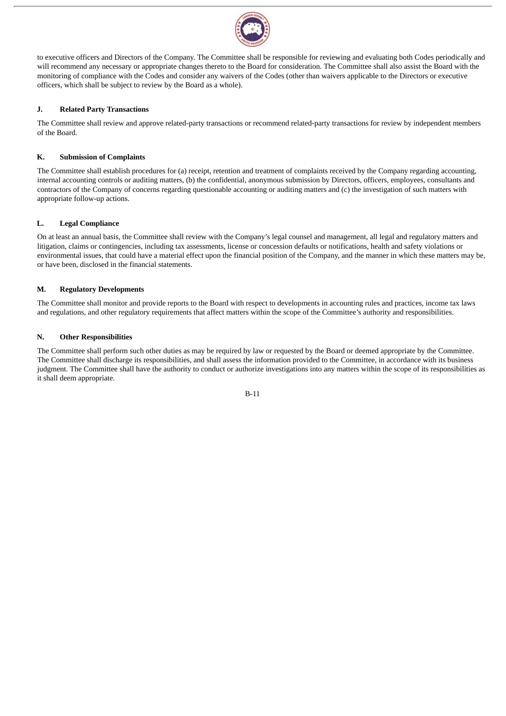

to executive officers and Directors of the Company. The Committee shall be responsible for reviewing and evaluating both Codes periodically and will recommend any necessary or appropriate changes thereto to the Board for consideration. The Committee shall also assist the Board with the monitoring of compliance with the Codes and consider any waivers of the Codes (other than waivers applicable to the Directors or executive officers, which shall be subject to review by the Board as a whole).

#### **J. Related Party Transactions**

The Committee shall review and approve related-party transactions or recommend related-party transactions for review by independent members of the Board.

#### **K. Submission of Complaints**

The Committee shall establish procedures for (a) receipt, retention and treatment of complaints received by the Company regarding accounting, internal accounting controls or auditing matters, (b) the confidential, anonymous submission by Directors, officers, employees, consultants and contractors of the Company of concerns regarding questionable accounting or auditing matters and (c) the investigation of such matters with appropriate follow-up actions.

#### **L. Legal Compliance**

On at least an annual basis, the Committee shall review with the Company's legal counsel and management, all legal and regulatory matters and litigation, claims or contingencies, including tax assessments, license or concession defaults or notifications, health and safety violations or environmental issues, that could have a material effect upon the financial position of the Company, and the manner in which these matters may be, or have been, disclosed in the financial statements.

#### **M. Regulatory Developments**

The Committee shall monitor and provide reports to the Board with respect to developments in accounting rules and practices, income tax laws and regulations, and other regulatory requirements that affect matters within the scope of the Committee's authority and responsibilities.

#### **N. Other Responsibilities**

The Committee shall perform such other duties as may be required by law or requested by the Board or deemed appropriate by the Committee. The Committee shall discharge its responsibilities, and shall assess the information provided to the Committee, in accordance with its business judgment. The Committee shall have the authority to conduct or authorize investigations into any matters within the scope of its responsibilities as it shall deem appropriate.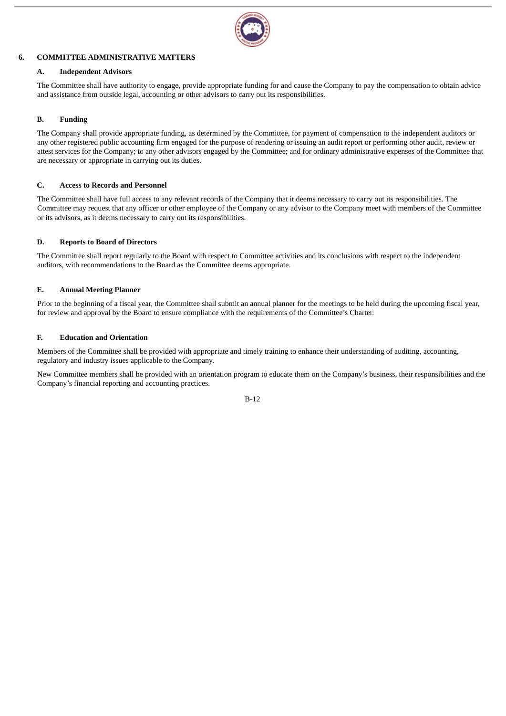

#### **6. COMMITTEE ADMINISTRATIVE MATTERS**

#### **A. Independent Advisors**

The Committee shall have authority to engage, provide appropriate funding for and cause the Company to pay the compensation to obtain advice and assistance from outside legal, accounting or other advisors to carry out its responsibilities.

#### **B. Funding**

The Company shall provide appropriate funding, as determined by the Committee, for payment of compensation to the independent auditors or any other registered public accounting firm engaged for the purpose of rendering or issuing an audit report or performing other audit, review or attest services for the Company; to any other advisors engaged by the Committee; and for ordinary administrative expenses of the Committee that are necessary or appropriate in carrying out its duties.

#### **C. Access to Records and Personnel**

The Committee shall have full access to any relevant records of the Company that it deems necessary to carry out its responsibilities. The Committee may request that any officer or other employee of the Company or any advisor to the Company meet with members of the Committee or its advisors, as it deems necessary to carry out its responsibilities.

#### **D. Reports to Board of Directors**

The Committee shall report regularly to the Board with respect to Committee activities and its conclusions with respect to the independent auditors, with recommendations to the Board as the Committee deems appropriate.

#### **E. Annual Meeting Planner**

Prior to the beginning of a fiscal year, the Committee shall submit an annual planner for the meetings to be held during the upcoming fiscal year, for review and approval by the Board to ensure compliance with the requirements of the Committee's Charter.

#### **F. Education and Orientation**

Members of the Committee shall be provided with appropriate and timely training to enhance their understanding of auditing, accounting, regulatory and industry issues applicable to the Company.

New Committee members shall be provided with an orientation program to educate them on the Company's business, their responsibilities and the Company's financial reporting and accounting practices.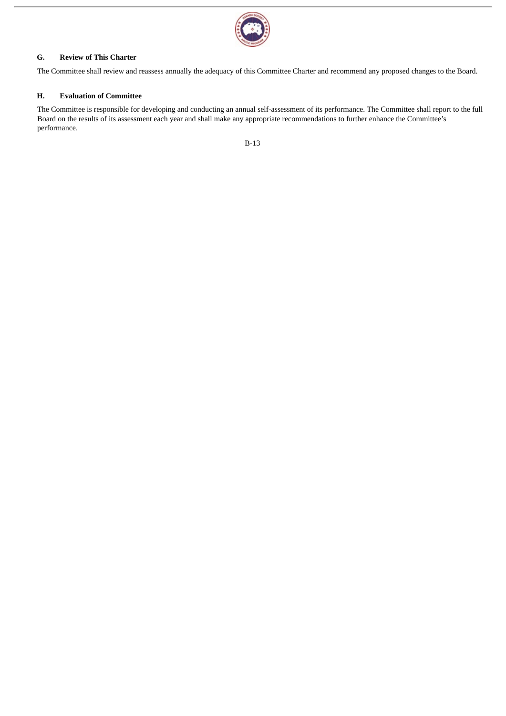

#### **G. Review of This Charter**

The Committee shall review and reassess annually the adequacy of this Committee Charter and recommend any proposed changes to the Board.

#### **H. Evaluation of Committee**

The Committee is responsible for developing and conducting an annual self-assessment of its performance. The Committee shall report to the full Board on the results of its assessment each year and shall make any appropriate recommendations to further enhance the Committee's performance.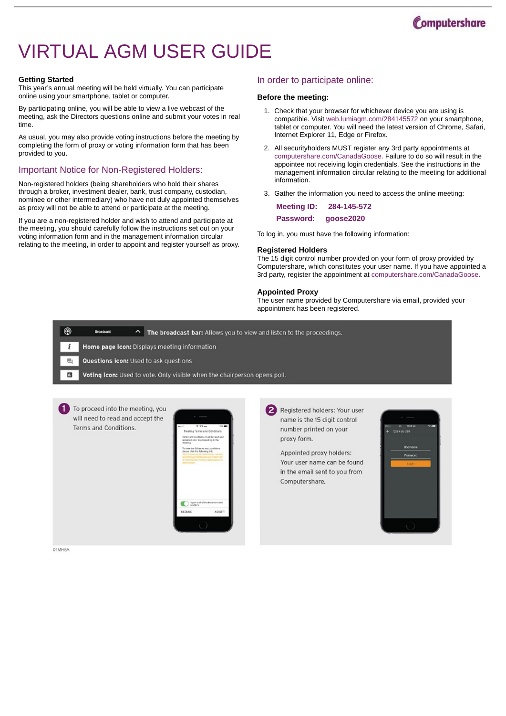

# VIRTUAL AGM USER GUIDE

#### **Getting Started**

This year's annual meeting will be held virtually. You can participate online using your smartphone, tablet or computer.

By participating online, you will be able to view a live webcast of the meeting, ask the Directors questions online and submit your votes in real time.

As usual, you may also provide voting instructions before the meeting by completing the form of proxy or voting information form that has been provided to you.

#### Important Notice for Non-Registered Holders:

Non-registered holders (being shareholders who hold their shares through a broker, investment dealer, bank, trust company, custodian, nominee or other intermediary) who have not duly appointed themselves as proxy will not be able to attend or participate at the meeting.

If you are a non-registered holder and wish to attend and participate at the meeting, you should carefully follow the instructions set out on your voting information form and in the management information circular relating to the meeting, in order to appoint and register yourself as proxy.

#### In order to participate online:

#### **Before the meeting:**

- 1. Check that your browser for whichever device you are using is compatible. Visit web.lumiagm.com/284145572 on your smartphone, tablet or computer. You will need the latest version of Chrome, Safari, Internet Explorer 11, Edge or Firefox.
- 2. All securityholders MUST register any 3rd party appointments at computershare.com/CanadaGoose. Failure to do so will result in the appointee not receiving login credentials. See the instructions in the management information circular relating to the meeting for additional information.
- 3. Gather the information you need to access the online meeting:

| <b>Meeting ID:</b> | 284-145-572 |
|--------------------|-------------|
| Password:          | goose2020   |

To log in, you must have the following information:

#### **Registered Holders**

The 15 digit control number provided on your form of proxy provided by Computershare, which constitutes your user name. If you have appointed a 3rd party, register the appointment at computershare.com/CanadaGoose.

#### **Appointed Proxy**

The user name provided by Computershare via email, provided your appointment has been registered.





01MH5A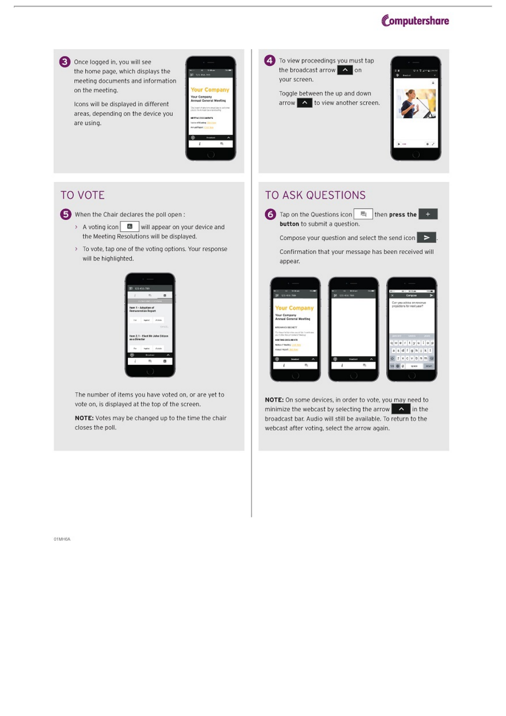



### **TO VOTE**

When the Chair declares the poll open:

- > A voting icon | **III** will appear on your device and the Meeting Resolutions will be displayed.
- > To vote, tap one of the voting options. Your response will be highlighted.



The number of items you have voted on, or are yet to vote on, is displayed at the top of the screen.

NOTE: Votes may be changed up to the time the chair closes the poll.

### **TO ASK QUESTIONS**

Tap on the Questions icon | | | then press the button to submit a question.

Compose your question and select the send icon  $\geq$ 

Confirmation that your message has been received will appear.



NOTE: On some devices, in order to vote, you may need to minimize the webcast by selecting the arrow A in the broadcast bar. Audio will still be available. To return to the webcast after voting, select the arrow again.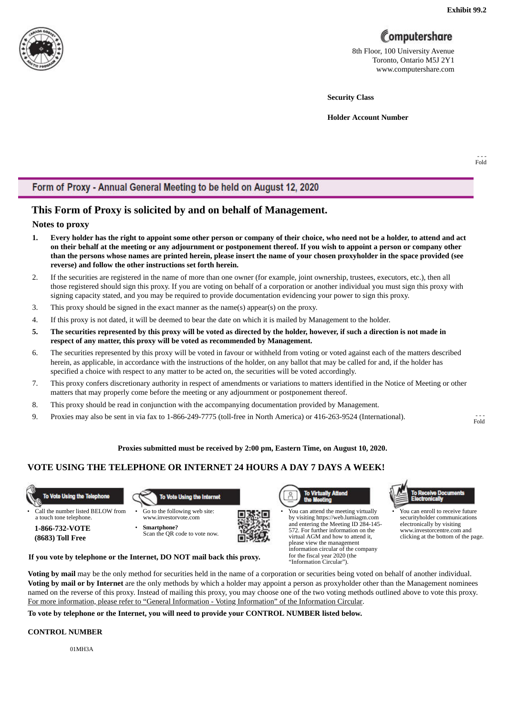

## Computershare

8th Floor, 100 University Avenue Toronto, Ontario M5J 2Y1 www.computershare.com

**Security Class**

**Holder Account Number**

- - - Fold

### Form of Proxy - Annual General Meeting to be held on August 12, 2020

### **This Form of Proxy is solicited by and on behalf of Management.**

#### **Notes to proxy**

- 1. Every holder has the right to appoint some other person or company of their choice, who need not be a holder, to attend and act on their behalf at the meeting or any adjournment or postponement thereof. If you wish to appoint a person or company other than the persons whose names are printed herein, please insert the name of your chosen proxyholder in the space provided (see **reverse) and follow the other instructions set forth herein.**
- 2. If the securities are registered in the name of more than one owner (for example, joint ownership, trustees, executors, etc.), then all those registered should sign this proxy. If you are voting on behalf of a corporation or another individual you must sign this proxy with signing capacity stated, and you may be required to provide documentation evidencing your power to sign this proxy.
- 3. This proxy should be signed in the exact manner as the name(s) appear(s) on the proxy.
- 4. If this proxy is not dated, it will be deemed to bear the date on which it is mailed by Management to the holder.
- 5. The securities represented by this proxy will be voted as directed by the holder, however, if such a direction is not made in **respect of any matter, this proxy will be voted as recommended by Management.**
- 6. The securities represented by this proxy will be voted in favour or withheld from voting or voted against each of the matters described herein, as applicable, in accordance with the instructions of the holder, on any ballot that may be called for and, if the holder has specified a choice with respect to any matter to be acted on, the securities will be voted accordingly.
- 7. This proxy confers discretionary authority in respect of amendments or variations to matters identified in the Notice of Meeting or other matters that may properly come before the meeting or any adjournment or postponement thereof.
- 8. This proxy should be read in conjunction with the accompanying documentation provided by Management.
- 9. Proxies may also be sent in via fax to 1-866-249-7775 (toll-free in North America) or 416-263-9524 (International).

- - - Fold

#### **Proxies submitted must be received by 2:00 pm, Eastern Time, on August 10, 2020.**

#### **VOTE USING THE TELEPHONE OR INTERNET 24 HOURS A DAY 7 DAYS A WEEK!**



• Call the number listed BELOW from a touch tone telephone.





www.investorvote.com • **Smartphone?** Scan the QR code to vote now.





• You can attend the meeting virtually by visiting https://web.lumiagm.com and entering the Meeting ID 284-145- 572. For further information on the virtual AGM and how to attend it, please view the management information circular of the company

for the fiscal year 2020 (the "Information Circular").



• You can enroll to receive future securityholder communications electronically by visiting www.investorcentre.com and clicking at the bottom of the page.

**If you vote by telephone or the Internet, DO NOT mail back this proxy.**

**Voting by mail** may be the only method for securities held in the name of a corporation or securities being voted on behalf of another individual. **Voting by mail or by Internet** are the only methods by which a holder may appoint a person as proxyholder other than the Management nominees named on the reverse of this proxy. Instead of mailing this proxy, you may choose one of the two voting methods outlined above to vote this proxy. For more information, please refer to "General Information - Voting Information" of the Information Circular.

**To vote by telephone or the Internet, you will need to provide your CONTROL NUMBER listed below.**

#### **CONTROL NUMBER**

01MH3A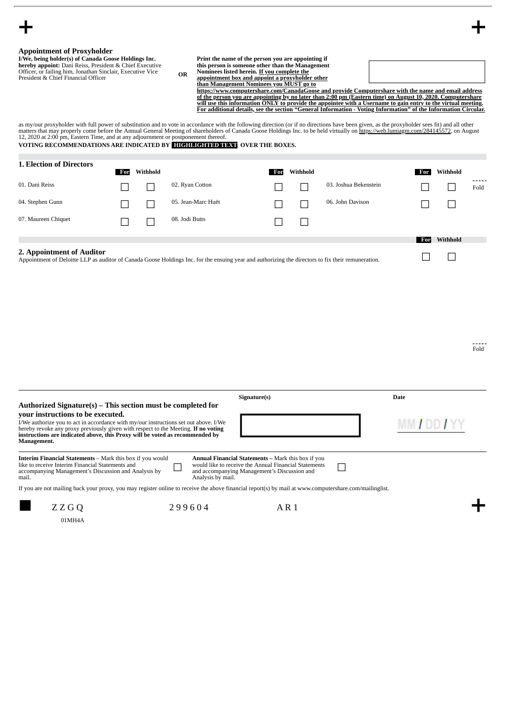|  | <b>Appointment of Proxyholder</b> |
|--|-----------------------------------|
|--|-----------------------------------|

**I/We, being holder(s) of Canada Goose Holdings Inc. hereby appoint:** Dani Reiss, President & Chief Executive Officer, or failing him, Jonathan Sinclair, Executive Vice President & Chief Financial Officer **OR**

| Print the name of the person you are appointing if |
|----------------------------------------------------|
| this person is someone other than the Management   |
| Nominees listed herein. If you complete the        |

Nominees listed herein. <u>If you complete the</u><br><u>appointment box and appoint a proxyholder other</u><br><u>than Management Nominees you MUST go to</u><br>http<u>s://www.computershare.com/CanadaGoose and provide Computershare with the name a</u> <u>of the person you are appointing by no later than 2:00 pm (Eastern time) on August 10, 2020. Computershare</u><br>will use this information ONLY to provide the appointee with a Username to gain entry to the virtual meeting. **For additional details, see the section "General Information - Voting Information" of the Information Circular.**

as my/our proxyholder with full power of substitution and to vote in accordance with the following direction (or if no directions have been given, as the proxyholder sees fit) and all other<br>matters that may properly come b

#### **VOTING RECOMMENDATIONS ARE INDICATED BY HIGHLIGHTED TEXT OVER THE BOXES.**

| <b>1. Election of Directors</b> | For | Withhold |                    | For | Withhold |                       | For | Withhold |               |
|---------------------------------|-----|----------|--------------------|-----|----------|-----------------------|-----|----------|---------------|
| 01. Dani Reiss                  |     |          | 02. Ryan Cotton    |     |          | 03. Joshua Bekenstein |     |          | -----<br>Fold |
| 04. Stephen Gunn                |     |          | 05. Jean-Marc Huët |     |          | 06. John Davison      |     |          |               |
| 07. Maureen Chiquet             |     |          | 08. Jodi Butts     |     |          |                       |     |          |               |
|                                 |     |          |                    |     |          |                       | For | Withhold |               |

#### **2. Appointment of Auditor**

Appointment of Deloitte LLP as auditor of Canada Goose Holdings Inc. for the ensuing year and authorizing the directors to fix their remuneration. ☐ ☐

Fold

| Authorized Signature(s) – This section must be completed for                                                                                                                                                                                                                                                   |        | Signature(s)                                                                                                                                                                            | Date            |
|----------------------------------------------------------------------------------------------------------------------------------------------------------------------------------------------------------------------------------------------------------------------------------------------------------------|--------|-----------------------------------------------------------------------------------------------------------------------------------------------------------------------------------------|-----------------|
| your instructions to be executed.<br>I/We authorize you to act in accordance with my/our instructions set out above. I/We<br>hereby revoke any proxy previously given with respect to the Meeting. If no voting<br>instructions are indicated above, this Proxy will be voted as recommended by<br>Management. |        |                                                                                                                                                                                         | <b>MM/DD/YY</b> |
| <b>Interim Financial Statements</b> – Mark this box if you would<br>like to receive Interim Financial Statements and<br>accompanying Management's Discussion and Analysis by<br>mail.                                                                                                                          |        | <b>Annual Financial Statements – Mark this box if you</b><br>would like to receive the Annual Financial Statements<br>and accompanying Management's Discussion and<br>Analysis by mail. |                 |
| If you are not mailing back your proxy, you may register online to receive the above financial report(s) by mail at www.computershare.com/mailinglist.                                                                                                                                                         |        |                                                                                                                                                                                         |                 |
| Z Z G O                                                                                                                                                                                                                                                                                                        | 299604 |                                                                                                                                                                                         |                 |

01MH4A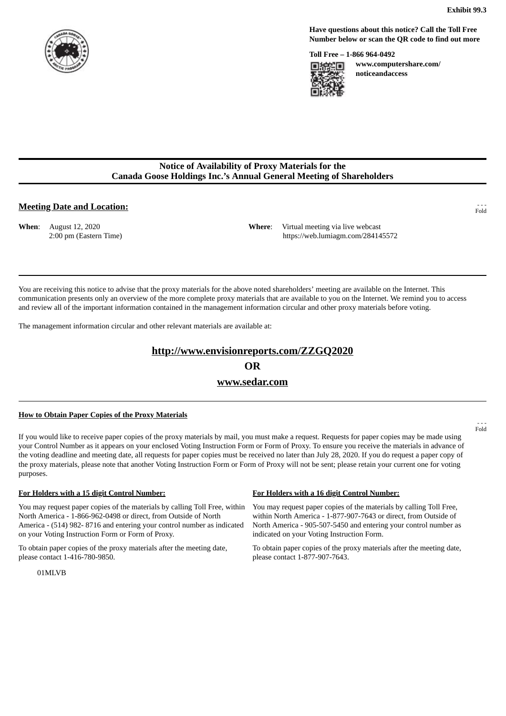

**Have questions about this notice? Call the Toll Free Number below or scan the QR code to find out more**

**Toll Free – 1-866 964-0492**



**www.computershare.com/ noticeandaccess**

#### **Notice of Availability of Proxy Materials for the Canada Goose Holdings Inc.'s Annual General Meeting of Shareholders**

#### **Meeting Date and Location:**

**When**: August 12, 2020 2:00 pm (Eastern Time) **Where**: Virtual meeting via live webcast https://web.lumiagm.com/284145572

You are receiving this notice to advise that the proxy materials for the above noted shareholders' meeting are available on the Internet. This communication presents only an overview of the more complete proxy materials that are available to you on the Internet. We remind you to access and review all of the important information contained in the management information circular and other proxy materials before voting.

The management information circular and other relevant materials are available at:

#### **http://www.envisionreports.com/ZZGQ2020**

**OR**

#### **www.sedar.com**

#### **How to Obtain Paper Copies of the Proxy Materials**

If you would like to receive paper copies of the proxy materials by mail, you must make a request. Requests for paper copies may be made using your Control Number as it appears on your enclosed Voting Instruction Form or Form of Proxy. To ensure you receive the materials in advance of the voting deadline and meeting date, all requests for paper copies must be received no later than July 28, 2020. If you do request a paper copy of the proxy materials, please note that another Voting Instruction Form or Form of Proxy will not be sent; please retain your current one for voting purposes.

#### **For Holders with a 15 digit Control Number: For Holders with a 16 digit Control Number:**

You may request paper copies of the materials by calling Toll Free, within North America - 1-866-962-0498 or direct, from Outside of North America - (514) 982- 8716 and entering your control number as indicated on your Voting Instruction Form or Form of Proxy.

To obtain paper copies of the proxy materials after the meeting date, please contact 1-416-780-9850.

You may request paper copies of the materials by calling Toll Free, within North America - 1-877-907-7643 or direct, from Outside of North America - 905-507-5450 and entering your control number as indicated on your Voting Instruction Form.

To obtain paper copies of the proxy materials after the meeting date, please contact 1-877-907-7643.

- - - Fold

- - - Fold

01MLVB